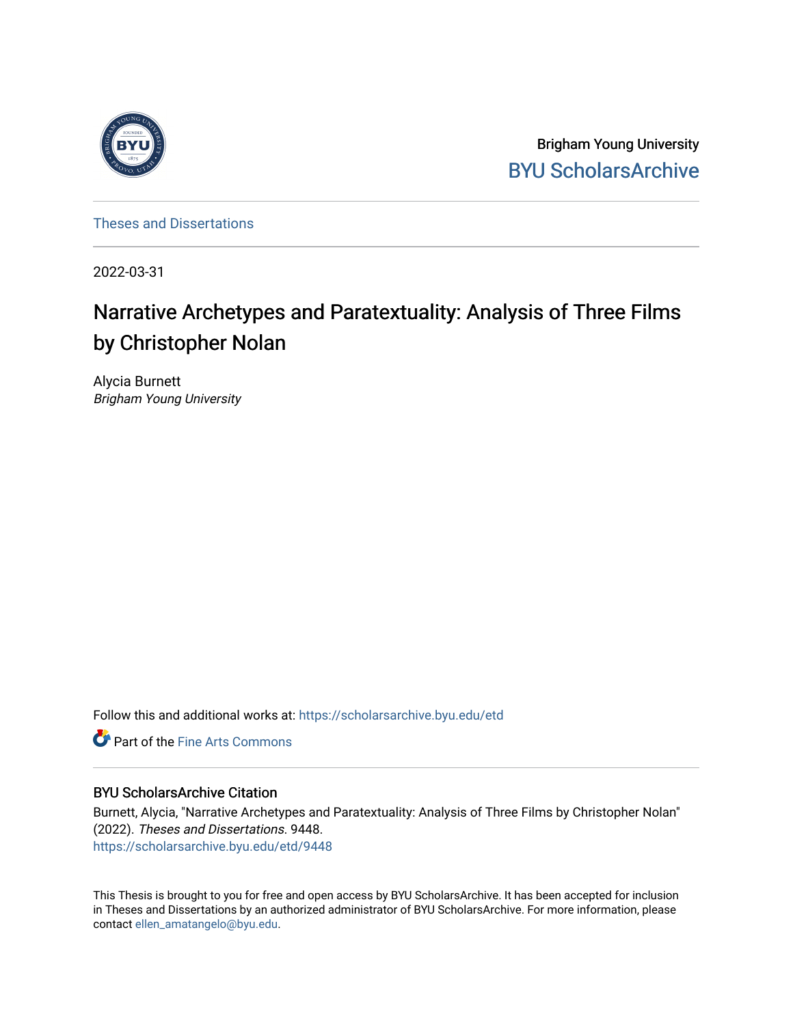

Brigham Young University [BYU ScholarsArchive](https://scholarsarchive.byu.edu/) 

[Theses and Dissertations](https://scholarsarchive.byu.edu/etd)

2022-03-31

# Narrative Archetypes and Paratextuality: Analysis of Three Films by Christopher Nolan

Alycia Burnett Brigham Young University

Follow this and additional works at: [https://scholarsarchive.byu.edu/etd](https://scholarsarchive.byu.edu/etd?utm_source=scholarsarchive.byu.edu%2Fetd%2F9448&utm_medium=PDF&utm_campaign=PDFCoverPages)

**C** Part of the Fine Arts Commons

# BYU ScholarsArchive Citation

Burnett, Alycia, "Narrative Archetypes and Paratextuality: Analysis of Three Films by Christopher Nolan" (2022). Theses and Dissertations. 9448. [https://scholarsarchive.byu.edu/etd/9448](https://scholarsarchive.byu.edu/etd/9448?utm_source=scholarsarchive.byu.edu%2Fetd%2F9448&utm_medium=PDF&utm_campaign=PDFCoverPages) 

This Thesis is brought to you for free and open access by BYU ScholarsArchive. It has been accepted for inclusion in Theses and Dissertations by an authorized administrator of BYU ScholarsArchive. For more information, please contact [ellen\\_amatangelo@byu.edu.](mailto:ellen_amatangelo@byu.edu)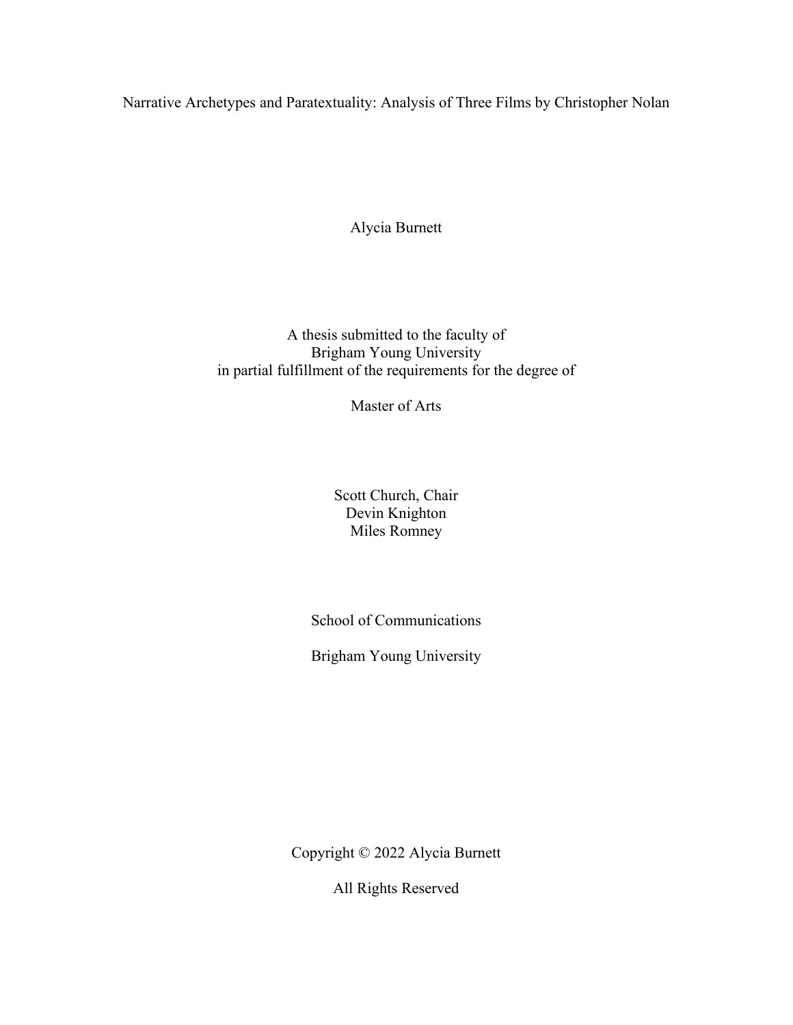<span id="page-1-0"></span>Narrative Archetypes and Paratextuality: Analysis of Three Films by Christopher Nolan

Alycia Burnett

A thesis submitted to the faculty of Brigham Young University in partial fulfillment of the requirements for the degree of

Master of Arts

Scott Church, Chair Devin Knighton Miles Romney

School of Communications

Brigham Young University

Copyright © 2022 Alycia Burnett

All Rights Reserved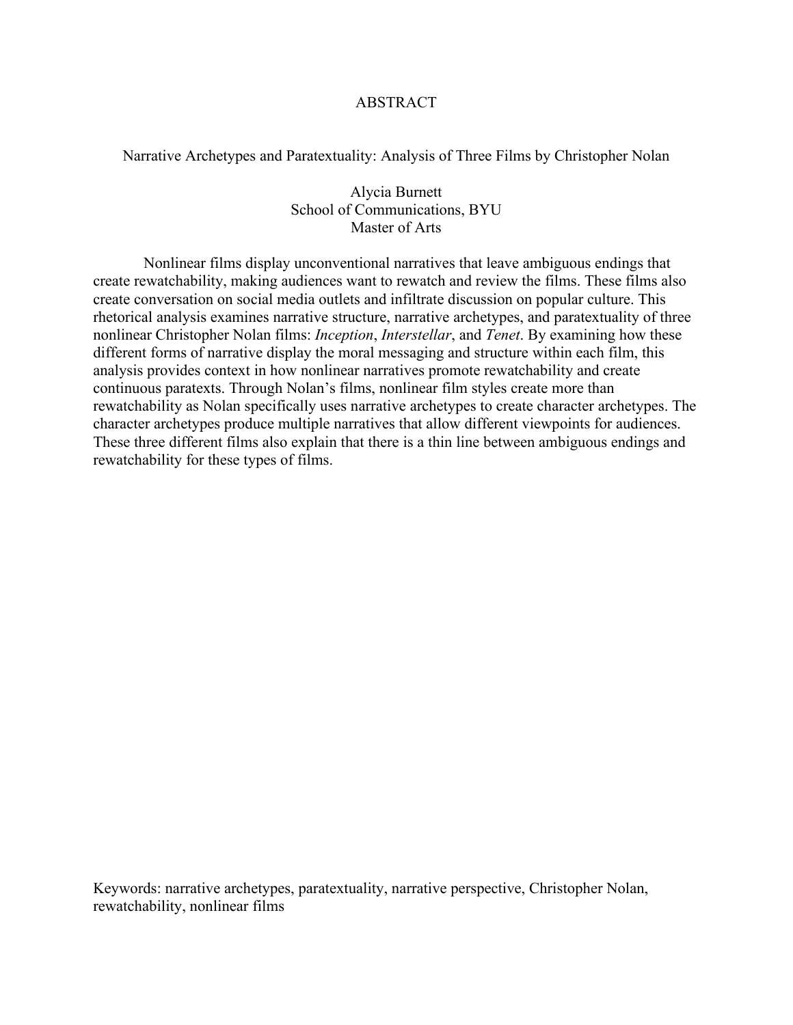# ABSTRACT

<span id="page-2-0"></span>Narrative Archetypes and Paratextuality: Analysis of Three Films by Christopher Nolan

Alycia Burnett School of Communications, BYU Master of Arts

Nonlinear films display unconventional narratives that leave ambiguous endings that create rewatchability, making audiences want to rewatch and review the films. These films also create conversation on social media outlets and infiltrate discussion on popular culture. This rhetorical analysis examines narrative structure, narrative archetypes, and paratextuality of three nonlinear Christopher Nolan films: *Inception*, *Interstellar*, and *Tenet*. By examining how these different forms of narrative display the moral messaging and structure within each film, this analysis provides context in how nonlinear narratives promote rewatchability and create continuous paratexts. Through Nolan's films, nonlinear film styles create more than rewatchability as Nolan specifically uses narrative archetypes to create character archetypes. The character archetypes produce multiple narratives that allow different viewpoints for audiences. These three different films also explain that there is a thin line between ambiguous endings and rewatchability for these types of films.

Keywords: narrative archetypes, paratextuality, narrative perspective, Christopher Nolan, rewatchability, nonlinear films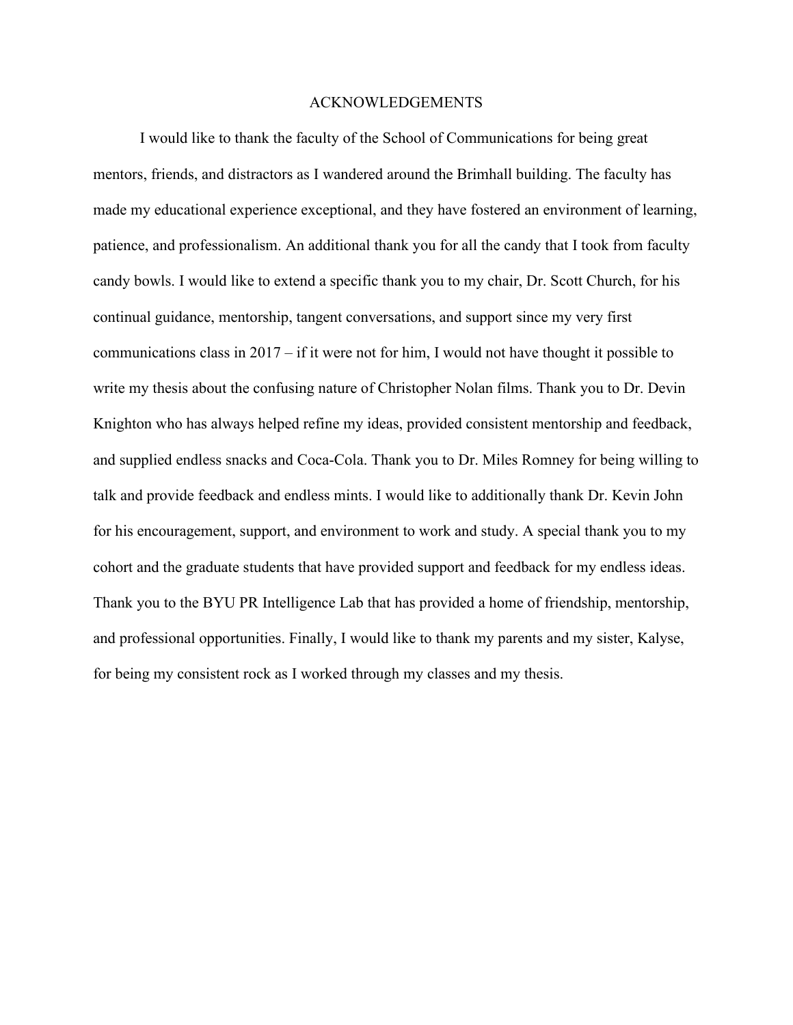# ACKNOWLEDGEMENTS

<span id="page-3-0"></span>I would like to thank the faculty of the School of Communications for being great mentors, friends, and distractors as I wandered around the Brimhall building. The faculty has made my educational experience exceptional, and they have fostered an environment of learning, patience, and professionalism. An additional thank you for all the candy that I took from faculty candy bowls. I would like to extend a specific thank you to my chair, Dr. Scott Church, for his continual guidance, mentorship, tangent conversations, and support since my very first communications class in 2017 – if it were not for him, I would not have thought it possible to write my thesis about the confusing nature of Christopher Nolan films. Thank you to Dr. Devin Knighton who has always helped refine my ideas, provided consistent mentorship and feedback, and supplied endless snacks and Coca-Cola. Thank you to Dr. Miles Romney for being willing to talk and provide feedback and endless mints. I would like to additionally thank Dr. Kevin John for his encouragement, support, and environment to work and study. A special thank you to my cohort and the graduate students that have provided support and feedback for my endless ideas. Thank you to the BYU PR Intelligence Lab that has provided a home of friendship, mentorship, and professional opportunities. Finally, I would like to thank my parents and my sister, Kalyse, for being my consistent rock as I worked through my classes and my thesis.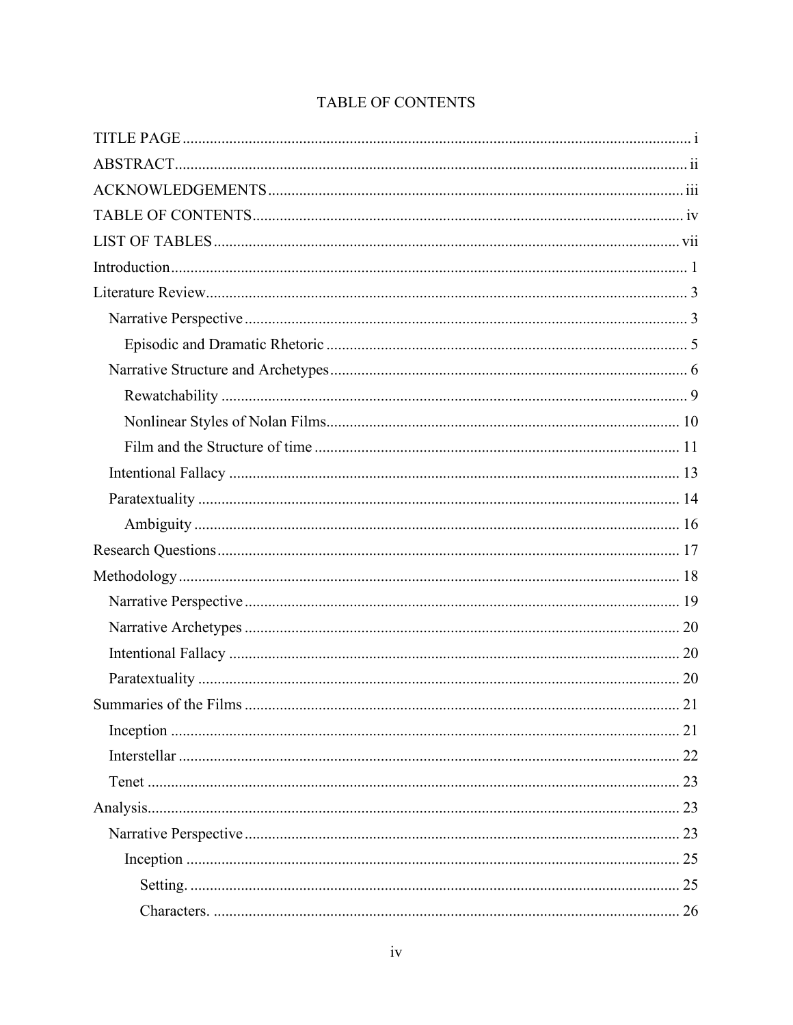# TABLE OF CONTENTS

<span id="page-4-0"></span>

| 21 |
|----|
|    |
|    |
|    |
|    |
|    |
|    |
| 26 |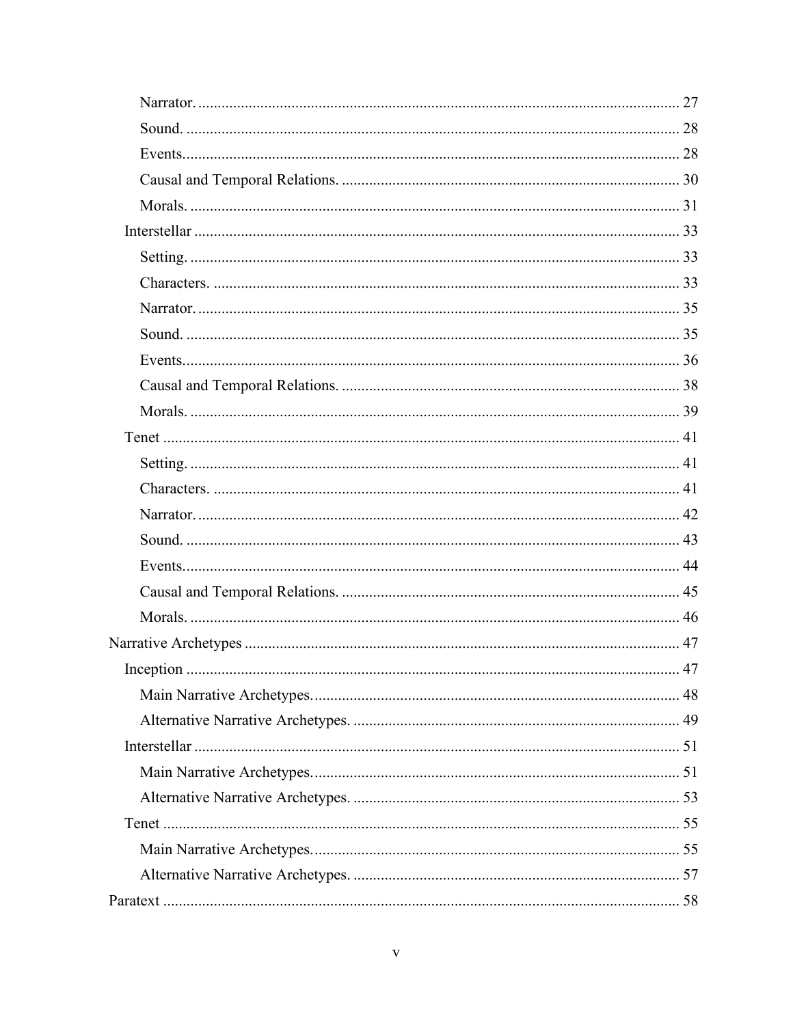| 47 |
|----|
|    |
|    |
|    |
|    |
|    |
|    |
|    |
|    |
|    |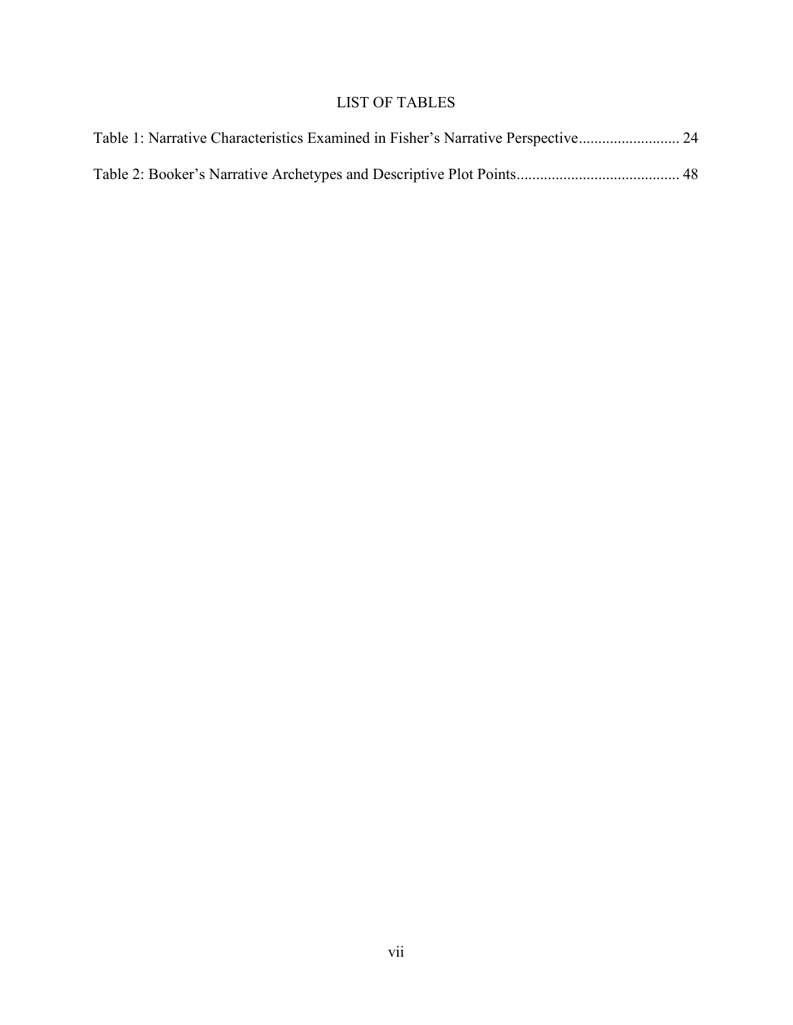# LIST OF TABLES

<span id="page-7-0"></span>

| Table 1: Narrative Characteristics Examined in Fisher's Narrative Perspective 24 |  |
|----------------------------------------------------------------------------------|--|
|                                                                                  |  |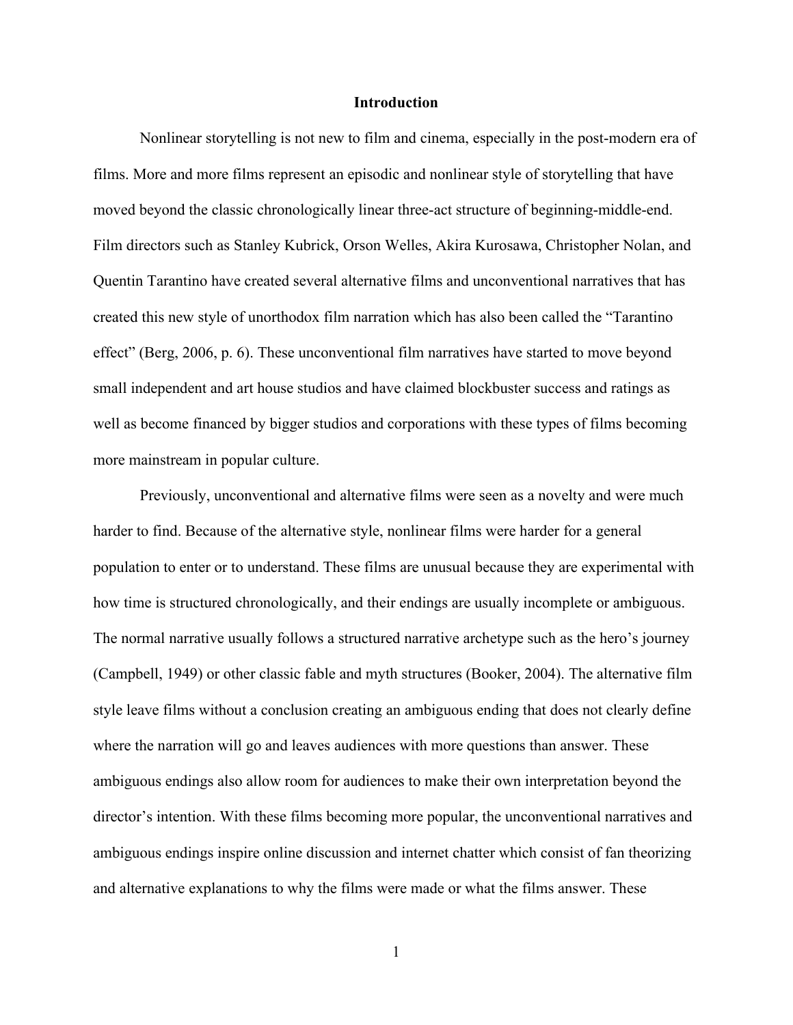### **Introduction**

<span id="page-8-0"></span>Nonlinear storytelling is not new to film and cinema, especially in the post-modern era of films. More and more films represent an episodic and nonlinear style of storytelling that have moved beyond the classic chronologically linear three-act structure of beginning-middle-end. Film directors such as Stanley Kubrick, Orson Welles, Akira Kurosawa, Christopher Nolan, and Quentin Tarantino have created several alternative films and unconventional narratives that has created this new style of unorthodox film narration which has also been called the "Tarantino effect" (Berg, 2006, p. 6). These unconventional film narratives have started to move beyond small independent and art house studios and have claimed blockbuster success and ratings as well as become financed by bigger studios and corporations with these types of films becoming more mainstream in popular culture.

Previously, unconventional and alternative films were seen as a novelty and were much harder to find. Because of the alternative style, nonlinear films were harder for a general population to enter or to understand. These films are unusual because they are experimental with how time is structured chronologically, and their endings are usually incomplete or ambiguous. The normal narrative usually follows a structured narrative archetype such as the hero's journey (Campbell, 1949) or other classic fable and myth structures (Booker, 2004). The alternative film style leave films without a conclusion creating an ambiguous ending that does not clearly define where the narration will go and leaves audiences with more questions than answer. These ambiguous endings also allow room for audiences to make their own interpretation beyond the director's intention. With these films becoming more popular, the unconventional narratives and ambiguous endings inspire online discussion and internet chatter which consist of fan theorizing and alternative explanations to why the films were made or what the films answer. These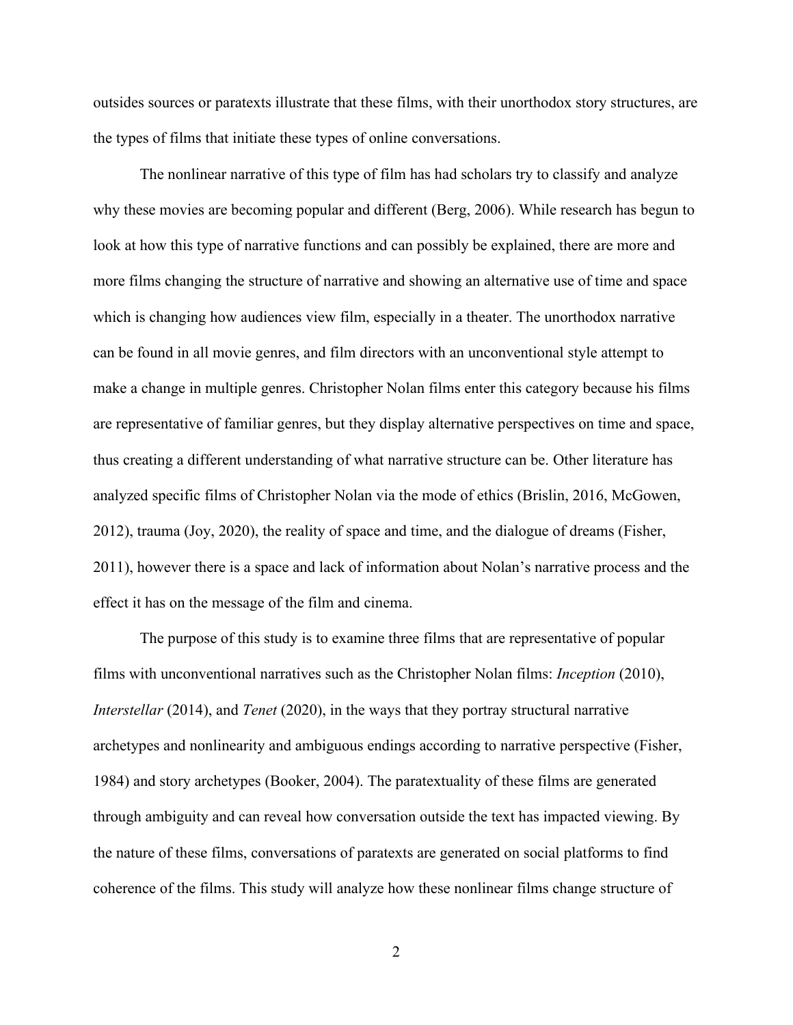outsides sources or paratexts illustrate that these films, with their unorthodox story structures, are the types of films that initiate these types of online conversations.

The nonlinear narrative of this type of film has had scholars try to classify and analyze why these movies are becoming popular and different (Berg, 2006). While research has begun to look at how this type of narrative functions and can possibly be explained, there are more and more films changing the structure of narrative and showing an alternative use of time and space which is changing how audiences view film, especially in a theater. The unorthodox narrative can be found in all movie genres, and film directors with an unconventional style attempt to make a change in multiple genres. Christopher Nolan films enter this category because his films are representative of familiar genres, but they display alternative perspectives on time and space, thus creating a different understanding of what narrative structure can be. Other literature has analyzed specific films of Christopher Nolan via the mode of ethics (Brislin, 2016, McGowen, 2012), trauma (Joy, 2020), the reality of space and time, and the dialogue of dreams (Fisher, 2011), however there is a space and lack of information about Nolan's narrative process and the effect it has on the message of the film and cinema.

The purpose of this study is to examine three films that are representative of popular films with unconventional narratives such as the Christopher Nolan films: *Inception* (2010), *Interstellar* (2014), and *Tenet* (2020), in the ways that they portray structural narrative archetypes and nonlinearity and ambiguous endings according to narrative perspective (Fisher, 1984) and story archetypes (Booker, 2004). The paratextuality of these films are generated through ambiguity and can reveal how conversation outside the text has impacted viewing. By the nature of these films, conversations of paratexts are generated on social platforms to find coherence of the films. This study will analyze how these nonlinear films change structure of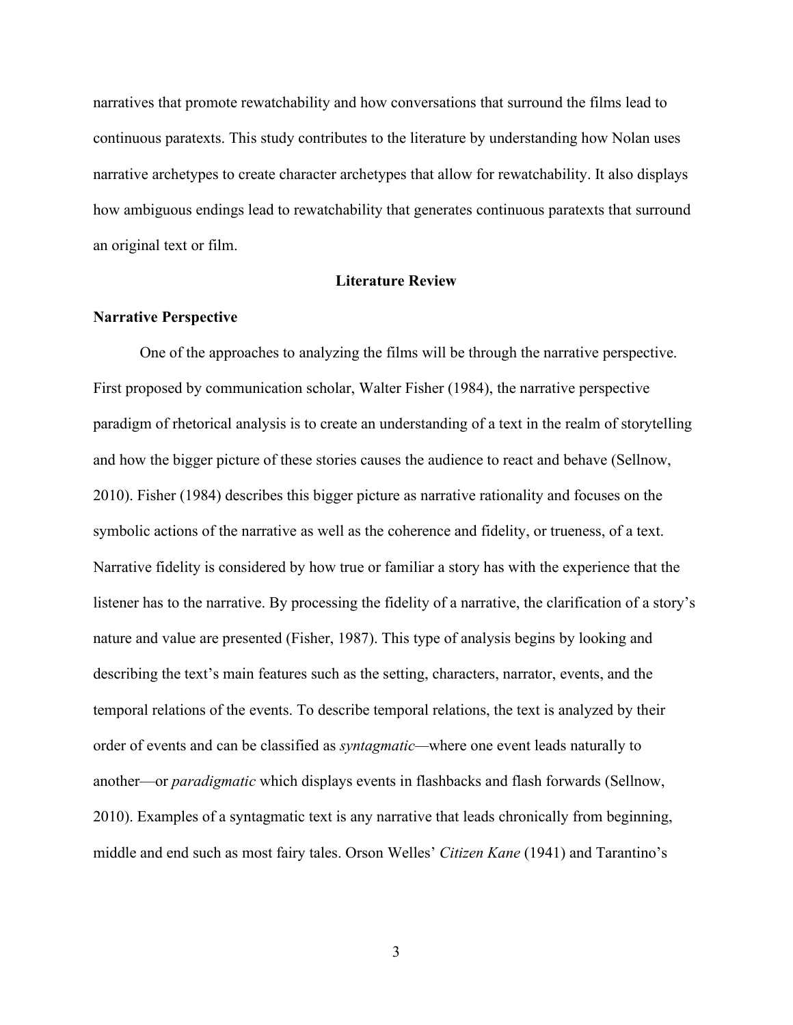narratives that promote rewatchability and how conversations that surround the films lead to continuous paratexts. This study contributes to the literature by understanding how Nolan uses narrative archetypes to create character archetypes that allow for rewatchability. It also displays how ambiguous endings lead to rewatchability that generates continuous paratexts that surround an original text or film.

# **Literature Review**

# <span id="page-10-1"></span><span id="page-10-0"></span>**Narrative Perspective**

One of the approaches to analyzing the films will be through the narrative perspective. First proposed by communication scholar, Walter Fisher (1984), the narrative perspective paradigm of rhetorical analysis is to create an understanding of a text in the realm of storytelling and how the bigger picture of these stories causes the audience to react and behave (Sellnow, 2010). Fisher (1984) describes this bigger picture as narrative rationality and focuses on the symbolic actions of the narrative as well as the coherence and fidelity, or trueness, of a text. Narrative fidelity is considered by how true or familiar a story has with the experience that the listener has to the narrative. By processing the fidelity of a narrative, the clarification of a story's nature and value are presented (Fisher, 1987). This type of analysis begins by looking and describing the text's main features such as the setting, characters, narrator, events, and the temporal relations of the events. To describe temporal relations, the text is analyzed by their order of events and can be classified as *syntagmatic—*where one event leads naturally to another—or *paradigmatic* which displays events in flashbacks and flash forwards (Sellnow, 2010). Examples of a syntagmatic text is any narrative that leads chronically from beginning, middle and end such as most fairy tales. Orson Welles' *Citizen Kane* (1941) and Tarantino's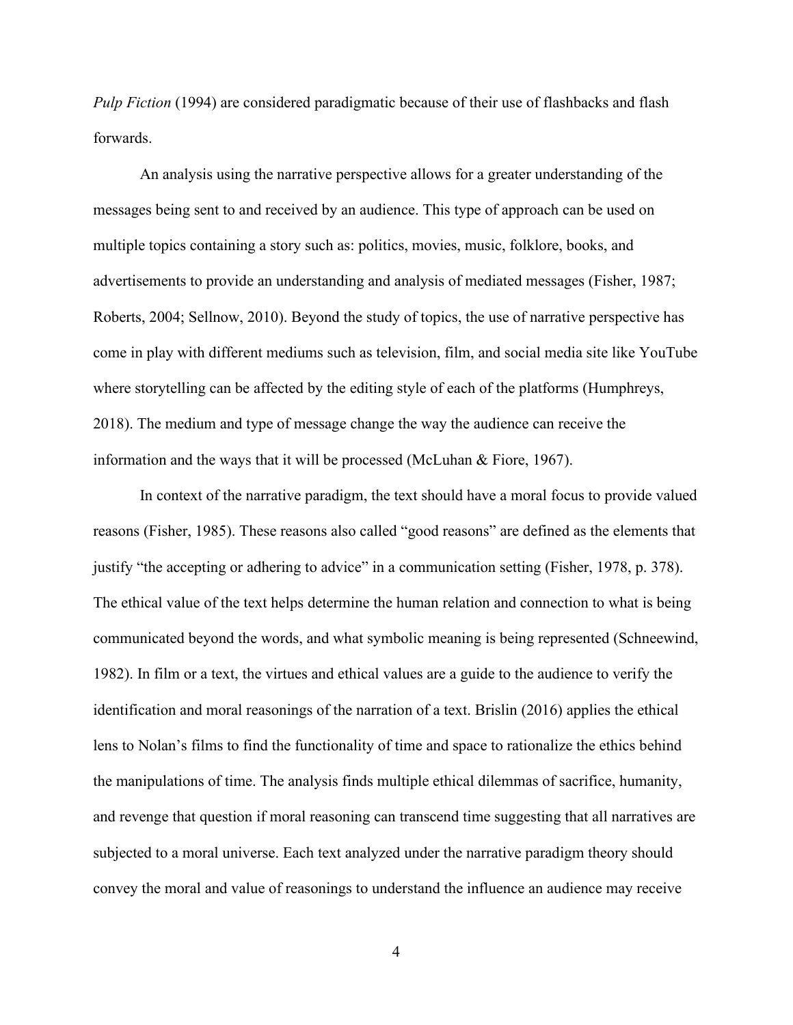*Pulp Fiction* (1994) are considered paradigmatic because of their use of flashbacks and flash forwards.

An analysis using the narrative perspective allows for a greater understanding of the messages being sent to and received by an audience. This type of approach can be used on multiple topics containing a story such as: politics, movies, music, folklore, books, and advertisements to provide an understanding and analysis of mediated messages (Fisher, 1987; Roberts, 2004; Sellnow, 2010). Beyond the study of topics, the use of narrative perspective has come in play with different mediums such as television, film, and social media site like YouTube where storytelling can be affected by the editing style of each of the platforms (Humphreys, 2018). The medium and type of message change the way the audience can receive the information and the ways that it will be processed (McLuhan & Fiore, 1967).

In context of the narrative paradigm, the text should have a moral focus to provide valued reasons (Fisher, 1985). These reasons also called "good reasons" are defined as the elements that justify "the accepting or adhering to advice" in a communication setting (Fisher, 1978, p. 378). The ethical value of the text helps determine the human relation and connection to what is being communicated beyond the words, and what symbolic meaning is being represented (Schneewind, 1982). In film or a text, the virtues and ethical values are a guide to the audience to verify the identification and moral reasonings of the narration of a text. Brislin (2016) applies the ethical lens to Nolan's films to find the functionality of time and space to rationalize the ethics behind the manipulations of time. The analysis finds multiple ethical dilemmas of sacrifice, humanity, and revenge that question if moral reasoning can transcend time suggesting that all narratives are subjected to a moral universe. Each text analyzed under the narrative paradigm theory should convey the moral and value of reasonings to understand the influence an audience may receive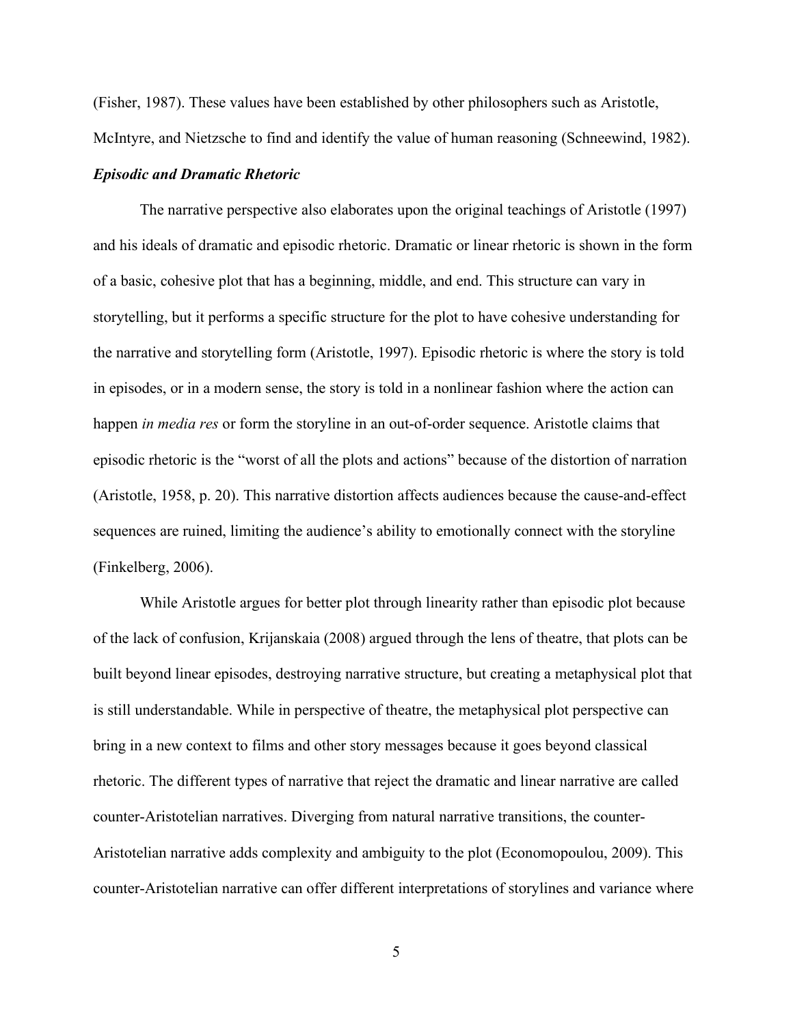(Fisher, 1987). These values have been established by other philosophers such as Aristotle, McIntyre, and Nietzsche to find and identify the value of human reasoning (Schneewind, 1982).

# <span id="page-12-0"></span>*Episodic and Dramatic Rhetoric*

The narrative perspective also elaborates upon the original teachings of Aristotle (1997) and his ideals of dramatic and episodic rhetoric. Dramatic or linear rhetoric is shown in the form of a basic, cohesive plot that has a beginning, middle, and end. This structure can vary in storytelling, but it performs a specific structure for the plot to have cohesive understanding for the narrative and storytelling form (Aristotle, 1997). Episodic rhetoric is where the story is told in episodes, or in a modern sense, the story is told in a nonlinear fashion where the action can happen *in media res* or form the storyline in an out-of-order sequence. Aristotle claims that episodic rhetoric is the "worst of all the plots and actions" because of the distortion of narration (Aristotle, 1958, p. 20). This narrative distortion affects audiences because the cause-and-effect sequences are ruined, limiting the audience's ability to emotionally connect with the storyline (Finkelberg, 2006).

While Aristotle argues for better plot through linearity rather than episodic plot because of the lack of confusion, Krijanskaia (2008) argued through the lens of theatre, that plots can be built beyond linear episodes, destroying narrative structure, but creating a metaphysical plot that is still understandable. While in perspective of theatre, the metaphysical plot perspective can bring in a new context to films and other story messages because it goes beyond classical rhetoric. The different types of narrative that reject the dramatic and linear narrative are called counter-Aristotelian narratives. Diverging from natural narrative transitions, the counter-Aristotelian narrative adds complexity and ambiguity to the plot (Economopoulou, 2009). This counter-Aristotelian narrative can offer different interpretations of storylines and variance where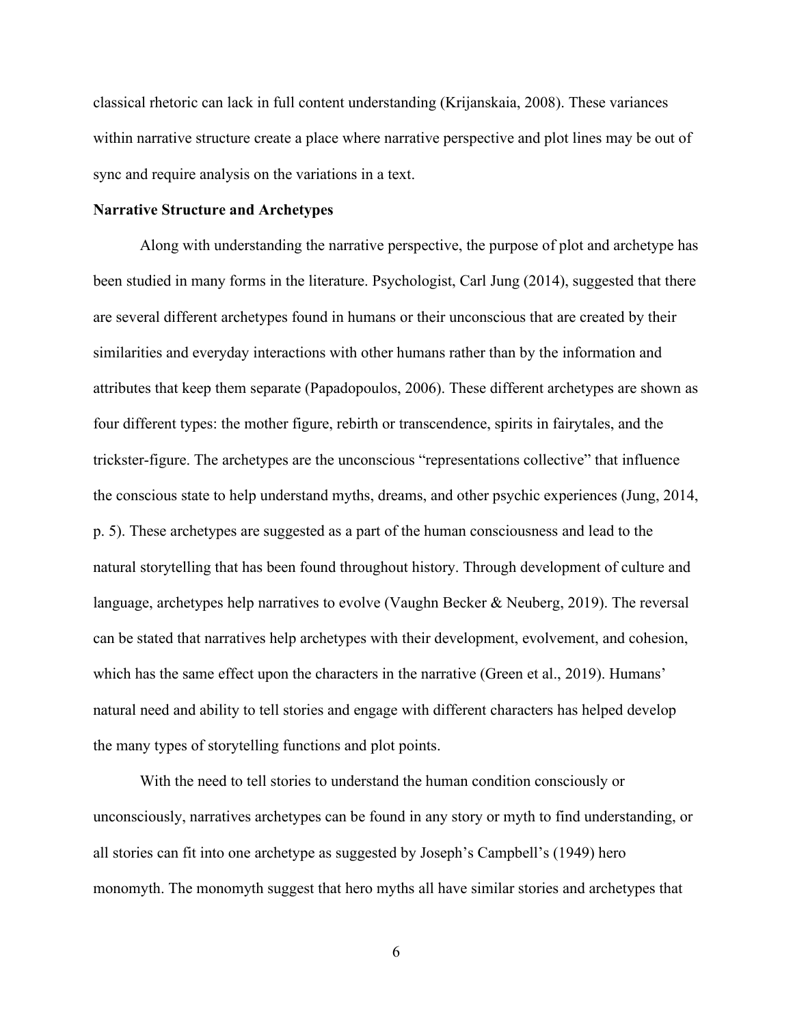classical rhetoric can lack in full content understanding (Krijanskaia, 2008). These variances within narrative structure create a place where narrative perspective and plot lines may be out of sync and require analysis on the variations in a text.

# <span id="page-13-0"></span>**Narrative Structure and Archetypes**

Along with understanding the narrative perspective, the purpose of plot and archetype has been studied in many forms in the literature. Psychologist, Carl Jung (2014), suggested that there are several different archetypes found in humans or their unconscious that are created by their similarities and everyday interactions with other humans rather than by the information and attributes that keep them separate (Papadopoulos, 2006). These different archetypes are shown as four different types: the mother figure, rebirth or transcendence, spirits in fairytales, and the trickster-figure. The archetypes are the unconscious "representations collective" that influence the conscious state to help understand myths, dreams, and other psychic experiences (Jung, 2014, p. 5). These archetypes are suggested as a part of the human consciousness and lead to the natural storytelling that has been found throughout history. Through development of culture and language, archetypes help narratives to evolve (Vaughn Becker & Neuberg, 2019). The reversal can be stated that narratives help archetypes with their development, evolvement, and cohesion, which has the same effect upon the characters in the narrative (Green et al., 2019). Humans' natural need and ability to tell stories and engage with different characters has helped develop the many types of storytelling functions and plot points.

With the need to tell stories to understand the human condition consciously or unconsciously, narratives archetypes can be found in any story or myth to find understanding, or all stories can fit into one archetype as suggested by Joseph's Campbell's (1949) hero monomyth. The monomyth suggest that hero myths all have similar stories and archetypes that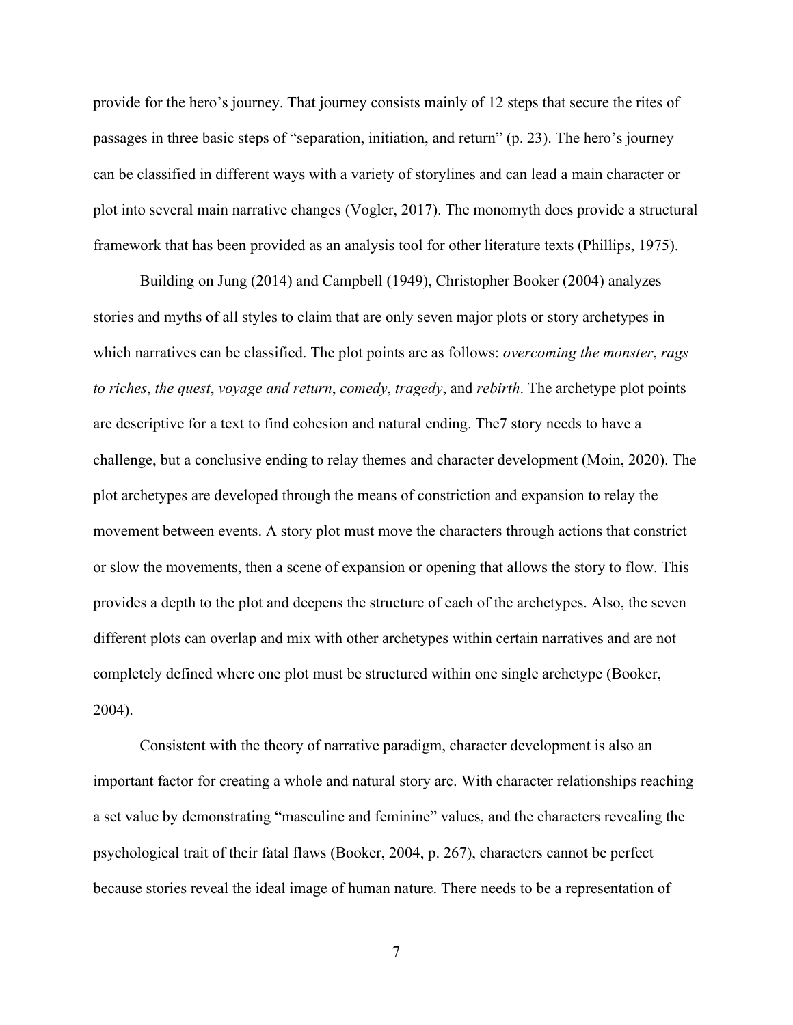provide for the hero's journey. That journey consists mainly of 12 steps that secure the rites of passages in three basic steps of "separation, initiation, and return" (p. 23). The hero's journey can be classified in different ways with a variety of storylines and can lead a main character or plot into several main narrative changes (Vogler, 2017). The monomyth does provide a structural framework that has been provided as an analysis tool for other literature texts (Phillips, 1975).

Building on Jung (2014) and Campbell (1949), Christopher Booker (2004) analyzes stories and myths of all styles to claim that are only seven major plots or story archetypes in which narratives can be classified. The plot points are as follows: *overcoming the monster*, *rags to riches*, *the quest*, *voyage and return*, *comedy*, *tragedy*, and *rebirth*. The archetype plot points are descriptive for a text to find cohesion and natural ending. The7 story needs to have a challenge, but a conclusive ending to relay themes and character development (Moin, 2020). The plot archetypes are developed through the means of constriction and expansion to relay the movement between events. A story plot must move the characters through actions that constrict or slow the movements, then a scene of expansion or opening that allows the story to flow. This provides a depth to the plot and deepens the structure of each of the archetypes. Also, the seven different plots can overlap and mix with other archetypes within certain narratives and are not completely defined where one plot must be structured within one single archetype (Booker, 2004).

Consistent with the theory of narrative paradigm, character development is also an important factor for creating a whole and natural story arc. With character relationships reaching a set value by demonstrating "masculine and feminine" values, and the characters revealing the psychological trait of their fatal flaws (Booker, 2004, p. 267), characters cannot be perfect because stories reveal the ideal image of human nature. There needs to be a representation of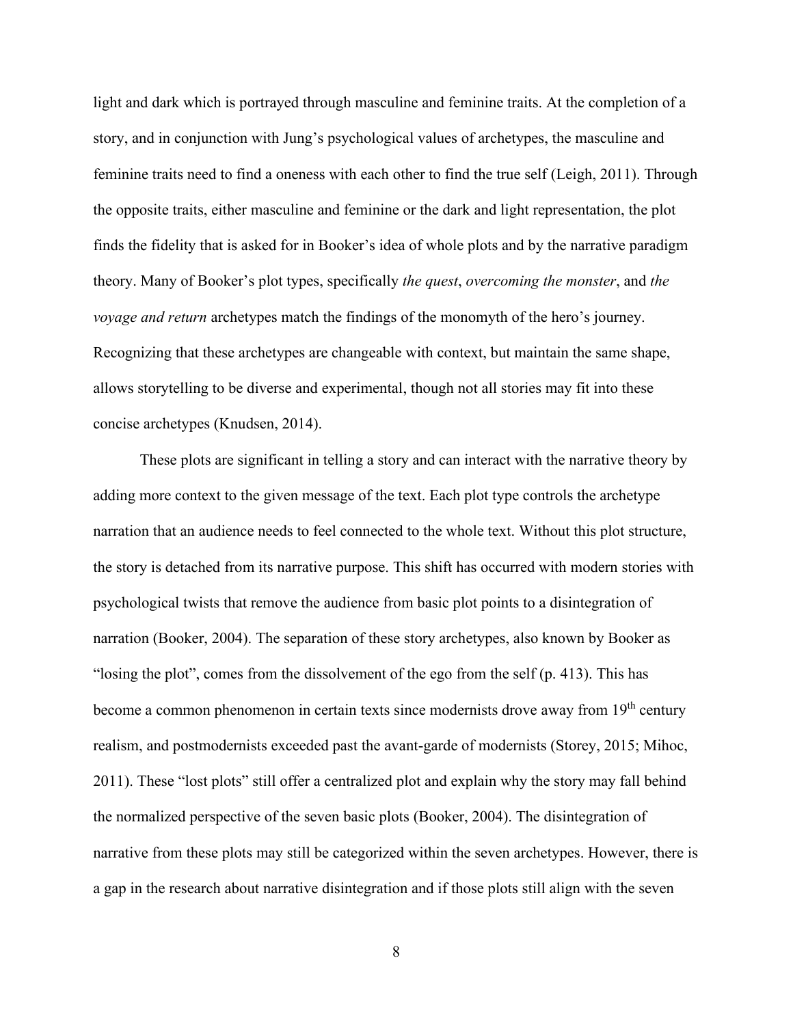light and dark which is portrayed through masculine and feminine traits. At the completion of a story, and in conjunction with Jung's psychological values of archetypes, the masculine and feminine traits need to find a oneness with each other to find the true self (Leigh, 2011). Through the opposite traits, either masculine and feminine or the dark and light representation, the plot finds the fidelity that is asked for in Booker's idea of whole plots and by the narrative paradigm theory. Many of Booker's plot types, specifically *the quest*, *overcoming the monster*, and *the voyage and return* archetypes match the findings of the monomyth of the hero's journey. Recognizing that these archetypes are changeable with context, but maintain the same shape, allows storytelling to be diverse and experimental, though not all stories may fit into these concise archetypes (Knudsen, 2014).

These plots are significant in telling a story and can interact with the narrative theory by adding more context to the given message of the text. Each plot type controls the archetype narration that an audience needs to feel connected to the whole text. Without this plot structure, the story is detached from its narrative purpose. This shift has occurred with modern stories with psychological twists that remove the audience from basic plot points to a disintegration of narration (Booker, 2004). The separation of these story archetypes, also known by Booker as "losing the plot", comes from the dissolvement of the ego from the self (p. 413). This has become a common phenomenon in certain texts since modernists drove away from 19<sup>th</sup> century realism, and postmodernists exceeded past the avant-garde of modernists (Storey, 2015; Mihoc, 2011). These "lost plots" still offer a centralized plot and explain why the story may fall behind the normalized perspective of the seven basic plots (Booker, 2004). The disintegration of narrative from these plots may still be categorized within the seven archetypes. However, there is a gap in the research about narrative disintegration and if those plots still align with the seven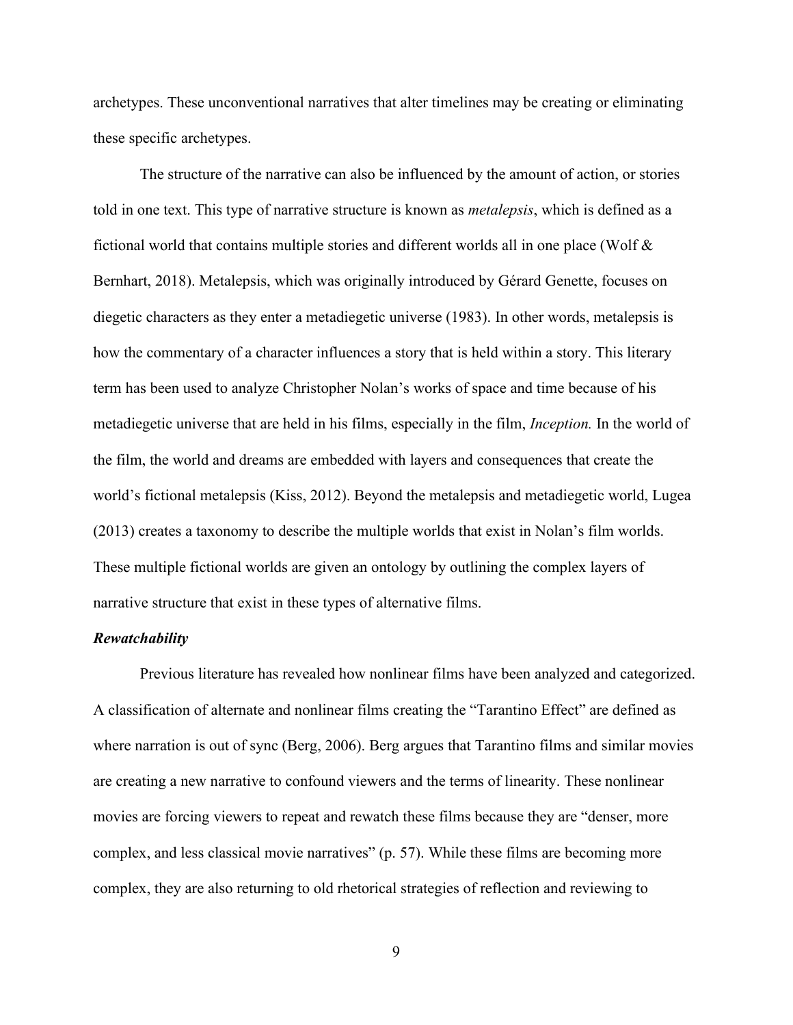archetypes. These unconventional narratives that alter timelines may be creating or eliminating these specific archetypes.

The structure of the narrative can also be influenced by the amount of action, or stories told in one text. This type of narrative structure is known as *metalepsis*, which is defined as a fictional world that contains multiple stories and different worlds all in one place (Wolf & Bernhart, 2018). Metalepsis, which was originally introduced by Gérard Genette, focuses on diegetic characters as they enter a metadiegetic universe (1983). In other words, metalepsis is how the commentary of a character influences a story that is held within a story. This literary term has been used to analyze Christopher Nolan's works of space and time because of his metadiegetic universe that are held in his films, especially in the film, *Inception.* In the world of the film, the world and dreams are embedded with layers and consequences that create the world's fictional metalepsis (Kiss, 2012). Beyond the metalepsis and metadiegetic world, Lugea (2013) creates a taxonomy to describe the multiple worlds that exist in Nolan's film worlds. These multiple fictional worlds are given an ontology by outlining the complex layers of narrative structure that exist in these types of alternative films.

#### <span id="page-16-0"></span>*Rewatchability*

Previous literature has revealed how nonlinear films have been analyzed and categorized. A classification of alternate and nonlinear films creating the "Tarantino Effect" are defined as where narration is out of sync (Berg, 2006). Berg argues that Tarantino films and similar movies are creating a new narrative to confound viewers and the terms of linearity. These nonlinear movies are forcing viewers to repeat and rewatch these films because they are "denser, more complex, and less classical movie narratives" (p. 57). While these films are becoming more complex, they are also returning to old rhetorical strategies of reflection and reviewing to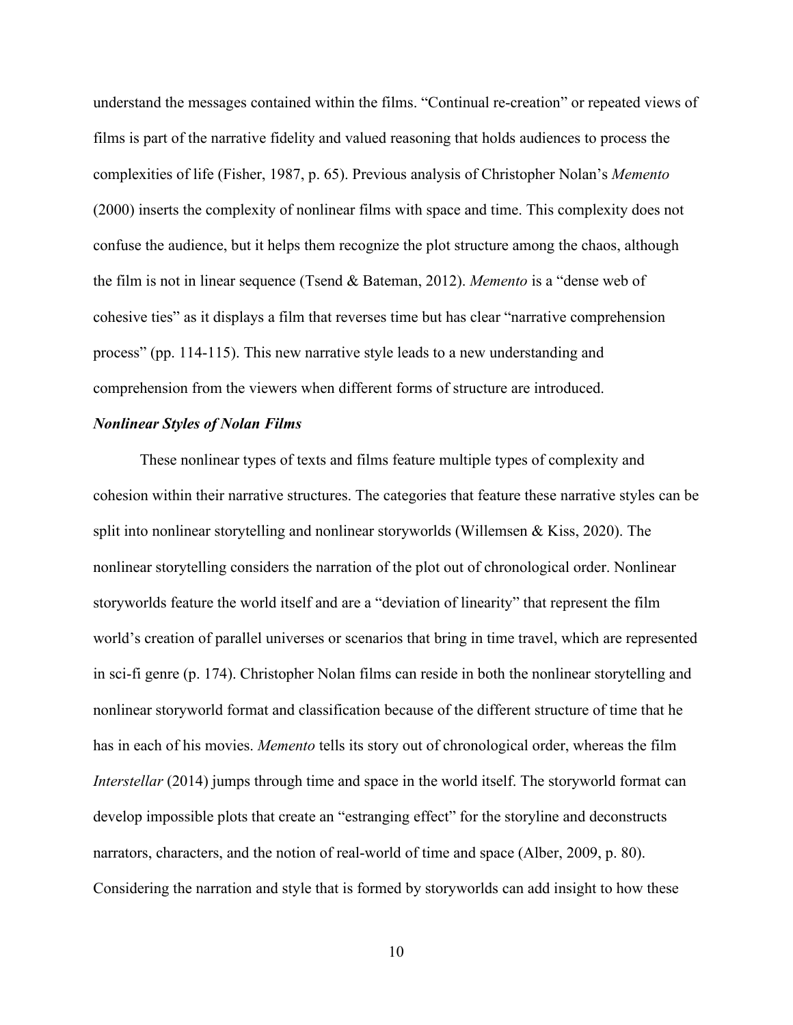understand the messages contained within the films. "Continual re-creation" or repeated views of films is part of the narrative fidelity and valued reasoning that holds audiences to process the complexities of life (Fisher, 1987, p. 65). Previous analysis of Christopher Nolan's *Memento* (2000) inserts the complexity of nonlinear films with space and time. This complexity does not confuse the audience, but it helps them recognize the plot structure among the chaos, although the film is not in linear sequence (Tsend & Bateman, 2012). *Memento* is a "dense web of cohesive ties" as it displays a film that reverses time but has clear "narrative comprehension process" (pp. 114-115). This new narrative style leads to a new understanding and comprehension from the viewers when different forms of structure are introduced.

# <span id="page-17-0"></span>*Nonlinear Styles of Nolan Films*

These nonlinear types of texts and films feature multiple types of complexity and cohesion within their narrative structures. The categories that feature these narrative styles can be split into nonlinear storytelling and nonlinear storyworlds (Willemsen & Kiss, 2020). The nonlinear storytelling considers the narration of the plot out of chronological order. Nonlinear storyworlds feature the world itself and are a "deviation of linearity" that represent the film world's creation of parallel universes or scenarios that bring in time travel, which are represented in sci-fi genre (p. 174). Christopher Nolan films can reside in both the nonlinear storytelling and nonlinear storyworld format and classification because of the different structure of time that he has in each of his movies. *Memento* tells its story out of chronological order, whereas the film *Interstellar* (2014) jumps through time and space in the world itself. The storyworld format can develop impossible plots that create an "estranging effect" for the storyline and deconstructs narrators, characters, and the notion of real-world of time and space (Alber, 2009, p. 80). Considering the narration and style that is formed by storyworlds can add insight to how these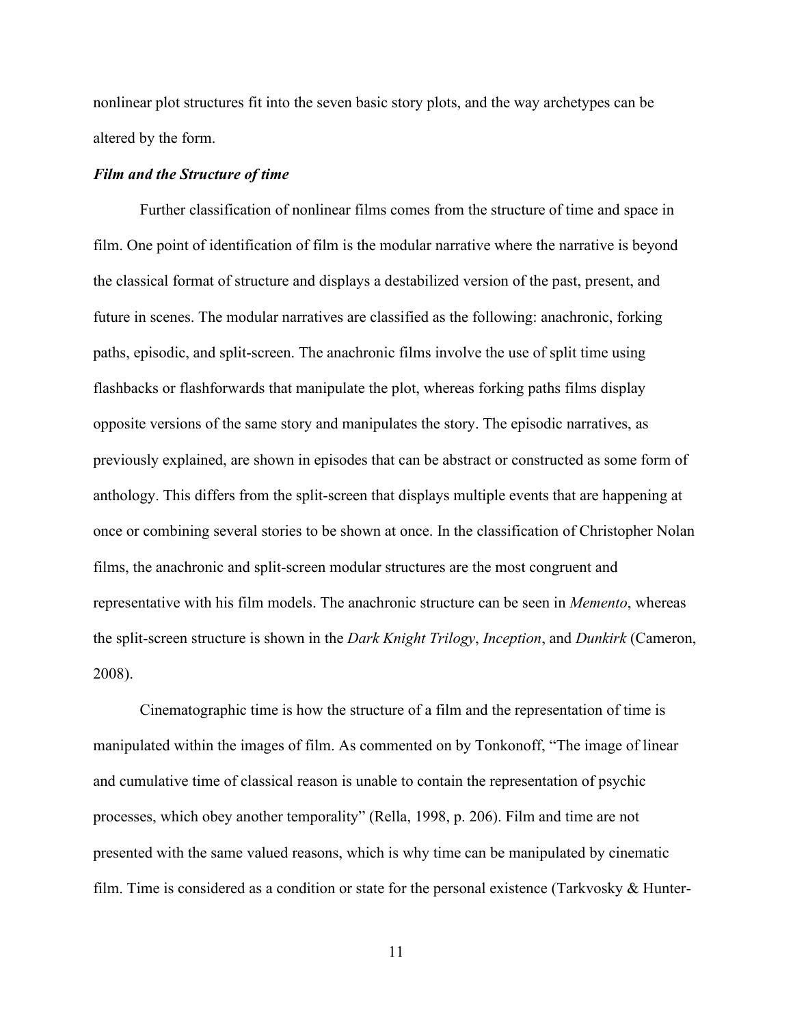nonlinear plot structures fit into the seven basic story plots, and the way archetypes can be altered by the form.

#### <span id="page-18-0"></span>*Film and the Structure of time*

Further classification of nonlinear films comes from the structure of time and space in film. One point of identification of film is the modular narrative where the narrative is beyond the classical format of structure and displays a destabilized version of the past, present, and future in scenes. The modular narratives are classified as the following: anachronic, forking paths, episodic, and split-screen. The anachronic films involve the use of split time using flashbacks or flashforwards that manipulate the plot, whereas forking paths films display opposite versions of the same story and manipulates the story. The episodic narratives, as previously explained, are shown in episodes that can be abstract or constructed as some form of anthology. This differs from the split-screen that displays multiple events that are happening at once or combining several stories to be shown at once. In the classification of Christopher Nolan films, the anachronic and split-screen modular structures are the most congruent and representative with his film models. The anachronic structure can be seen in *Memento*, whereas the split-screen structure is shown in the *Dark Knight Trilogy*, *Inception*, and *Dunkirk* (Cameron, 2008).

Cinematographic time is how the structure of a film and the representation of time is manipulated within the images of film. As commented on by Tonkonoff, "The image of linear and cumulative time of classical reason is unable to contain the representation of psychic processes, which obey another temporality" (Rella, 1998, p. 206). Film and time are not presented with the same valued reasons, which is why time can be manipulated by cinematic film. Time is considered as a condition or state for the personal existence (Tarkvosky  $\&$  Hunter-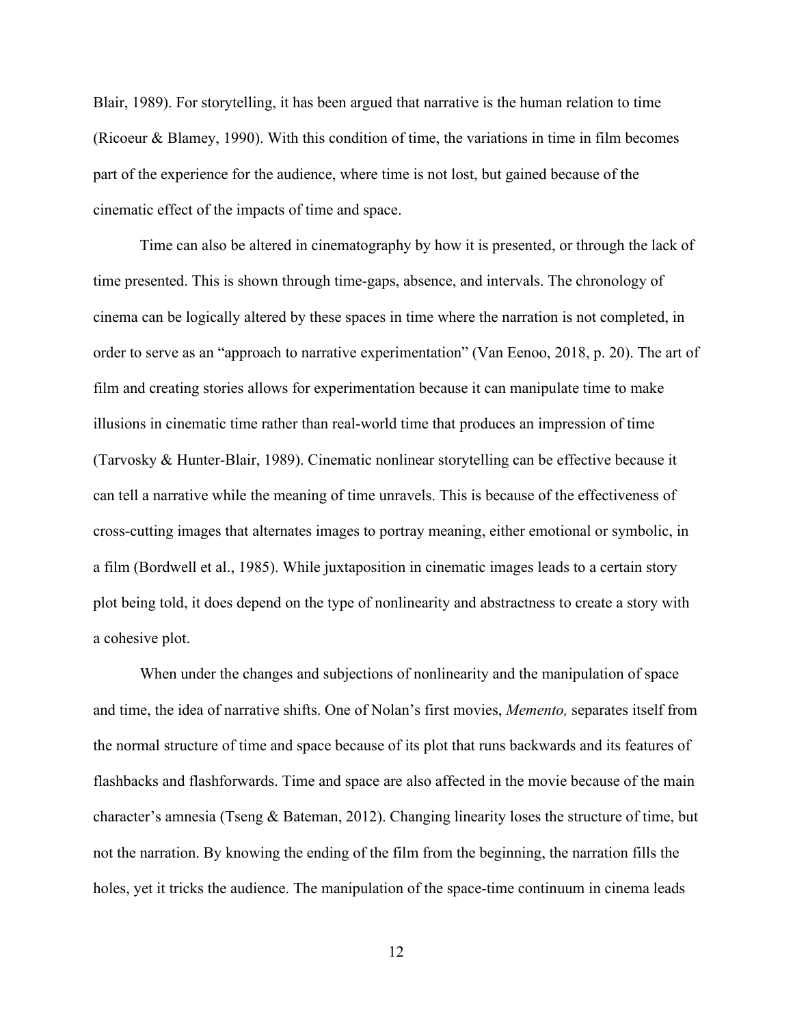Blair, 1989). For storytelling, it has been argued that narrative is the human relation to time (Ricoeur & Blamey, 1990). With this condition of time, the variations in time in film becomes part of the experience for the audience, where time is not lost, but gained because of the cinematic effect of the impacts of time and space.

Time can also be altered in cinematography by how it is presented, or through the lack of time presented. This is shown through time-gaps, absence, and intervals. The chronology of cinema can be logically altered by these spaces in time where the narration is not completed, in order to serve as an "approach to narrative experimentation" (Van Eenoo, 2018, p. 20). The art of film and creating stories allows for experimentation because it can manipulate time to make illusions in cinematic time rather than real-world time that produces an impression of time (Tarvosky & Hunter-Blair, 1989). Cinematic nonlinear storytelling can be effective because it can tell a narrative while the meaning of time unravels. This is because of the effectiveness of cross-cutting images that alternates images to portray meaning, either emotional or symbolic, in a film (Bordwell et al., 1985). While juxtaposition in cinematic images leads to a certain story plot being told, it does depend on the type of nonlinearity and abstractness to create a story with a cohesive plot.

When under the changes and subjections of nonlinearity and the manipulation of space and time, the idea of narrative shifts. One of Nolan's first movies, *Memento,* separates itself from the normal structure of time and space because of its plot that runs backwards and its features of flashbacks and flashforwards. Time and space are also affected in the movie because of the main character's amnesia (Tseng & Bateman, 2012). Changing linearity loses the structure of time, but not the narration. By knowing the ending of the film from the beginning, the narration fills the holes, yet it tricks the audience. The manipulation of the space-time continuum in cinema leads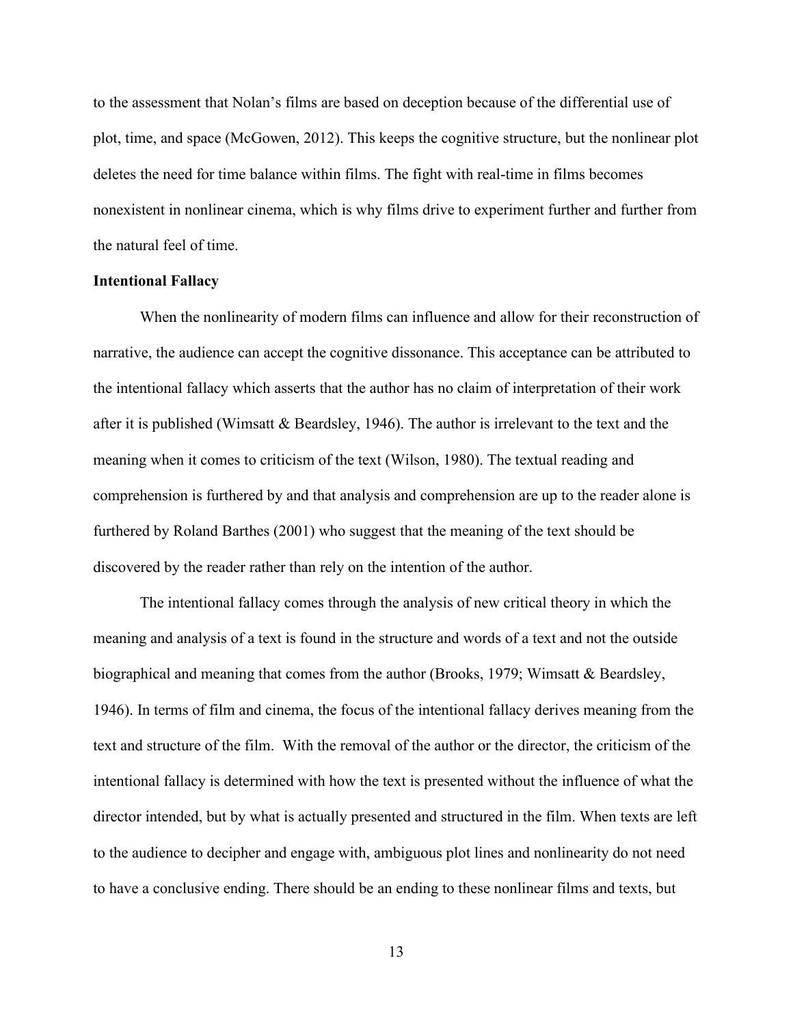to the assessment that Nolan's films are based on deception because of the differential use of plot, time, and space (McGowen, 2012). This keeps the cognitive structure, but the nonlinear plot deletes the need for time balance within films. The fight with real-time in films becomes nonexistent in nonlinear cinema, which is why films drive to experiment further and further from the natural feel of time.

# <span id="page-20-0"></span>**Intentional Fallacy**

When the nonlinearity of modern films can influence and allow for their reconstruction of narrative, the audience can accept the cognitive dissonance. This acceptance can be attributed to the intentional fallacy which asserts that the author has no claim of interpretation of their work after it is published (Wimsatt & Beardsley, 1946). The author is irrelevant to the text and the meaning when it comes to criticism of the text (Wilson, 1980). The textual reading and comprehension is furthered by and that analysis and comprehension are up to the reader alone is furthered by Roland Barthes (2001) who suggest that the meaning of the text should be discovered by the reader rather than rely on the intention of the author.

The intentional fallacy comes through the analysis of new critical theory in which the meaning and analysis of a text is found in the structure and words of a text and not the outside biographical and meaning that comes from the author (Brooks, 1979; Wimsatt & Beardsley, 1946). In terms of film and cinema, the focus of the intentional fallacy derives meaning from the text and structure of the film. With the removal of the author or the director, the criticism of the intentional fallacy is determined with how the text is presented without the influence of what the director intended, but by what is actually presented and structured in the film. When texts are left to the audience to decipher and engage with, ambiguous plot lines and nonlinearity do not need to have a conclusive ending. There should be an ending to these nonlinear films and texts, but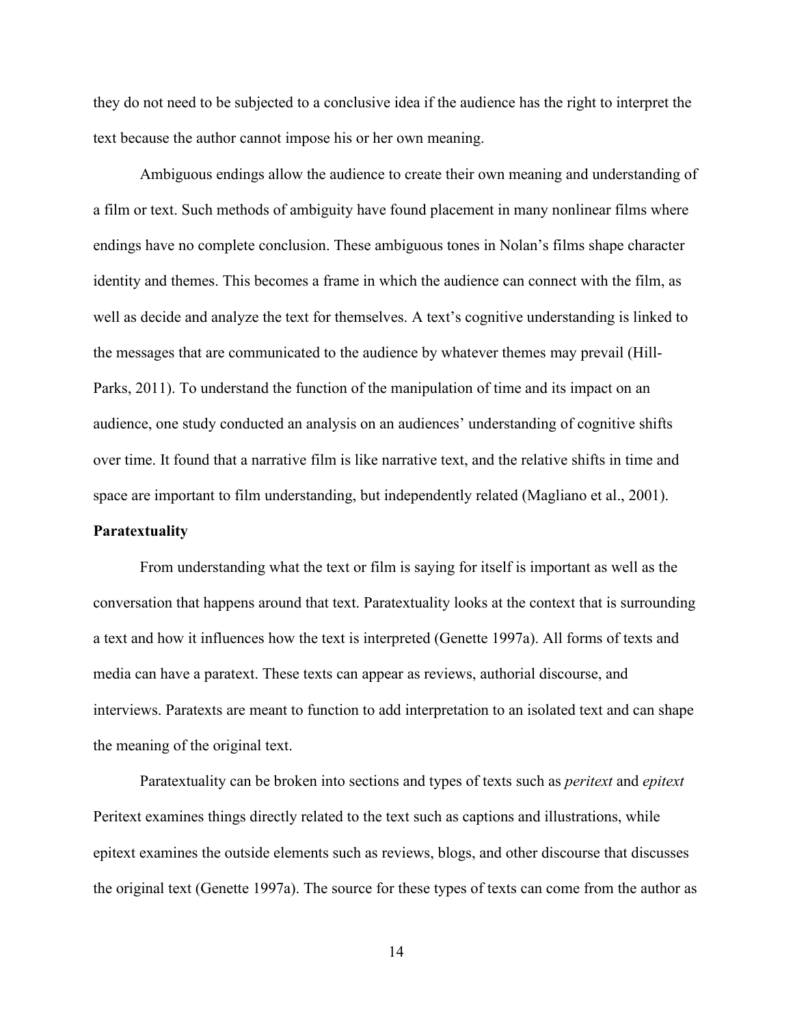they do not need to be subjected to a conclusive idea if the audience has the right to interpret the text because the author cannot impose his or her own meaning.

Ambiguous endings allow the audience to create their own meaning and understanding of a film or text. Such methods of ambiguity have found placement in many nonlinear films where endings have no complete conclusion. These ambiguous tones in Nolan's films shape character identity and themes. This becomes a frame in which the audience can connect with the film, as well as decide and analyze the text for themselves. A text's cognitive understanding is linked to the messages that are communicated to the audience by whatever themes may prevail (Hill-Parks, 2011). To understand the function of the manipulation of time and its impact on an audience, one study conducted an analysis on an audiences' understanding of cognitive shifts over time. It found that a narrative film is like narrative text, and the relative shifts in time and space are important to film understanding, but independently related (Magliano et al., 2001). **Paratextuality**

<span id="page-21-0"></span>From understanding what the text or film is saying for itself is important as well as the conversation that happens around that text. Paratextuality looks at the context that is surrounding a text and how it influences how the text is interpreted (Genette 1997a). All forms of texts and media can have a paratext. These texts can appear as reviews, authorial discourse, and interviews. Paratexts are meant to function to add interpretation to an isolated text and can shape the meaning of the original text.

Paratextuality can be broken into sections and types of texts such as *peritext* and *epitext* Peritext examines things directly related to the text such as captions and illustrations, while epitext examines the outside elements such as reviews, blogs, and other discourse that discusses the original text (Genette 1997a). The source for these types of texts can come from the author as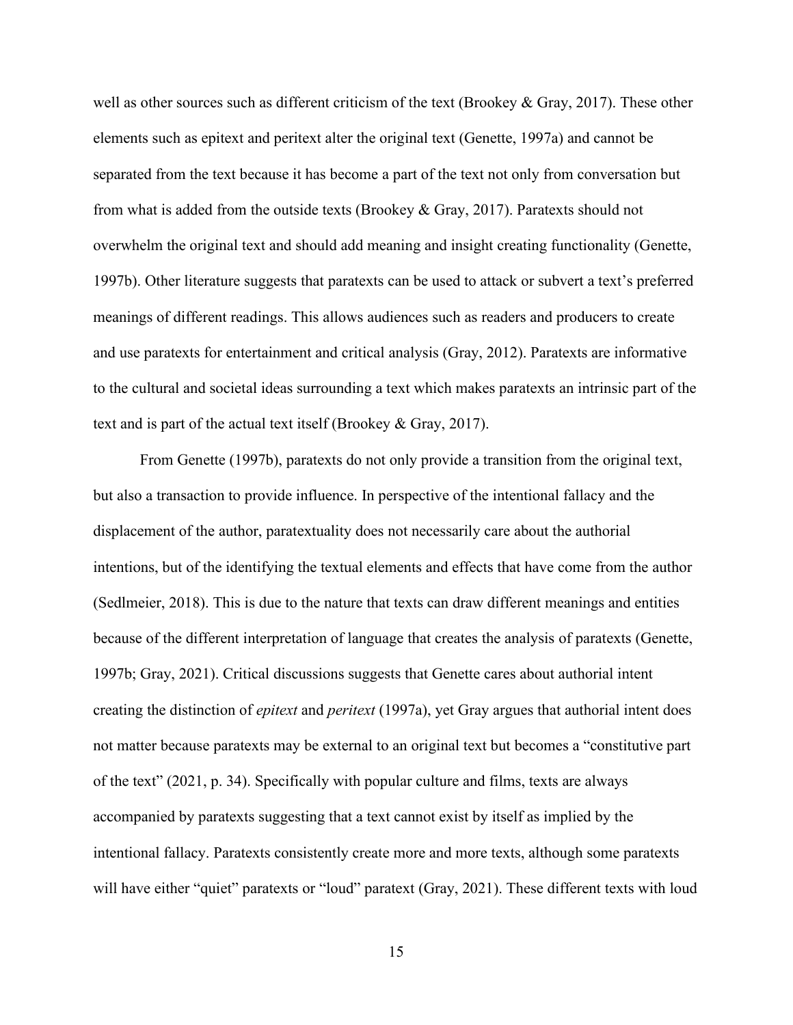well as other sources such as different criticism of the text (Brookey & Gray, 2017). These other elements such as epitext and peritext alter the original text (Genette, 1997a) and cannot be separated from the text because it has become a part of the text not only from conversation but from what is added from the outside texts (Brookey & Gray, 2017). Paratexts should not overwhelm the original text and should add meaning and insight creating functionality (Genette, 1997b). Other literature suggests that paratexts can be used to attack or subvert a text's preferred meanings of different readings. This allows audiences such as readers and producers to create and use paratexts for entertainment and critical analysis (Gray, 2012). Paratexts are informative to the cultural and societal ideas surrounding a text which makes paratexts an intrinsic part of the text and is part of the actual text itself (Brookey & Gray, 2017).

From Genette (1997b), paratexts do not only provide a transition from the original text, but also a transaction to provide influence. In perspective of the intentional fallacy and the displacement of the author, paratextuality does not necessarily care about the authorial intentions, but of the identifying the textual elements and effects that have come from the author (Sedlmeier, 2018). This is due to the nature that texts can draw different meanings and entities because of the different interpretation of language that creates the analysis of paratexts (Genette, 1997b; Gray, 2021). Critical discussions suggests that Genette cares about authorial intent creating the distinction of *epitext* and *peritext* (1997a), yet Gray argues that authorial intent does not matter because paratexts may be external to an original text but becomes a "constitutive part of the text" (2021, p. 34). Specifically with popular culture and films, texts are always accompanied by paratexts suggesting that a text cannot exist by itself as implied by the intentional fallacy. Paratexts consistently create more and more texts, although some paratexts will have either "quiet" paratexts or "loud" paratext (Gray, 2021). These different texts with loud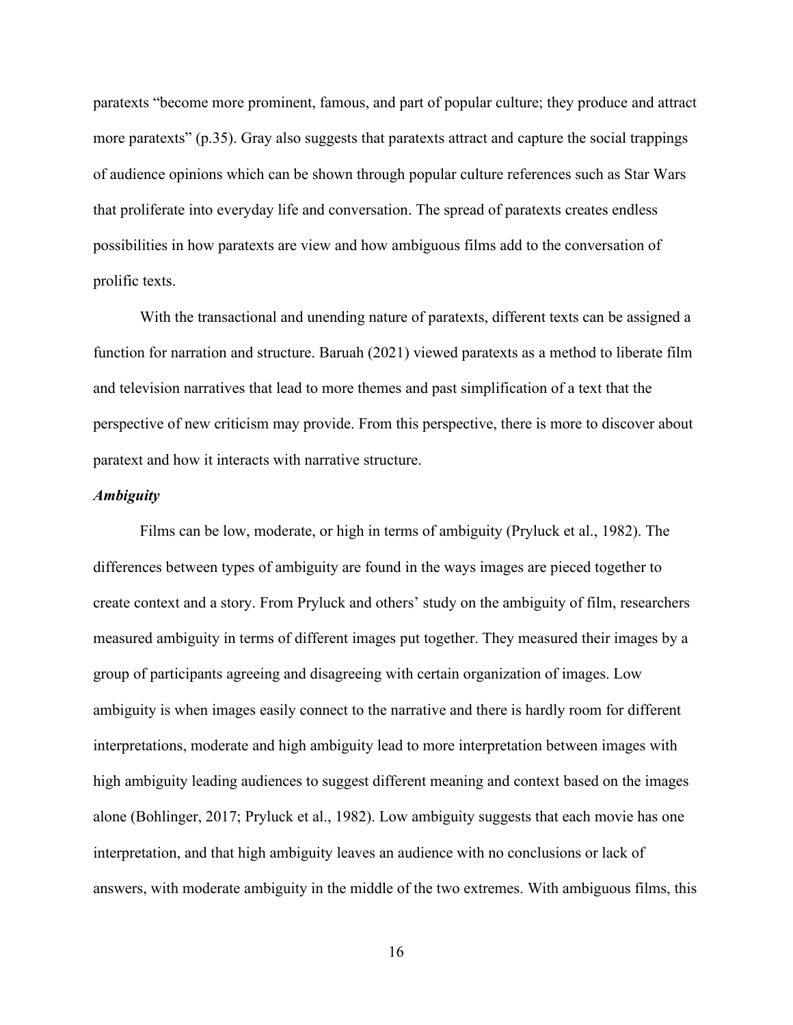paratexts "become more prominent, famous, and part of popular culture; they produce and attract more paratexts" (p.35). Gray also suggests that paratexts attract and capture the social trappings of audience opinions which can be shown through popular culture references such as Star Wars that proliferate into everyday life and conversation. The spread of paratexts creates endless possibilities in how paratexts are view and how ambiguous films add to the conversation of prolific texts.

With the transactional and unending nature of paratexts, different texts can be assigned a function for narration and structure. Baruah (2021) viewed paratexts as a method to liberate film and television narratives that lead to more themes and past simplification of a text that the perspective of new criticism may provide. From this perspective, there is more to discover about paratext and how it interacts with narrative structure.

#### <span id="page-23-0"></span>*Ambiguity*

Films can be low, moderate, or high in terms of ambiguity (Pryluck et al., 1982). The differences between types of ambiguity are found in the ways images are pieced together to create context and a story. From Pryluck and others' study on the ambiguity of film, researchers measured ambiguity in terms of different images put together. They measured their images by a group of participants agreeing and disagreeing with certain organization of images. Low ambiguity is when images easily connect to the narrative and there is hardly room for different interpretations, moderate and high ambiguity lead to more interpretation between images with high ambiguity leading audiences to suggest different meaning and context based on the images alone (Bohlinger, 2017; Pryluck et al., 1982). Low ambiguity suggests that each movie has one interpretation, and that high ambiguity leaves an audience with no conclusions or lack of answers, with moderate ambiguity in the middle of the two extremes. With ambiguous films, this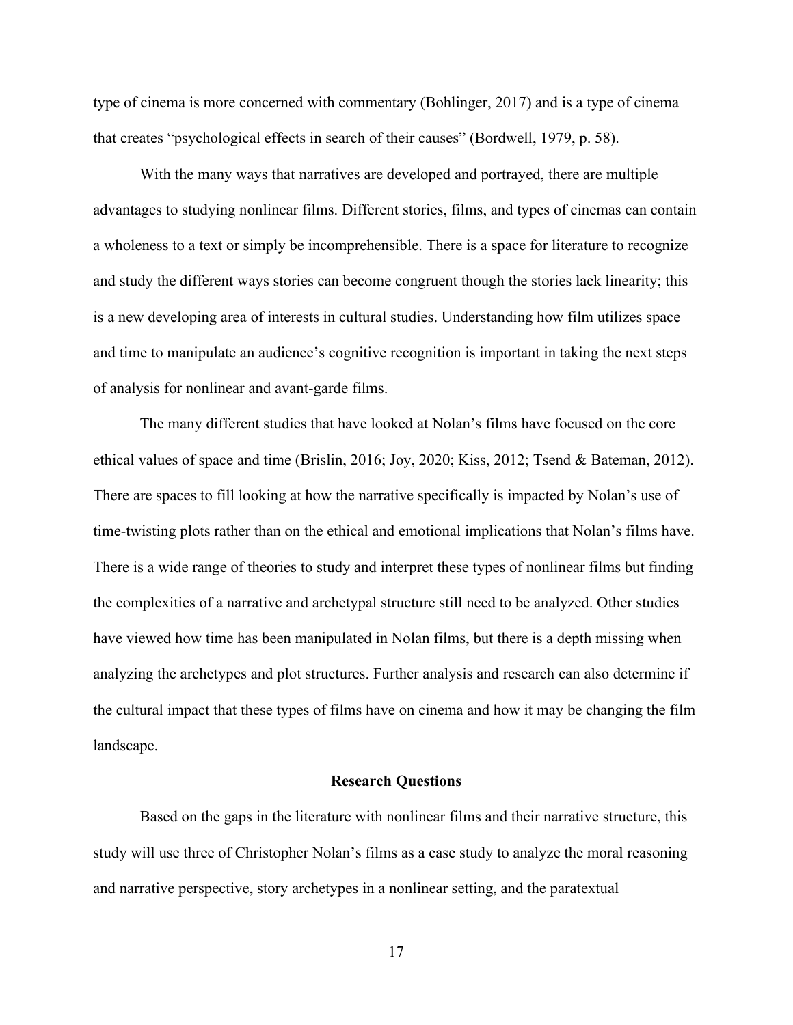type of cinema is more concerned with commentary (Bohlinger, 2017) and is a type of cinema that creates "psychological effects in search of their causes" (Bordwell, 1979, p. 58).

With the many ways that narratives are developed and portrayed, there are multiple advantages to studying nonlinear films. Different stories, films, and types of cinemas can contain a wholeness to a text or simply be incomprehensible. There is a space for literature to recognize and study the different ways stories can become congruent though the stories lack linearity; this is a new developing area of interests in cultural studies. Understanding how film utilizes space and time to manipulate an audience's cognitive recognition is important in taking the next steps of analysis for nonlinear and avant-garde films.

The many different studies that have looked at Nolan's films have focused on the core ethical values of space and time (Brislin, 2016; Joy, 2020; Kiss, 2012; Tsend & Bateman, 2012). There are spaces to fill looking at how the narrative specifically is impacted by Nolan's use of time-twisting plots rather than on the ethical and emotional implications that Nolan's films have. There is a wide range of theories to study and interpret these types of nonlinear films but finding the complexities of a narrative and archetypal structure still need to be analyzed. Other studies have viewed how time has been manipulated in Nolan films, but there is a depth missing when analyzing the archetypes and plot structures. Further analysis and research can also determine if the cultural impact that these types of films have on cinema and how it may be changing the film landscape.

#### **Research Questions**

<span id="page-24-0"></span>Based on the gaps in the literature with nonlinear films and their narrative structure, this study will use three of Christopher Nolan's films as a case study to analyze the moral reasoning and narrative perspective, story archetypes in a nonlinear setting, and the paratextual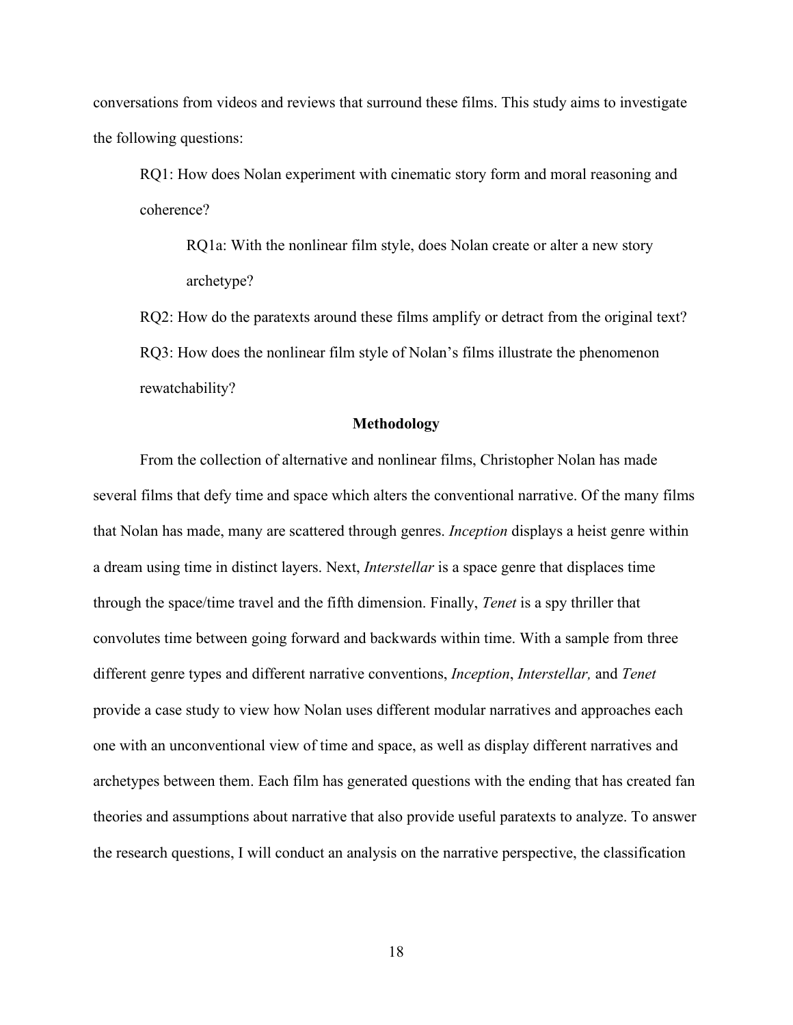conversations from videos and reviews that surround these films. This study aims to investigate the following questions:

RQ1: How does Nolan experiment with cinematic story form and moral reasoning and coherence?

RQ1a: With the nonlinear film style, does Nolan create or alter a new story archetype?

RQ2: How do the paratexts around these films amplify or detract from the original text? RQ3: How does the nonlinear film style of Nolan's films illustrate the phenomenon rewatchability?

#### **Methodology**

<span id="page-25-0"></span>From the collection of alternative and nonlinear films, Christopher Nolan has made several films that defy time and space which alters the conventional narrative. Of the many films that Nolan has made, many are scattered through genres. *Inception* displays a heist genre within a dream using time in distinct layers. Next, *Interstellar* is a space genre that displaces time through the space/time travel and the fifth dimension. Finally, *Tenet* is a spy thriller that convolutes time between going forward and backwards within time. With a sample from three different genre types and different narrative conventions, *Inception*, *Interstellar,* and *Tenet* provide a case study to view how Nolan uses different modular narratives and approaches each one with an unconventional view of time and space, as well as display different narratives and archetypes between them. Each film has generated questions with the ending that has created fan theories and assumptions about narrative that also provide useful paratexts to analyze. To answer the research questions, I will conduct an analysis on the narrative perspective, the classification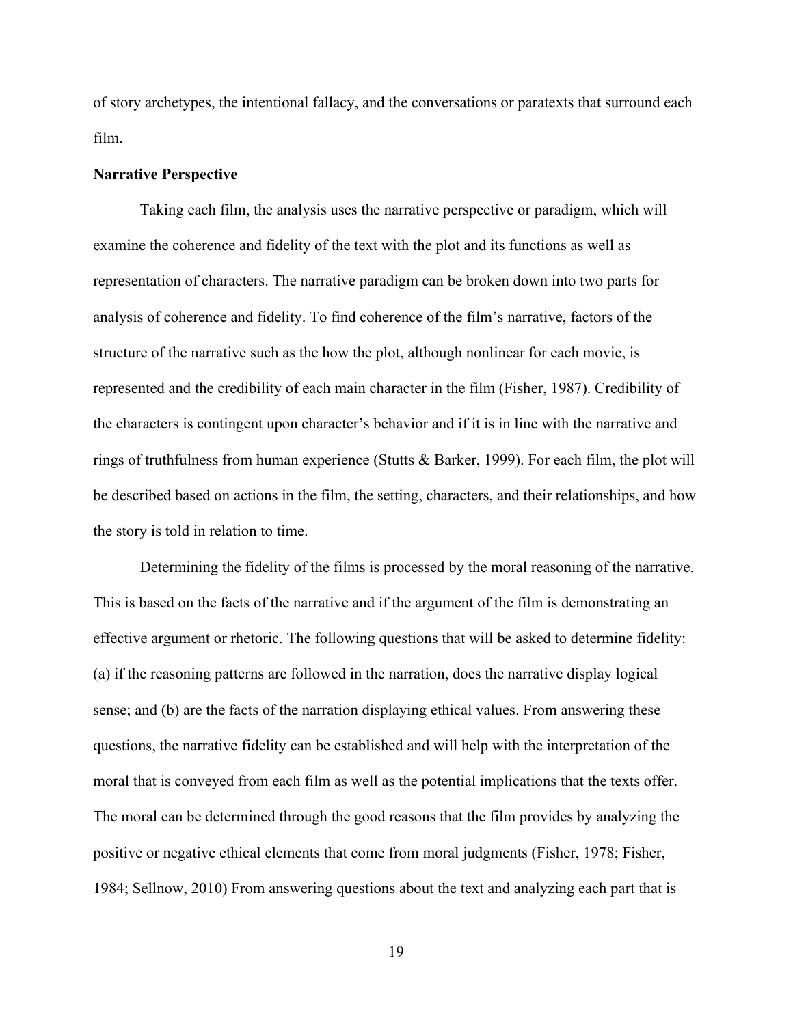of story archetypes, the intentional fallacy, and the conversations or paratexts that surround each film.

#### <span id="page-26-0"></span>**Narrative Perspective**

Taking each film, the analysis uses the narrative perspective or paradigm, which will examine the coherence and fidelity of the text with the plot and its functions as well as representation of characters. The narrative paradigm can be broken down into two parts for analysis of coherence and fidelity. To find coherence of the film's narrative, factors of the structure of the narrative such as the how the plot, although nonlinear for each movie, is represented and the credibility of each main character in the film (Fisher, 1987). Credibility of the characters is contingent upon character's behavior and if it is in line with the narrative and rings of truthfulness from human experience (Stutts & Barker, 1999). For each film, the plot will be described based on actions in the film, the setting, characters, and their relationships, and how the story is told in relation to time.

Determining the fidelity of the films is processed by the moral reasoning of the narrative. This is based on the facts of the narrative and if the argument of the film is demonstrating an effective argument or rhetoric. The following questions that will be asked to determine fidelity: (a) if the reasoning patterns are followed in the narration, does the narrative display logical sense; and (b) are the facts of the narration displaying ethical values. From answering these questions, the narrative fidelity can be established and will help with the interpretation of the moral that is conveyed from each film as well as the potential implications that the texts offer. The moral can be determined through the good reasons that the film provides by analyzing the positive or negative ethical elements that come from moral judgments (Fisher, 1978; Fisher, 1984; Sellnow, 2010) From answering questions about the text and analyzing each part that is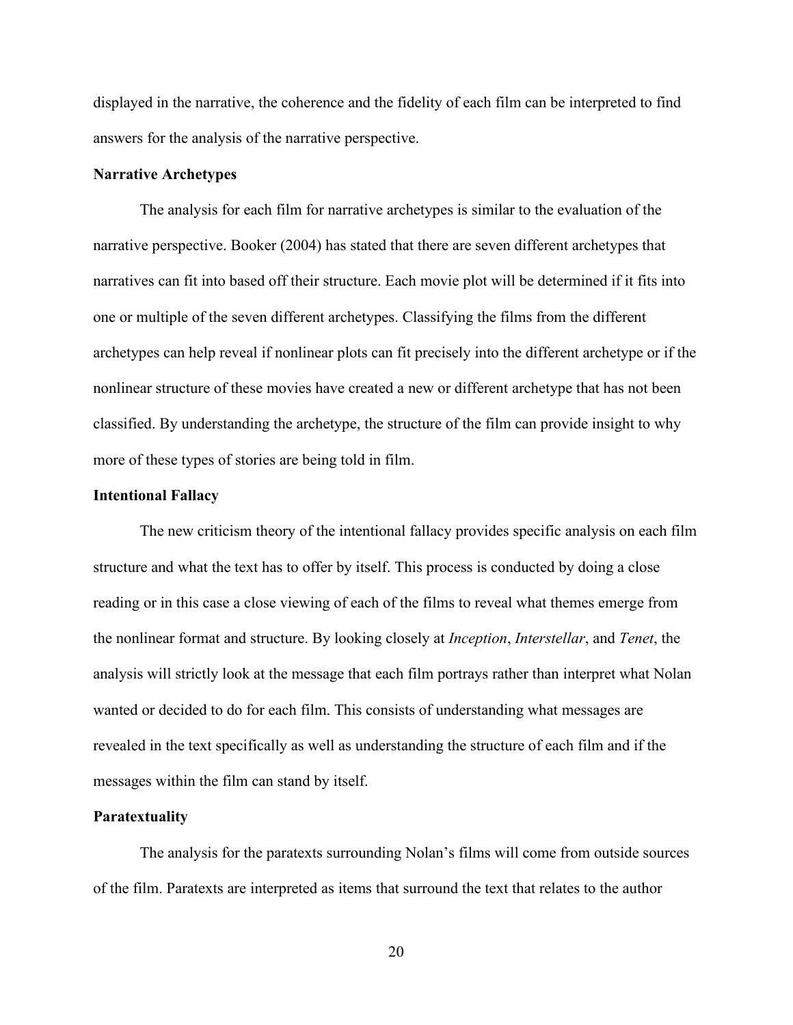displayed in the narrative, the coherence and the fidelity of each film can be interpreted to find answers for the analysis of the narrative perspective.

#### <span id="page-27-0"></span>**Narrative Archetypes**

The analysis for each film for narrative archetypes is similar to the evaluation of the narrative perspective. Booker (2004) has stated that there are seven different archetypes that narratives can fit into based off their structure. Each movie plot will be determined if it fits into one or multiple of the seven different archetypes. Classifying the films from the different archetypes can help reveal if nonlinear plots can fit precisely into the different archetype or if the nonlinear structure of these movies have created a new or different archetype that has not been classified. By understanding the archetype, the structure of the film can provide insight to why more of these types of stories are being told in film.

#### <span id="page-27-1"></span>**Intentional Fallacy**

The new criticism theory of the intentional fallacy provides specific analysis on each film structure and what the text has to offer by itself. This process is conducted by doing a close reading or in this case a close viewing of each of the films to reveal what themes emerge from the nonlinear format and structure. By looking closely at *Inception*, *Interstellar*, and *Tenet*, the analysis will strictly look at the message that each film portrays rather than interpret what Nolan wanted or decided to do for each film. This consists of understanding what messages are revealed in the text specifically as well as understanding the structure of each film and if the messages within the film can stand by itself.

#### <span id="page-27-2"></span>**Paratextuality**

The analysis for the paratexts surrounding Nolan's films will come from outside sources of the film. Paratexts are interpreted as items that surround the text that relates to the author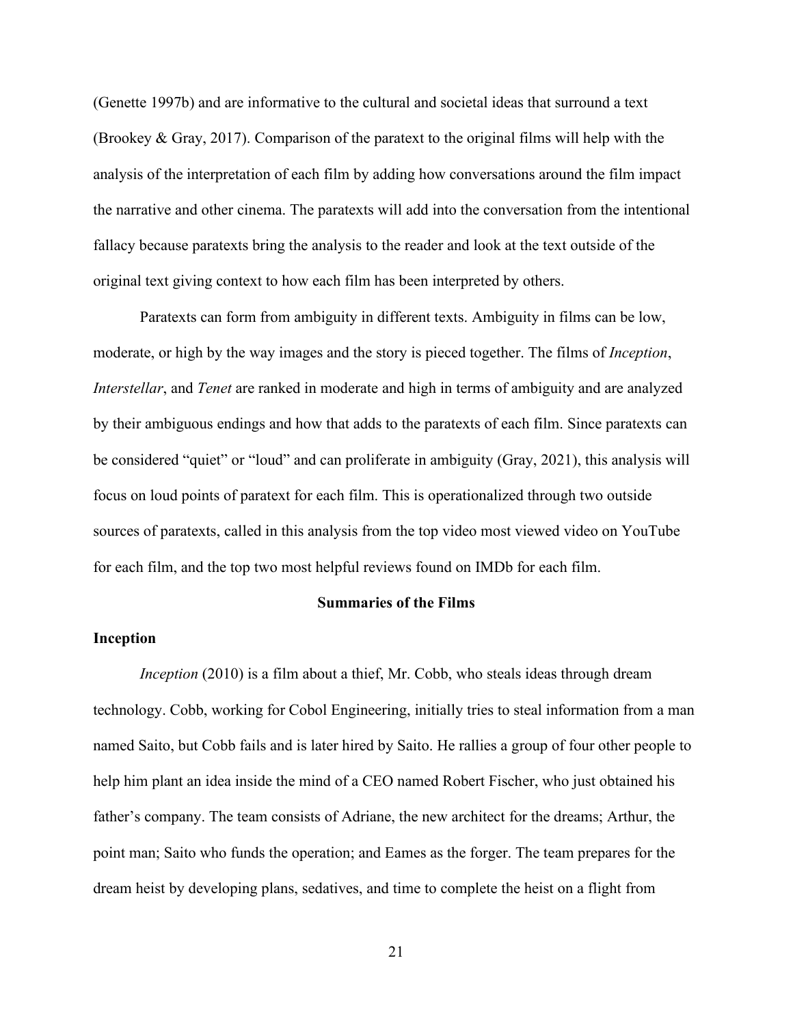(Genette 1997b) and are informative to the cultural and societal ideas that surround a text (Brookey & Gray, 2017). Comparison of the paratext to the original films will help with the analysis of the interpretation of each film by adding how conversations around the film impact the narrative and other cinema. The paratexts will add into the conversation from the intentional fallacy because paratexts bring the analysis to the reader and look at the text outside of the original text giving context to how each film has been interpreted by others.

Paratexts can form from ambiguity in different texts. Ambiguity in films can be low, moderate, or high by the way images and the story is pieced together. The films of *Inception*, *Interstellar*, and *Tenet* are ranked in moderate and high in terms of ambiguity and are analyzed by their ambiguous endings and how that adds to the paratexts of each film. Since paratexts can be considered "quiet" or "loud" and can proliferate in ambiguity (Gray, 2021), this analysis will focus on loud points of paratext for each film. This is operationalized through two outside sources of paratexts, called in this analysis from the top video most viewed video on YouTube for each film, and the top two most helpful reviews found on IMDb for each film.

# **Summaries of the Films**

#### <span id="page-28-1"></span><span id="page-28-0"></span>**Inception**

*Inception* (2010) is a film about a thief, Mr. Cobb, who steals ideas through dream technology. Cobb, working for Cobol Engineering, initially tries to steal information from a man named Saito, but Cobb fails and is later hired by Saito. He rallies a group of four other people to help him plant an idea inside the mind of a CEO named Robert Fischer, who just obtained his father's company. The team consists of Adriane, the new architect for the dreams; Arthur, the point man; Saito who funds the operation; and Eames as the forger. The team prepares for the dream heist by developing plans, sedatives, and time to complete the heist on a flight from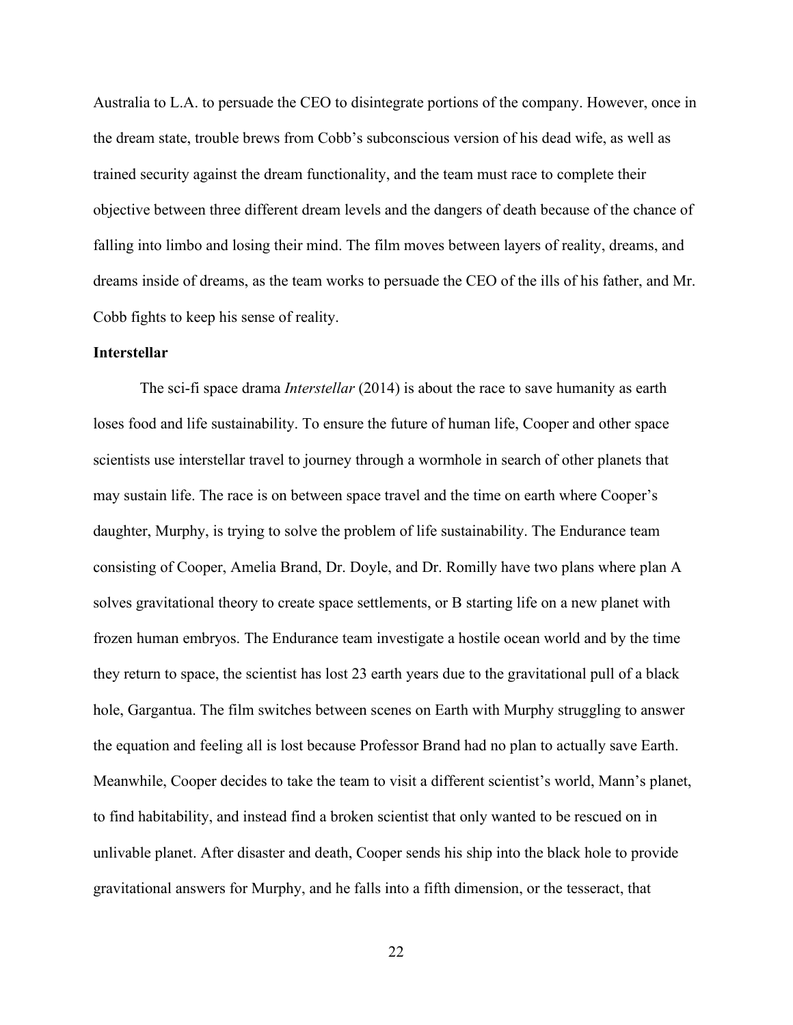Australia to L.A. to persuade the CEO to disintegrate portions of the company. However, once in the dream state, trouble brews from Cobb's subconscious version of his dead wife, as well as trained security against the dream functionality, and the team must race to complete their objective between three different dream levels and the dangers of death because of the chance of falling into limbo and losing their mind. The film moves between layers of reality, dreams, and dreams inside of dreams, as the team works to persuade the CEO of the ills of his father, and Mr. Cobb fights to keep his sense of reality.

# <span id="page-29-0"></span>**Interstellar**

The sci-fi space drama *Interstellar* (2014) is about the race to save humanity as earth loses food and life sustainability. To ensure the future of human life, Cooper and other space scientists use interstellar travel to journey through a wormhole in search of other planets that may sustain life. The race is on between space travel and the time on earth where Cooper's daughter, Murphy, is trying to solve the problem of life sustainability. The Endurance team consisting of Cooper, Amelia Brand, Dr. Doyle, and Dr. Romilly have two plans where plan A solves gravitational theory to create space settlements, or B starting life on a new planet with frozen human embryos. The Endurance team investigate a hostile ocean world and by the time they return to space, the scientist has lost 23 earth years due to the gravitational pull of a black hole, Gargantua. The film switches between scenes on Earth with Murphy struggling to answer the equation and feeling all is lost because Professor Brand had no plan to actually save Earth. Meanwhile, Cooper decides to take the team to visit a different scientist's world, Mann's planet, to find habitability, and instead find a broken scientist that only wanted to be rescued on in unlivable planet. After disaster and death, Cooper sends his ship into the black hole to provide gravitational answers for Murphy, and he falls into a fifth dimension, or the tesseract, that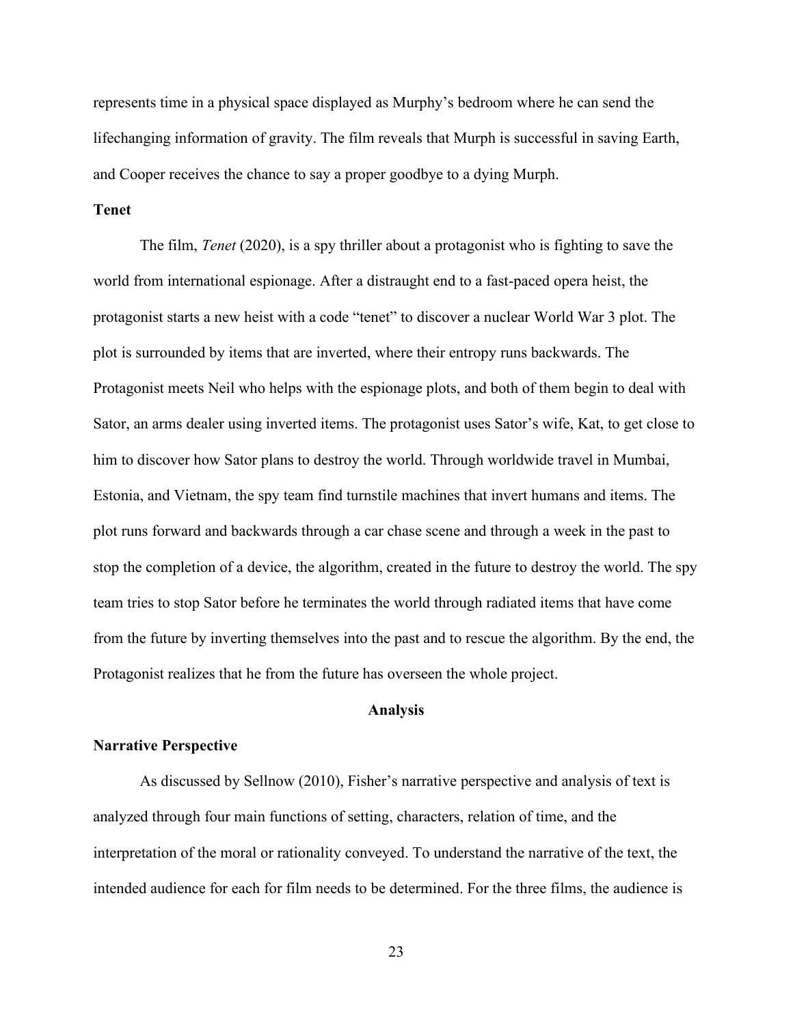represents time in a physical space displayed as Murphy's bedroom where he can send the lifechanging information of gravity. The film reveals that Murph is successful in saving Earth, and Cooper receives the chance to say a proper goodbye to a dying Murph.

# <span id="page-30-0"></span>**Tenet**

The film, *Tenet* (2020), is a spy thriller about a protagonist who is fighting to save the world from international espionage. After a distraught end to a fast-paced opera heist, the protagonist starts a new heist with a code "tenet" to discover a nuclear World War 3 plot. The plot is surrounded by items that are inverted, where their entropy runs backwards. The Protagonist meets Neil who helps with the espionage plots, and both of them begin to deal with Sator, an arms dealer using inverted items. The protagonist uses Sator's wife, Kat, to get close to him to discover how Sator plans to destroy the world. Through worldwide travel in Mumbai, Estonia, and Vietnam, the spy team find turnstile machines that invert humans and items. The plot runs forward and backwards through a car chase scene and through a week in the past to stop the completion of a device, the algorithm, created in the future to destroy the world. The spy team tries to stop Sator before he terminates the world through radiated items that have come from the future by inverting themselves into the past and to rescue the algorithm. By the end, the Protagonist realizes that he from the future has overseen the whole project.

# **Analysis**

#### <span id="page-30-2"></span><span id="page-30-1"></span>**Narrative Perspective**

As discussed by Sellnow (2010), Fisher's narrative perspective and analysis of text is analyzed through four main functions of setting, characters, relation of time, and the interpretation of the moral or rationality conveyed. To understand the narrative of the text, the intended audience for each for film needs to be determined. For the three films, the audience is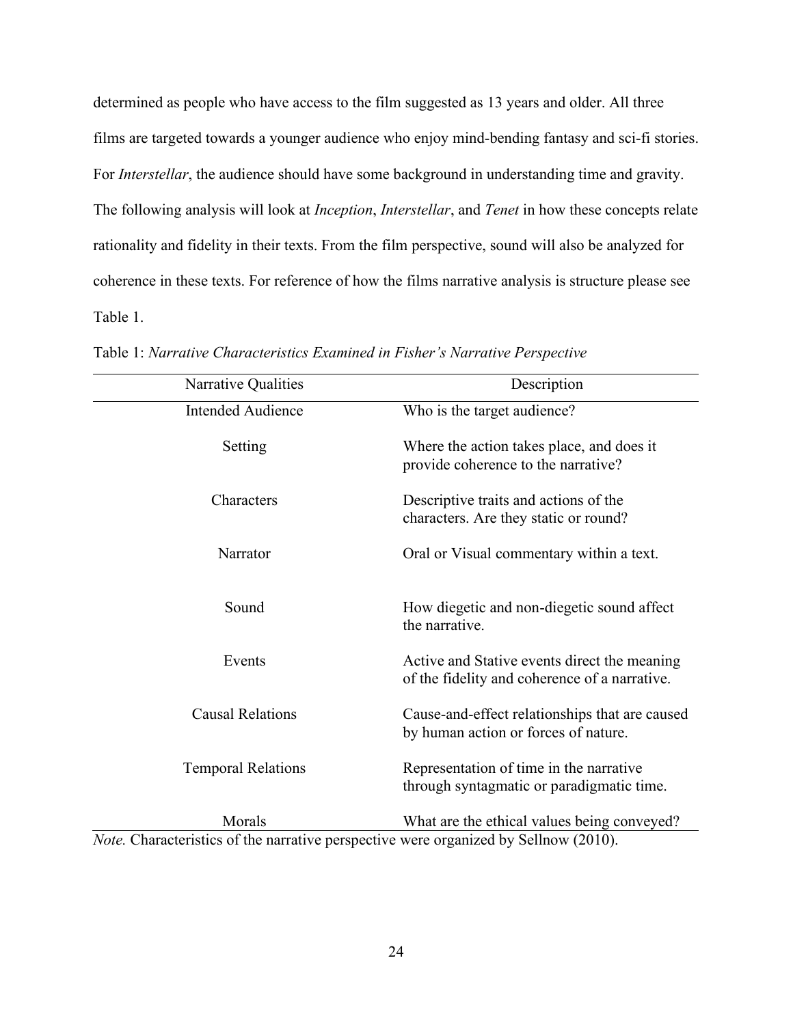determined as people who have access to the film suggested as 13 years and older. All three films are targeted towards a younger audience who enjoy mind-bending fantasy and sci-fi stories. For *Interstellar*, the audience should have some background in understanding time and gravity. The following analysis will look at *Inception*, *Interstellar*, and *Tenet* in how these concepts relate rationality and fidelity in their texts. From the film perspective, sound will also be analyzed for coherence in these texts. For reference of how the films narrative analysis is structure please see Table 1.

| Narrative Qualities                                                                         | Description                                                                                   |  |
|---------------------------------------------------------------------------------------------|-----------------------------------------------------------------------------------------------|--|
| <b>Intended Audience</b>                                                                    | Who is the target audience?                                                                   |  |
| Setting                                                                                     | Where the action takes place, and does it<br>provide coherence to the narrative?              |  |
| Characters                                                                                  | Descriptive traits and actions of the<br>characters. Are they static or round?                |  |
| Narrator                                                                                    | Oral or Visual commentary within a text.                                                      |  |
| Sound                                                                                       | How diegetic and non-diegetic sound affect<br>the narrative.                                  |  |
| Events                                                                                      | Active and Stative events direct the meaning<br>of the fidelity and coherence of a narrative. |  |
| <b>Causal Relations</b>                                                                     | Cause-and-effect relationships that are caused<br>by human action or forces of nature.        |  |
| <b>Temporal Relations</b>                                                                   | Representation of time in the narrative<br>through syntagmatic or paradigmatic time.          |  |
| Morals                                                                                      | What are the ethical values being conveyed?                                                   |  |
| <i>Note.</i> Characteristics of the narrative perspective were organized by Sellnow (2010). |                                                                                               |  |

<span id="page-31-0"></span>Table 1: *Narrative Characteristics Examined in Fisher's Narrative Perspective*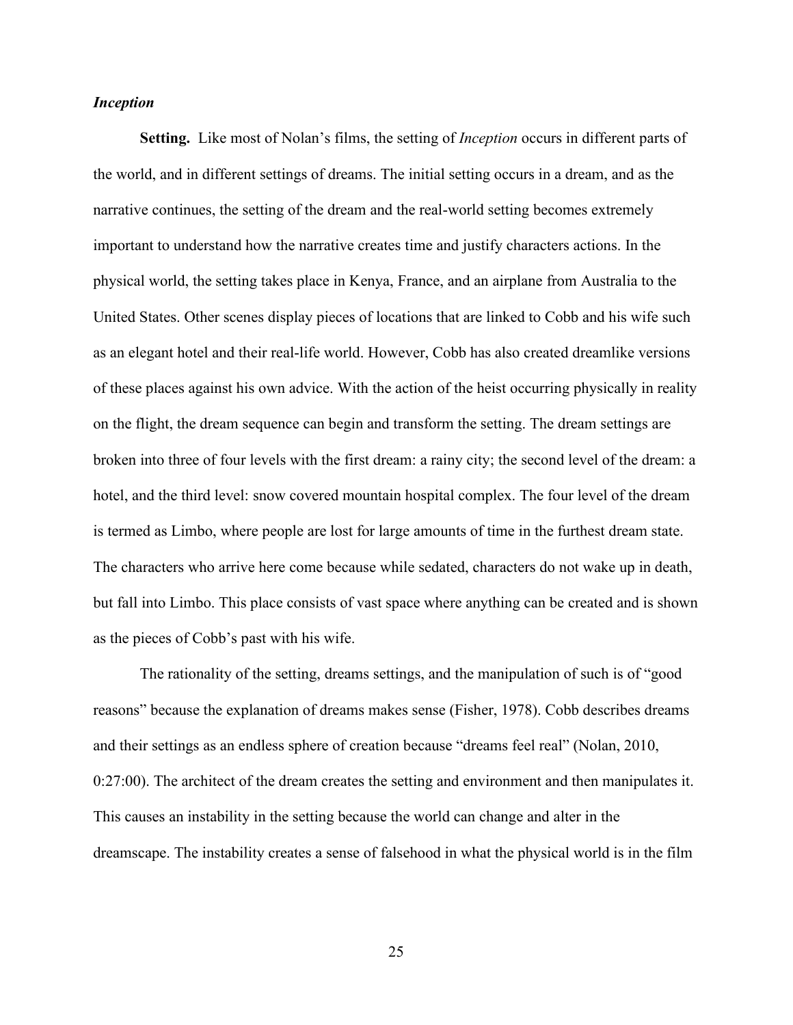# <span id="page-32-0"></span>*Inception*

<span id="page-32-1"></span>**Setting.** Like most of Nolan's films, the setting of *Inception* occurs in different parts of the world, and in different settings of dreams. The initial setting occurs in a dream, and as the narrative continues, the setting of the dream and the real-world setting becomes extremely important to understand how the narrative creates time and justify characters actions. In the physical world, the setting takes place in Kenya, France, and an airplane from Australia to the United States. Other scenes display pieces of locations that are linked to Cobb and his wife such as an elegant hotel and their real-life world. However, Cobb has also created dreamlike versions of these places against his own advice. With the action of the heist occurring physically in reality on the flight, the dream sequence can begin and transform the setting. The dream settings are broken into three of four levels with the first dream: a rainy city; the second level of the dream: a hotel, and the third level: snow covered mountain hospital complex. The four level of the dream is termed as Limbo, where people are lost for large amounts of time in the furthest dream state. The characters who arrive here come because while sedated, characters do not wake up in death, but fall into Limbo. This place consists of vast space where anything can be created and is shown as the pieces of Cobb's past with his wife.

The rationality of the setting, dreams settings, and the manipulation of such is of "good reasons" because the explanation of dreams makes sense (Fisher, 1978). Cobb describes dreams and their settings as an endless sphere of creation because "dreams feel real" (Nolan, 2010, 0:27:00). The architect of the dream creates the setting and environment and then manipulates it. This causes an instability in the setting because the world can change and alter in the dreamscape. The instability creates a sense of falsehood in what the physical world is in the film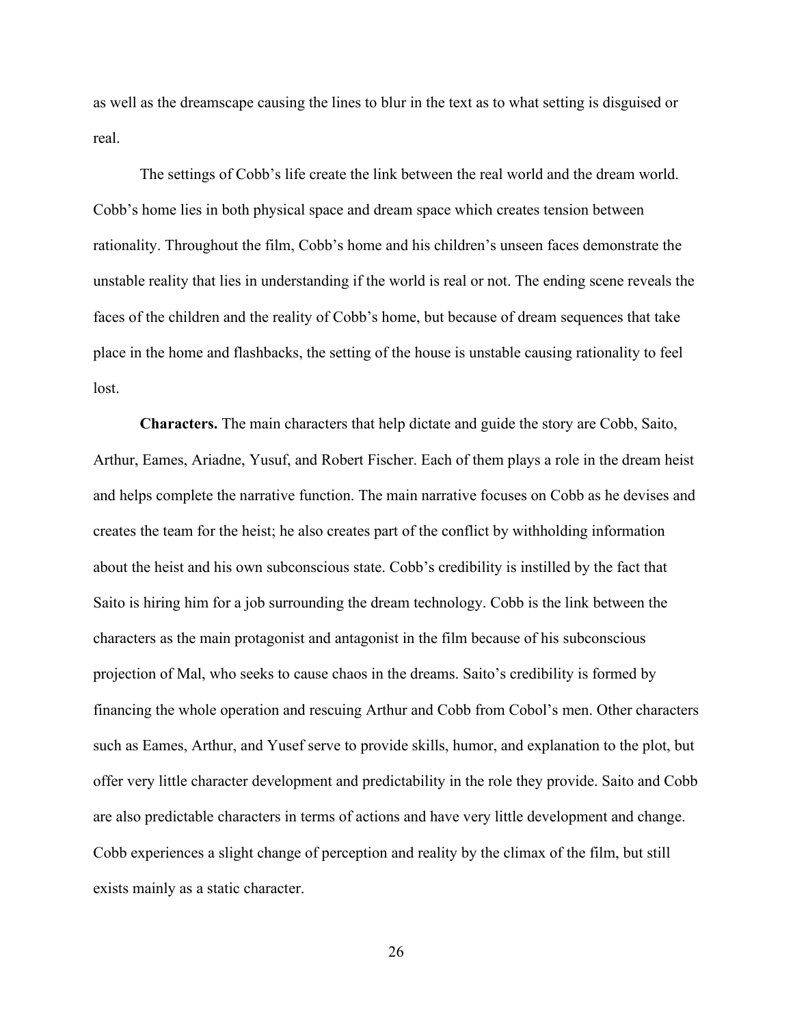as well as the dreamscape causing the lines to blur in the text as to what setting is disguised or real.

The settings of Cobb's life create the link between the real world and the dream world. Cobb's home lies in both physical space and dream space which creates tension between rationality. Throughout the film, Cobb's home and his children's unseen faces demonstrate the unstable reality that lies in understanding if the world is real or not. The ending scene reveals the faces of the children and the reality of Cobb's home, but because of dream sequences that take place in the home and flashbacks, the setting of the house is unstable causing rationality to feel lost.

<span id="page-33-0"></span>**Characters.** The main characters that help dictate and guide the story are Cobb, Saito, Arthur, Eames, Ariadne, Yusuf, and Robert Fischer. Each of them plays a role in the dream heist and helps complete the narrative function. The main narrative focuses on Cobb as he devises and creates the team for the heist; he also creates part of the conflict by withholding information about the heist and his own subconscious state. Cobb's credibility is instilled by the fact that Saito is hiring him for a job surrounding the dream technology. Cobb is the link between the characters as the main protagonist and antagonist in the film because of his subconscious projection of Mal, who seeks to cause chaos in the dreams. Saito's credibility is formed by financing the whole operation and rescuing Arthur and Cobb from Cobol's men. Other characters such as Eames, Arthur, and Yusef serve to provide skills, humor, and explanation to the plot, but offer very little character development and predictability in the role they provide. Saito and Cobb are also predictable characters in terms of actions and have very little development and change. Cobb experiences a slight change of perception and reality by the climax of the film, but still exists mainly as a static character.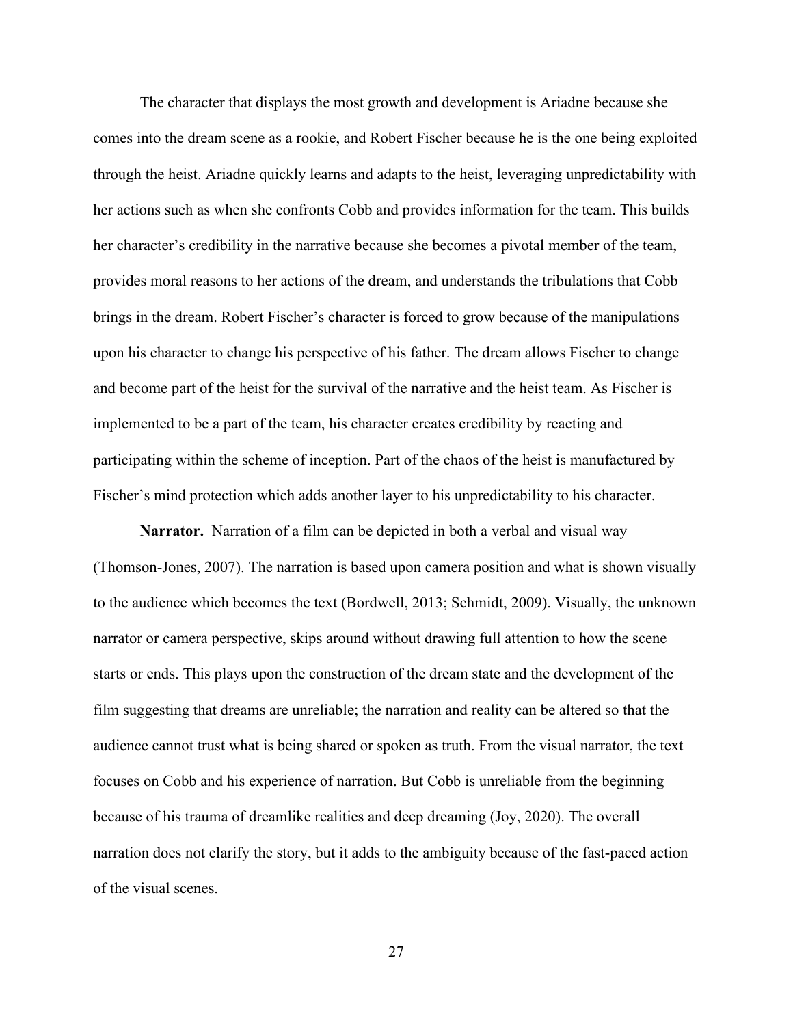The character that displays the most growth and development is Ariadne because she comes into the dream scene as a rookie, and Robert Fischer because he is the one being exploited through the heist. Ariadne quickly learns and adapts to the heist, leveraging unpredictability with her actions such as when she confronts Cobb and provides information for the team. This builds her character's credibility in the narrative because she becomes a pivotal member of the team, provides moral reasons to her actions of the dream, and understands the tribulations that Cobb brings in the dream. Robert Fischer's character is forced to grow because of the manipulations upon his character to change his perspective of his father. The dream allows Fischer to change and become part of the heist for the survival of the narrative and the heist team. As Fischer is implemented to be a part of the team, his character creates credibility by reacting and participating within the scheme of inception. Part of the chaos of the heist is manufactured by Fischer's mind protection which adds another layer to his unpredictability to his character.

<span id="page-34-0"></span>**Narrator.** Narration of a film can be depicted in both a verbal and visual way (Thomson-Jones, 2007). The narration is based upon camera position and what is shown visually to the audience which becomes the text (Bordwell, 2013; Schmidt, 2009). Visually, the unknown narrator or camera perspective, skips around without drawing full attention to how the scene starts or ends. This plays upon the construction of the dream state and the development of the film suggesting that dreams are unreliable; the narration and reality can be altered so that the audience cannot trust what is being shared or spoken as truth. From the visual narrator, the text focuses on Cobb and his experience of narration. But Cobb is unreliable from the beginning because of his trauma of dreamlike realities and deep dreaming (Joy, 2020). The overall narration does not clarify the story, but it adds to the ambiguity because of the fast-paced action of the visual scenes.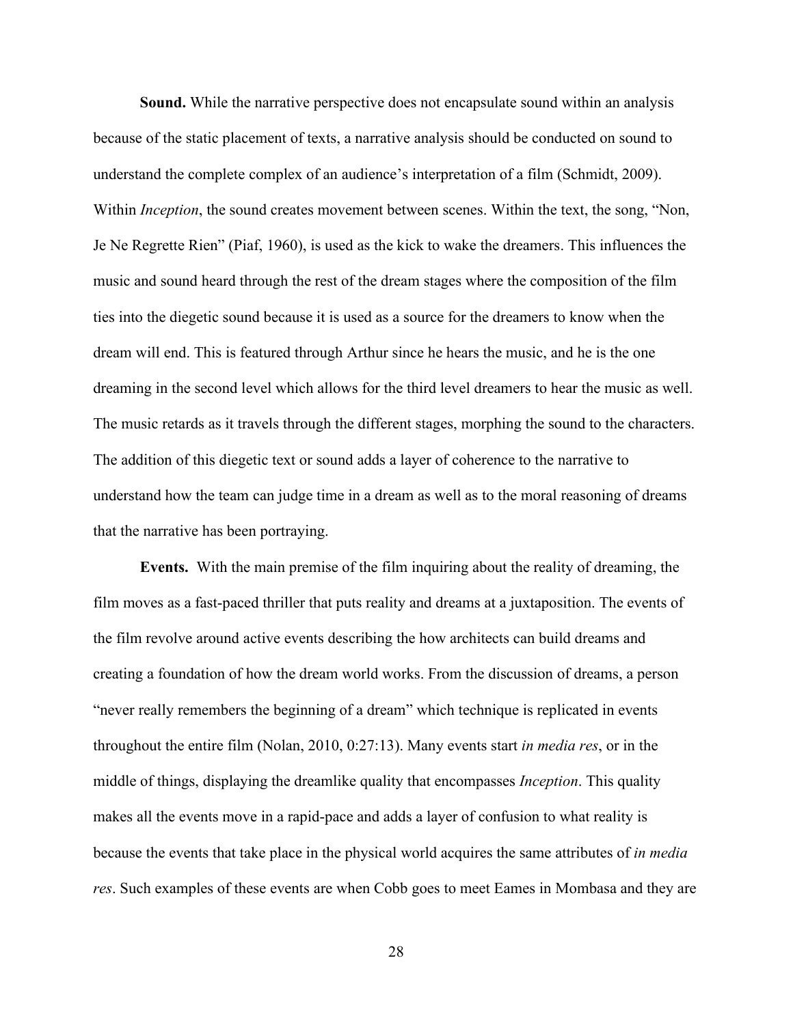<span id="page-35-0"></span>**Sound.** While the narrative perspective does not encapsulate sound within an analysis because of the static placement of texts, a narrative analysis should be conducted on sound to understand the complete complex of an audience's interpretation of a film (Schmidt, 2009). Within *Inception*, the sound creates movement between scenes. Within the text, the song, "Non, Je Ne Regrette Rien" (Piaf, 1960), is used as the kick to wake the dreamers. This influences the music and sound heard through the rest of the dream stages where the composition of the film ties into the diegetic sound because it is used as a source for the dreamers to know when the dream will end. This is featured through Arthur since he hears the music, and he is the one dreaming in the second level which allows for the third level dreamers to hear the music as well. The music retards as it travels through the different stages, morphing the sound to the characters. The addition of this diegetic text or sound adds a layer of coherence to the narrative to understand how the team can judge time in a dream as well as to the moral reasoning of dreams that the narrative has been portraying.

<span id="page-35-1"></span>**Events.** With the main premise of the film inquiring about the reality of dreaming, the film moves as a fast-paced thriller that puts reality and dreams at a juxtaposition. The events of the film revolve around active events describing the how architects can build dreams and creating a foundation of how the dream world works. From the discussion of dreams, a person "never really remembers the beginning of a dream" which technique is replicated in events throughout the entire film (Nolan, 2010, 0:27:13). Many events start *in media res*, or in the middle of things, displaying the dreamlike quality that encompasses *Inception*. This quality makes all the events move in a rapid-pace and adds a layer of confusion to what reality is because the events that take place in the physical world acquires the same attributes of *in media res*. Such examples of these events are when Cobb goes to meet Eames in Mombasa and they are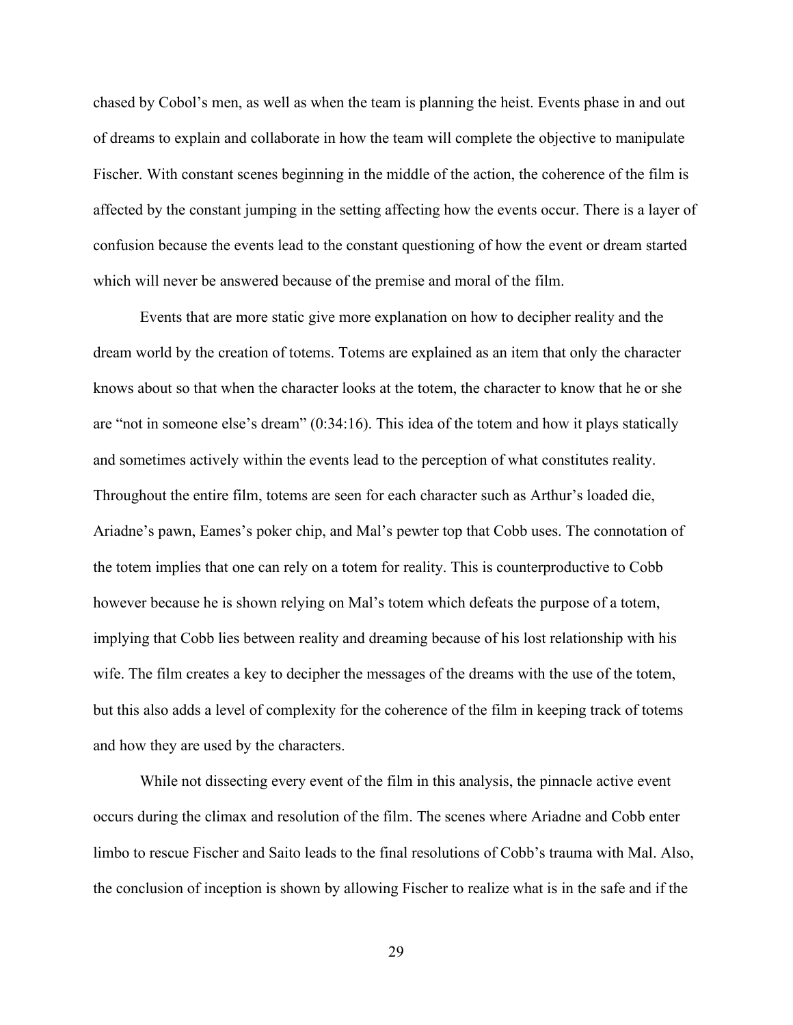chased by Cobol's men, as well as when the team is planning the heist. Events phase in and out of dreams to explain and collaborate in how the team will complete the objective to manipulate Fischer. With constant scenes beginning in the middle of the action, the coherence of the film is affected by the constant jumping in the setting affecting how the events occur. There is a layer of confusion because the events lead to the constant questioning of how the event or dream started which will never be answered because of the premise and moral of the film.

Events that are more static give more explanation on how to decipher reality and the dream world by the creation of totems. Totems are explained as an item that only the character knows about so that when the character looks at the totem, the character to know that he or she are "not in someone else's dream" (0:34:16). This idea of the totem and how it plays statically and sometimes actively within the events lead to the perception of what constitutes reality. Throughout the entire film, totems are seen for each character such as Arthur's loaded die, Ariadne's pawn, Eames's poker chip, and Mal's pewter top that Cobb uses. The connotation of the totem implies that one can rely on a totem for reality. This is counterproductive to Cobb however because he is shown relying on Mal's totem which defeats the purpose of a totem, implying that Cobb lies between reality and dreaming because of his lost relationship with his wife. The film creates a key to decipher the messages of the dreams with the use of the totem, but this also adds a level of complexity for the coherence of the film in keeping track of totems and how they are used by the characters.

While not dissecting every event of the film in this analysis, the pinnacle active event occurs during the climax and resolution of the film. The scenes where Ariadne and Cobb enter limbo to rescue Fischer and Saito leads to the final resolutions of Cobb's trauma with Mal. Also, the conclusion of inception is shown by allowing Fischer to realize what is in the safe and if the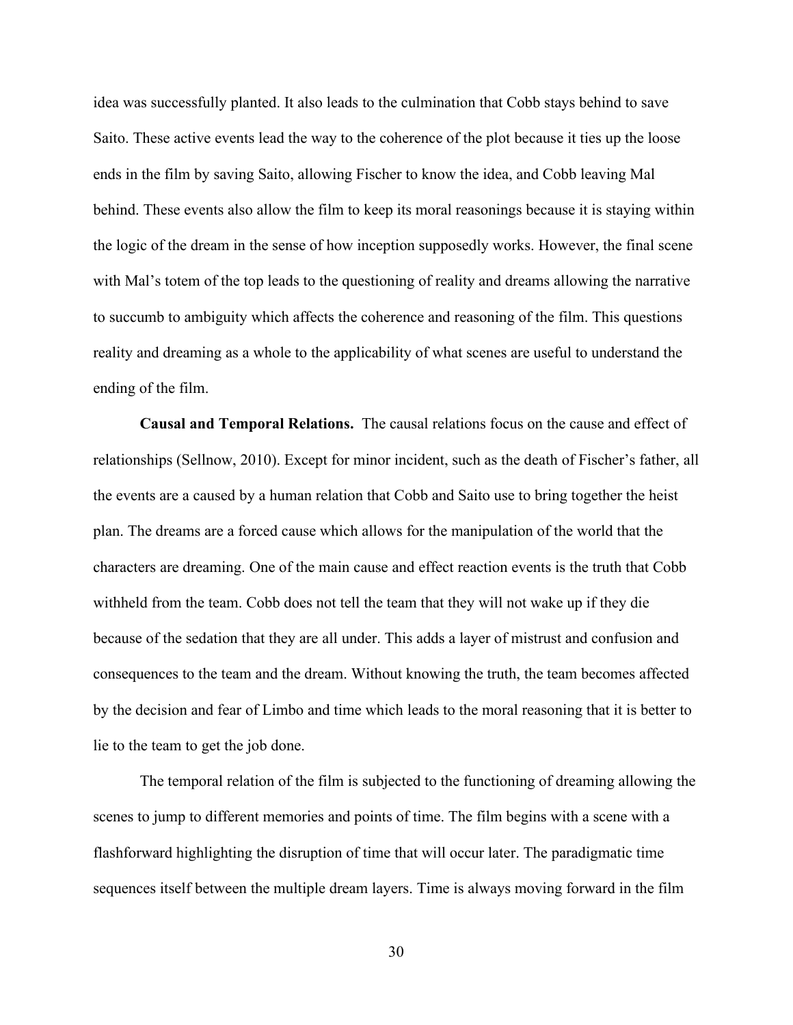idea was successfully planted. It also leads to the culmination that Cobb stays behind to save Saito. These active events lead the way to the coherence of the plot because it ties up the loose ends in the film by saving Saito, allowing Fischer to know the idea, and Cobb leaving Mal behind. These events also allow the film to keep its moral reasonings because it is staying within the logic of the dream in the sense of how inception supposedly works. However, the final scene with Mal's totem of the top leads to the questioning of reality and dreams allowing the narrative to succumb to ambiguity which affects the coherence and reasoning of the film. This questions reality and dreaming as a whole to the applicability of what scenes are useful to understand the ending of the film.

**Causal and Temporal Relations.** The causal relations focus on the cause and effect of relationships (Sellnow, 2010). Except for minor incident, such as the death of Fischer's father, all the events are a caused by a human relation that Cobb and Saito use to bring together the heist plan. The dreams are a forced cause which allows for the manipulation of the world that the characters are dreaming. One of the main cause and effect reaction events is the truth that Cobb withheld from the team. Cobb does not tell the team that they will not wake up if they die because of the sedation that they are all under. This adds a layer of mistrust and confusion and consequences to the team and the dream. Without knowing the truth, the team becomes affected by the decision and fear of Limbo and time which leads to the moral reasoning that it is better to lie to the team to get the job done.

The temporal relation of the film is subjected to the functioning of dreaming allowing the scenes to jump to different memories and points of time. The film begins with a scene with a flashforward highlighting the disruption of time that will occur later. The paradigmatic time sequences itself between the multiple dream layers. Time is always moving forward in the film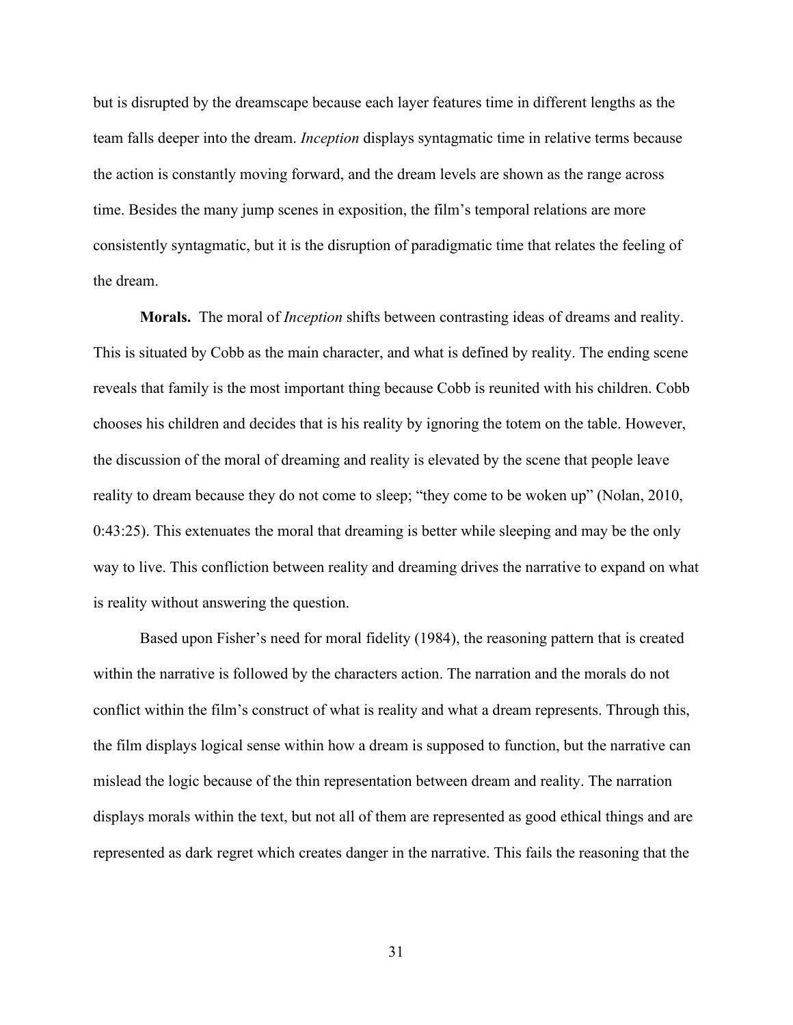but is disrupted by the dreamscape because each layer features time in different lengths as the team falls deeper into the dream. *Inception* displays syntagmatic time in relative terms because the action is constantly moving forward, and the dream levels are shown as the range across time. Besides the many jump scenes in exposition, the film's temporal relations are more consistently syntagmatic, but it is the disruption of paradigmatic time that relates the feeling of the dream.

**Morals.** The moral of *Inception* shifts between contrasting ideas of dreams and reality. This is situated by Cobb as the main character, and what is defined by reality. The ending scene reveals that family is the most important thing because Cobb is reunited with his children. Cobb chooses his children and decides that is his reality by ignoring the totem on the table. However, the discussion of the moral of dreaming and reality is elevated by the scene that people leave reality to dream because they do not come to sleep; "they come to be woken up" (Nolan, 2010, 0:43:25). This extenuates the moral that dreaming is better while sleeping and may be the only way to live. This confliction between reality and dreaming drives the narrative to expand on what is reality without answering the question.

Based upon Fisher's need for moral fidelity (1984), the reasoning pattern that is created within the narrative is followed by the characters action. The narration and the morals do not conflict within the film's construct of what is reality and what a dream represents. Through this, the film displays logical sense within how a dream is supposed to function, but the narrative can mislead the logic because of the thin representation between dream and reality. The narration displays morals within the text, but not all of them are represented as good ethical things and are represented as dark regret which creates danger in the narrative. This fails the reasoning that the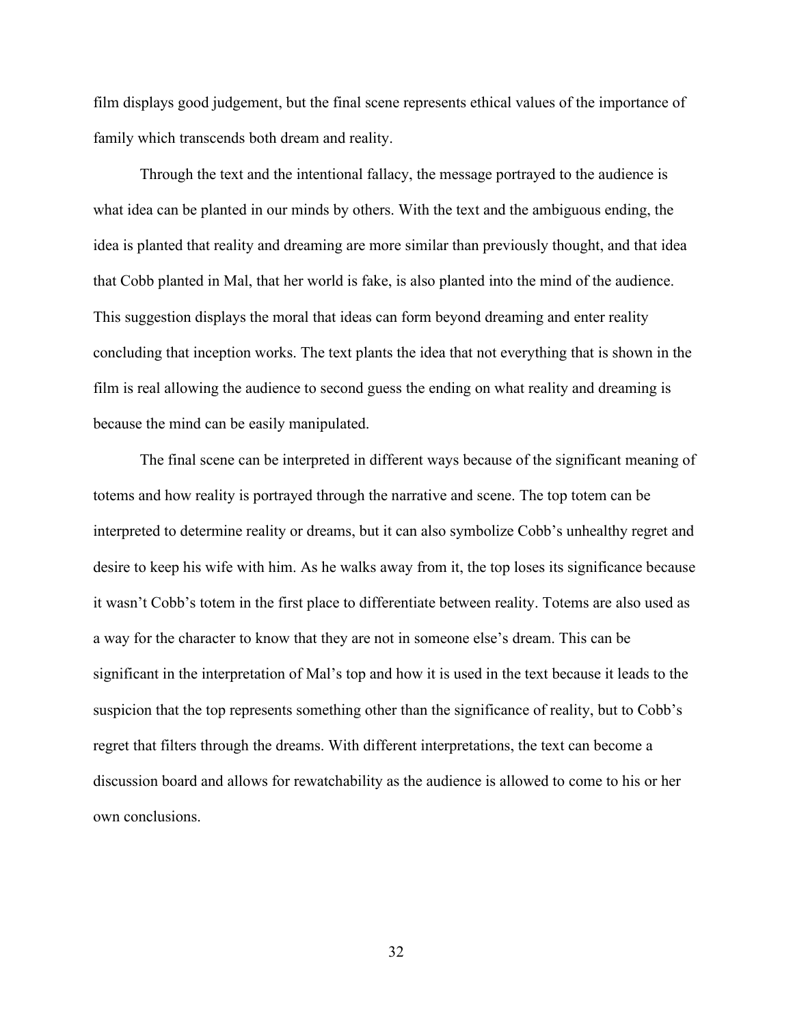film displays good judgement, but the final scene represents ethical values of the importance of family which transcends both dream and reality.

Through the text and the intentional fallacy, the message portrayed to the audience is what idea can be planted in our minds by others. With the text and the ambiguous ending, the idea is planted that reality and dreaming are more similar than previously thought, and that idea that Cobb planted in Mal, that her world is fake, is also planted into the mind of the audience. This suggestion displays the moral that ideas can form beyond dreaming and enter reality concluding that inception works. The text plants the idea that not everything that is shown in the film is real allowing the audience to second guess the ending on what reality and dreaming is because the mind can be easily manipulated.

The final scene can be interpreted in different ways because of the significant meaning of totems and how reality is portrayed through the narrative and scene. The top totem can be interpreted to determine reality or dreams, but it can also symbolize Cobb's unhealthy regret and desire to keep his wife with him. As he walks away from it, the top loses its significance because it wasn't Cobb's totem in the first place to differentiate between reality. Totems are also used as a way for the character to know that they are not in someone else's dream. This can be significant in the interpretation of Mal's top and how it is used in the text because it leads to the suspicion that the top represents something other than the significance of reality, but to Cobb's regret that filters through the dreams. With different interpretations, the text can become a discussion board and allows for rewatchability as the audience is allowed to come to his or her own conclusions.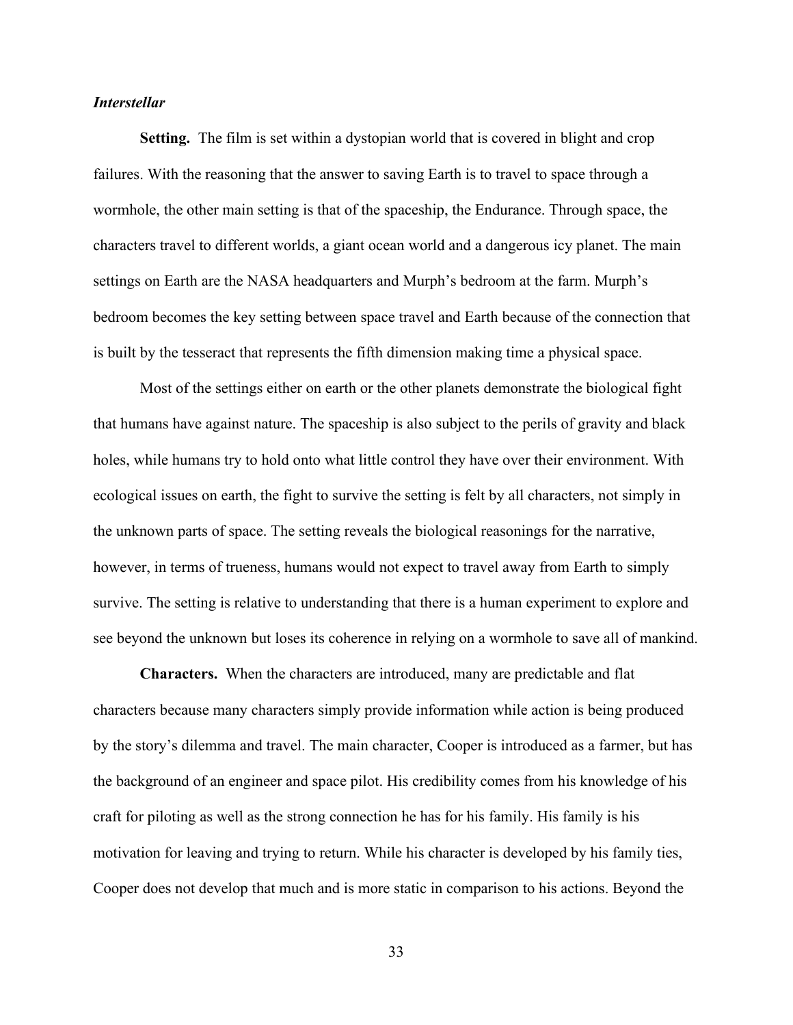## *Interstellar*

**Setting.** The film is set within a dystopian world that is covered in blight and crop failures. With the reasoning that the answer to saving Earth is to travel to space through a wormhole, the other main setting is that of the spaceship, the Endurance. Through space, the characters travel to different worlds, a giant ocean world and a dangerous icy planet. The main settings on Earth are the NASA headquarters and Murph's bedroom at the farm. Murph's bedroom becomes the key setting between space travel and Earth because of the connection that is built by the tesseract that represents the fifth dimension making time a physical space.

Most of the settings either on earth or the other planets demonstrate the biological fight that humans have against nature. The spaceship is also subject to the perils of gravity and black holes, while humans try to hold onto what little control they have over their environment. With ecological issues on earth, the fight to survive the setting is felt by all characters, not simply in the unknown parts of space. The setting reveals the biological reasonings for the narrative, however, in terms of trueness, humans would not expect to travel away from Earth to simply survive. The setting is relative to understanding that there is a human experiment to explore and see beyond the unknown but loses its coherence in relying on a wormhole to save all of mankind.

**Characters.** When the characters are introduced, many are predictable and flat characters because many characters simply provide information while action is being produced by the story's dilemma and travel. The main character, Cooper is introduced as a farmer, but has the background of an engineer and space pilot. His credibility comes from his knowledge of his craft for piloting as well as the strong connection he has for his family. His family is his motivation for leaving and trying to return. While his character is developed by his family ties, Cooper does not develop that much and is more static in comparison to his actions. Beyond the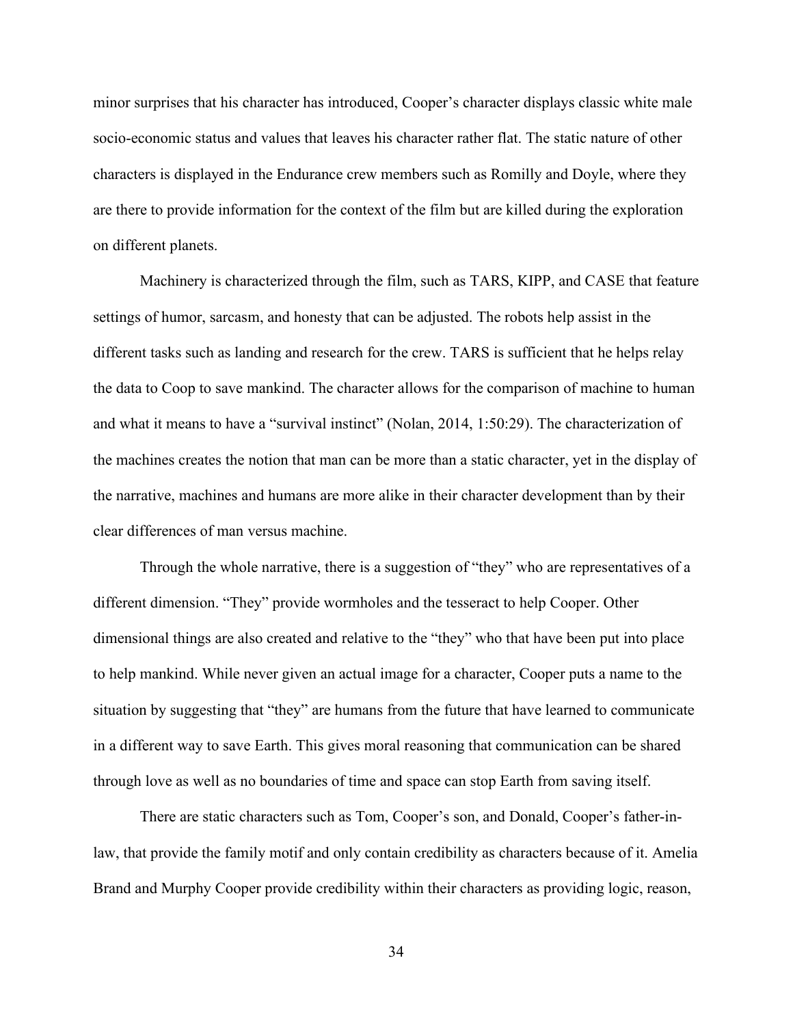minor surprises that his character has introduced, Cooper's character displays classic white male socio-economic status and values that leaves his character rather flat. The static nature of other characters is displayed in the Endurance crew members such as Romilly and Doyle, where they are there to provide information for the context of the film but are killed during the exploration on different planets.

Machinery is characterized through the film, such as TARS, KIPP, and CASE that feature settings of humor, sarcasm, and honesty that can be adjusted. The robots help assist in the different tasks such as landing and research for the crew. TARS is sufficient that he helps relay the data to Coop to save mankind. The character allows for the comparison of machine to human and what it means to have a "survival instinct" (Nolan, 2014, 1:50:29). The characterization of the machines creates the notion that man can be more than a static character, yet in the display of the narrative, machines and humans are more alike in their character development than by their clear differences of man versus machine.

Through the whole narrative, there is a suggestion of "they" who are representatives of a different dimension. "They" provide wormholes and the tesseract to help Cooper. Other dimensional things are also created and relative to the "they" who that have been put into place to help mankind. While never given an actual image for a character, Cooper puts a name to the situation by suggesting that "they" are humans from the future that have learned to communicate in a different way to save Earth. This gives moral reasoning that communication can be shared through love as well as no boundaries of time and space can stop Earth from saving itself.

There are static characters such as Tom, Cooper's son, and Donald, Cooper's father-inlaw, that provide the family motif and only contain credibility as characters because of it. Amelia Brand and Murphy Cooper provide credibility within their characters as providing logic, reason,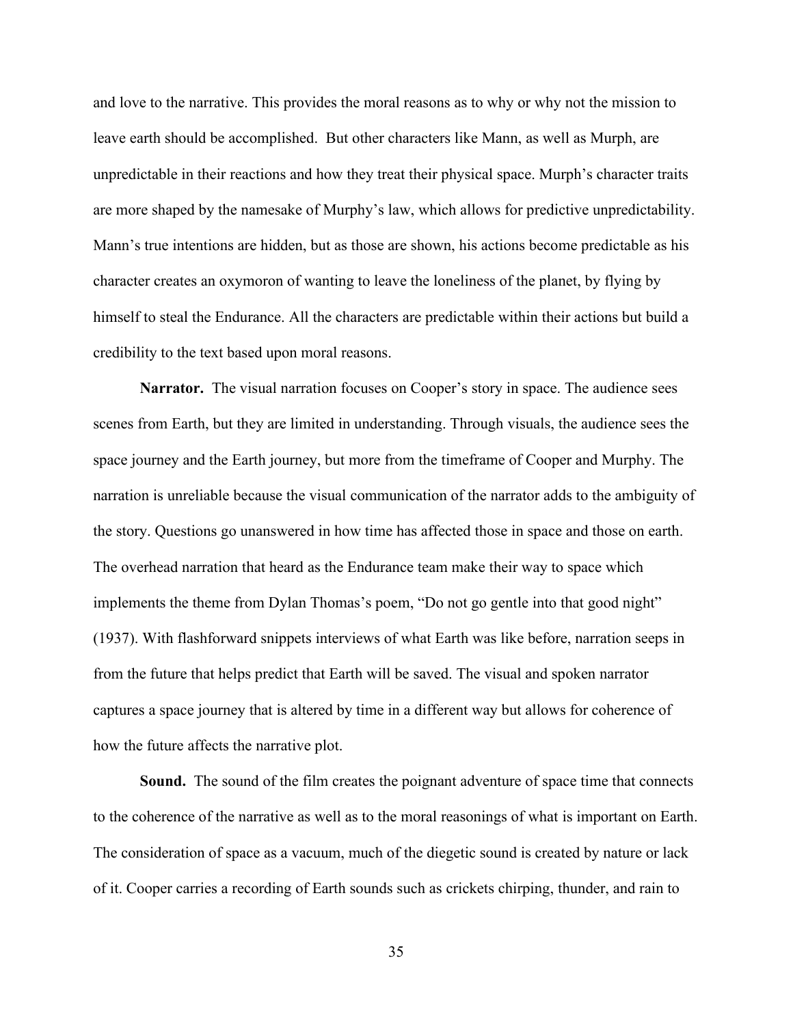and love to the narrative. This provides the moral reasons as to why or why not the mission to leave earth should be accomplished. But other characters like Mann, as well as Murph, are unpredictable in their reactions and how they treat their physical space. Murph's character traits are more shaped by the namesake of Murphy's law, which allows for predictive unpredictability. Mann's true intentions are hidden, but as those are shown, his actions become predictable as his character creates an oxymoron of wanting to leave the loneliness of the planet, by flying by himself to steal the Endurance. All the characters are predictable within their actions but build a credibility to the text based upon moral reasons.

**Narrator.** The visual narration focuses on Cooper's story in space. The audience sees scenes from Earth, but they are limited in understanding. Through visuals, the audience sees the space journey and the Earth journey, but more from the timeframe of Cooper and Murphy. The narration is unreliable because the visual communication of the narrator adds to the ambiguity of the story. Questions go unanswered in how time has affected those in space and those on earth. The overhead narration that heard as the Endurance team make their way to space which implements the theme from Dylan Thomas's poem, "Do not go gentle into that good night" (1937). With flashforward snippets interviews of what Earth was like before, narration seeps in from the future that helps predict that Earth will be saved. The visual and spoken narrator captures a space journey that is altered by time in a different way but allows for coherence of how the future affects the narrative plot.

**Sound.** The sound of the film creates the poignant adventure of space time that connects to the coherence of the narrative as well as to the moral reasonings of what is important on Earth. The consideration of space as a vacuum, much of the diegetic sound is created by nature or lack of it. Cooper carries a recording of Earth sounds such as crickets chirping, thunder, and rain to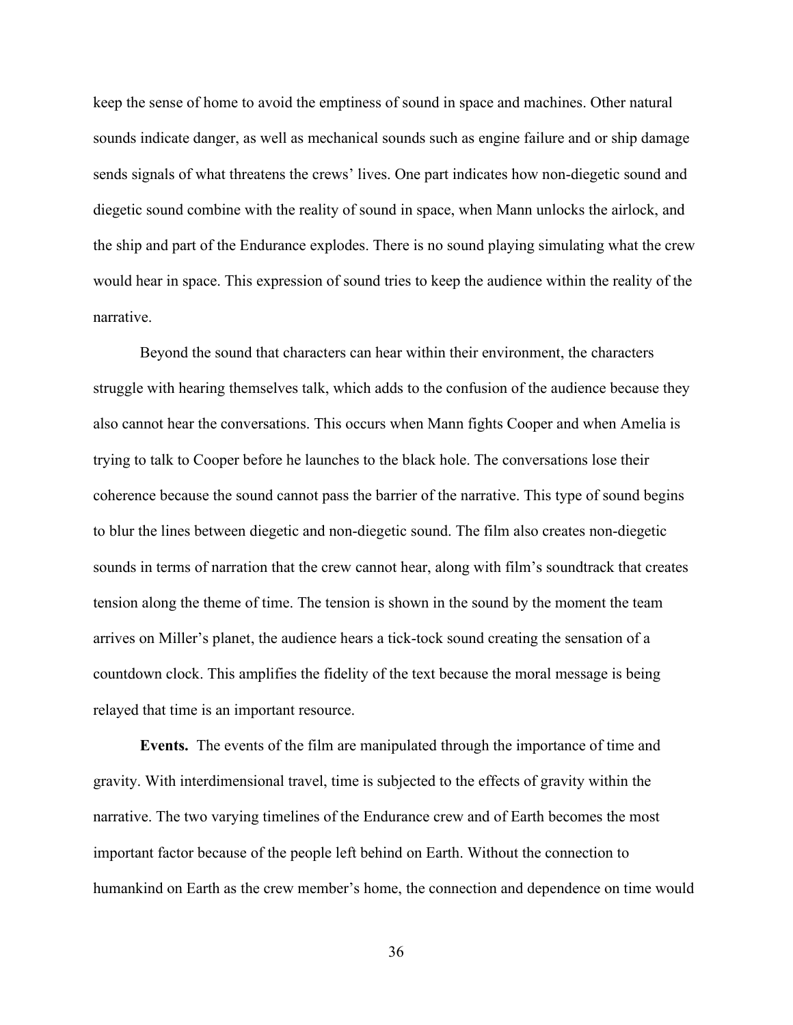keep the sense of home to avoid the emptiness of sound in space and machines. Other natural sounds indicate danger, as well as mechanical sounds such as engine failure and or ship damage sends signals of what threatens the crews' lives. One part indicates how non-diegetic sound and diegetic sound combine with the reality of sound in space, when Mann unlocks the airlock, and the ship and part of the Endurance explodes. There is no sound playing simulating what the crew would hear in space. This expression of sound tries to keep the audience within the reality of the narrative.

Beyond the sound that characters can hear within their environment, the characters struggle with hearing themselves talk, which adds to the confusion of the audience because they also cannot hear the conversations. This occurs when Mann fights Cooper and when Amelia is trying to talk to Cooper before he launches to the black hole. The conversations lose their coherence because the sound cannot pass the barrier of the narrative. This type of sound begins to blur the lines between diegetic and non-diegetic sound. The film also creates non-diegetic sounds in terms of narration that the crew cannot hear, along with film's soundtrack that creates tension along the theme of time. The tension is shown in the sound by the moment the team arrives on Miller's planet, the audience hears a tick-tock sound creating the sensation of a countdown clock. This amplifies the fidelity of the text because the moral message is being relayed that time is an important resource.

**Events.** The events of the film are manipulated through the importance of time and gravity. With interdimensional travel, time is subjected to the effects of gravity within the narrative. The two varying timelines of the Endurance crew and of Earth becomes the most important factor because of the people left behind on Earth. Without the connection to humankind on Earth as the crew member's home, the connection and dependence on time would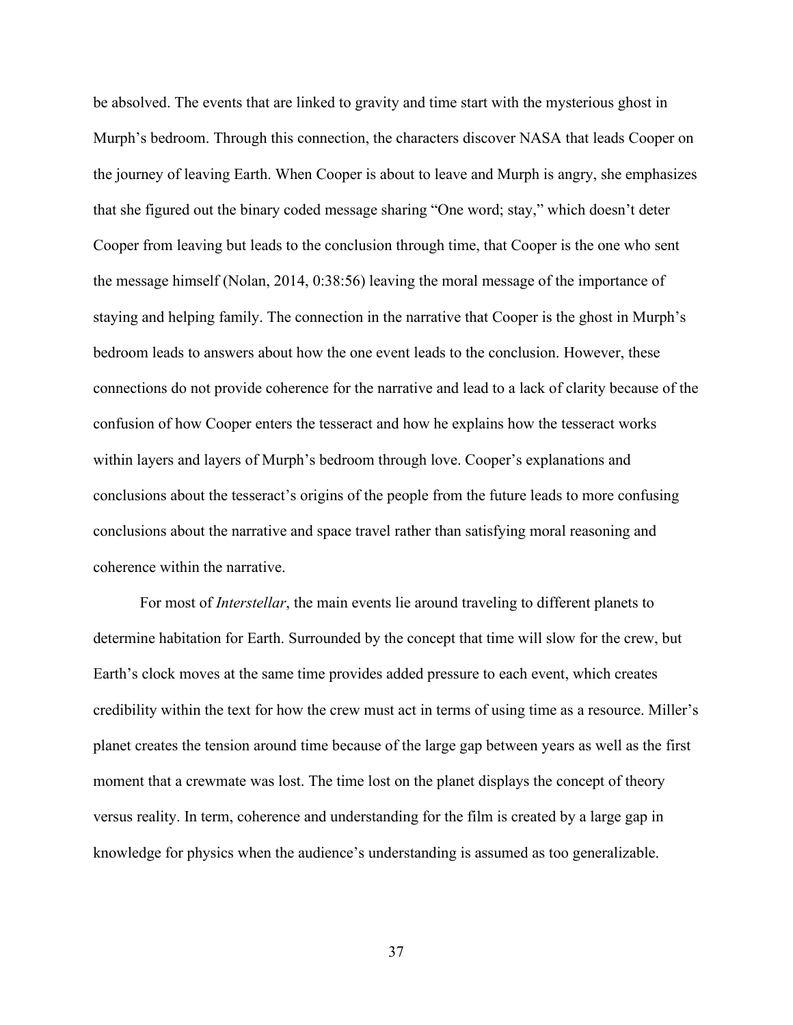be absolved. The events that are linked to gravity and time start with the mysterious ghost in Murph's bedroom. Through this connection, the characters discover NASA that leads Cooper on the journey of leaving Earth. When Cooper is about to leave and Murph is angry, she emphasizes that she figured out the binary coded message sharing "One word; stay," which doesn't deter Cooper from leaving but leads to the conclusion through time, that Cooper is the one who sent the message himself (Nolan, 2014, 0:38:56) leaving the moral message of the importance of staying and helping family. The connection in the narrative that Cooper is the ghost in Murph's bedroom leads to answers about how the one event leads to the conclusion. However, these connections do not provide coherence for the narrative and lead to a lack of clarity because of the confusion of how Cooper enters the tesseract and how he explains how the tesseract works within layers and layers of Murph's bedroom through love. Cooper's explanations and conclusions about the tesseract's origins of the people from the future leads to more confusing conclusions about the narrative and space travel rather than satisfying moral reasoning and coherence within the narrative.

For most of *Interstellar*, the main events lie around traveling to different planets to determine habitation for Earth. Surrounded by the concept that time will slow for the crew, but Earth's clock moves at the same time provides added pressure to each event, which creates credibility within the text for how the crew must act in terms of using time as a resource. Miller's planet creates the tension around time because of the large gap between years as well as the first moment that a crewmate was lost. The time lost on the planet displays the concept of theory versus reality. In term, coherence and understanding for the film is created by a large gap in knowledge for physics when the audience's understanding is assumed as too generalizable.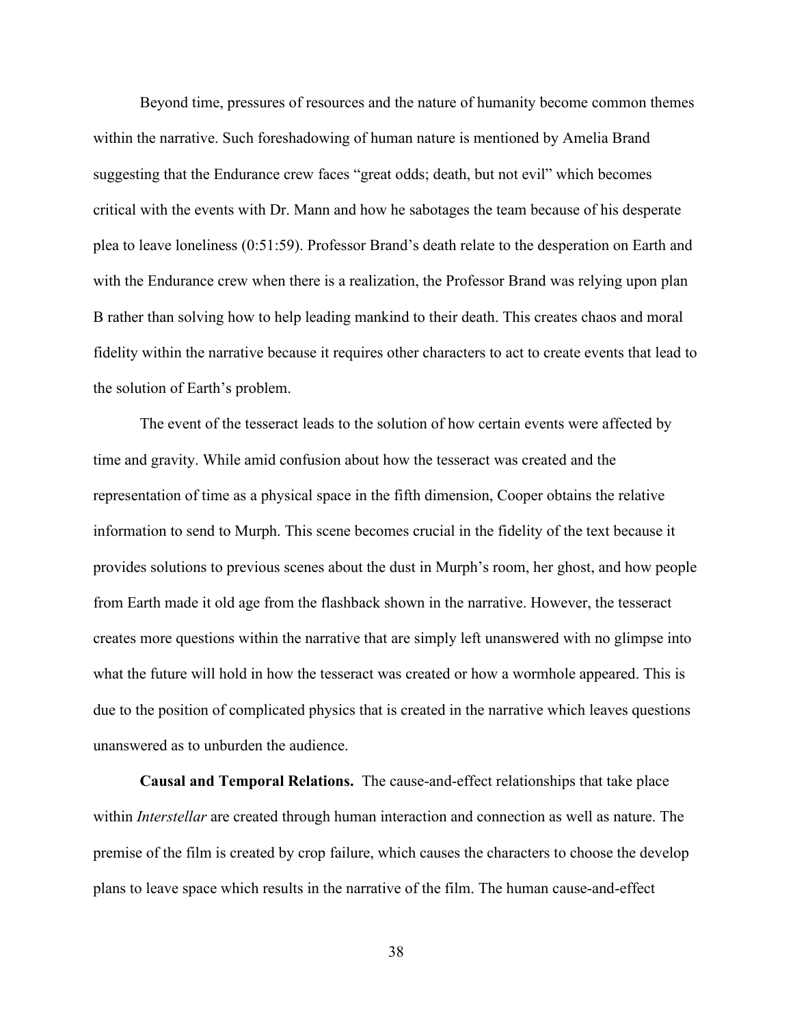Beyond time, pressures of resources and the nature of humanity become common themes within the narrative. Such foreshadowing of human nature is mentioned by Amelia Brand suggesting that the Endurance crew faces "great odds; death, but not evil" which becomes critical with the events with Dr. Mann and how he sabotages the team because of his desperate plea to leave loneliness (0:51:59). Professor Brand's death relate to the desperation on Earth and with the Endurance crew when there is a realization, the Professor Brand was relying upon plan B rather than solving how to help leading mankind to their death. This creates chaos and moral fidelity within the narrative because it requires other characters to act to create events that lead to the solution of Earth's problem.

The event of the tesseract leads to the solution of how certain events were affected by time and gravity. While amid confusion about how the tesseract was created and the representation of time as a physical space in the fifth dimension, Cooper obtains the relative information to send to Murph. This scene becomes crucial in the fidelity of the text because it provides solutions to previous scenes about the dust in Murph's room, her ghost, and how people from Earth made it old age from the flashback shown in the narrative. However, the tesseract creates more questions within the narrative that are simply left unanswered with no glimpse into what the future will hold in how the tesseract was created or how a wormhole appeared. This is due to the position of complicated physics that is created in the narrative which leaves questions unanswered as to unburden the audience.

**Causal and Temporal Relations.** The cause-and-effect relationships that take place within *Interstellar* are created through human interaction and connection as well as nature. The premise of the film is created by crop failure, which causes the characters to choose the develop plans to leave space which results in the narrative of the film. The human cause-and-effect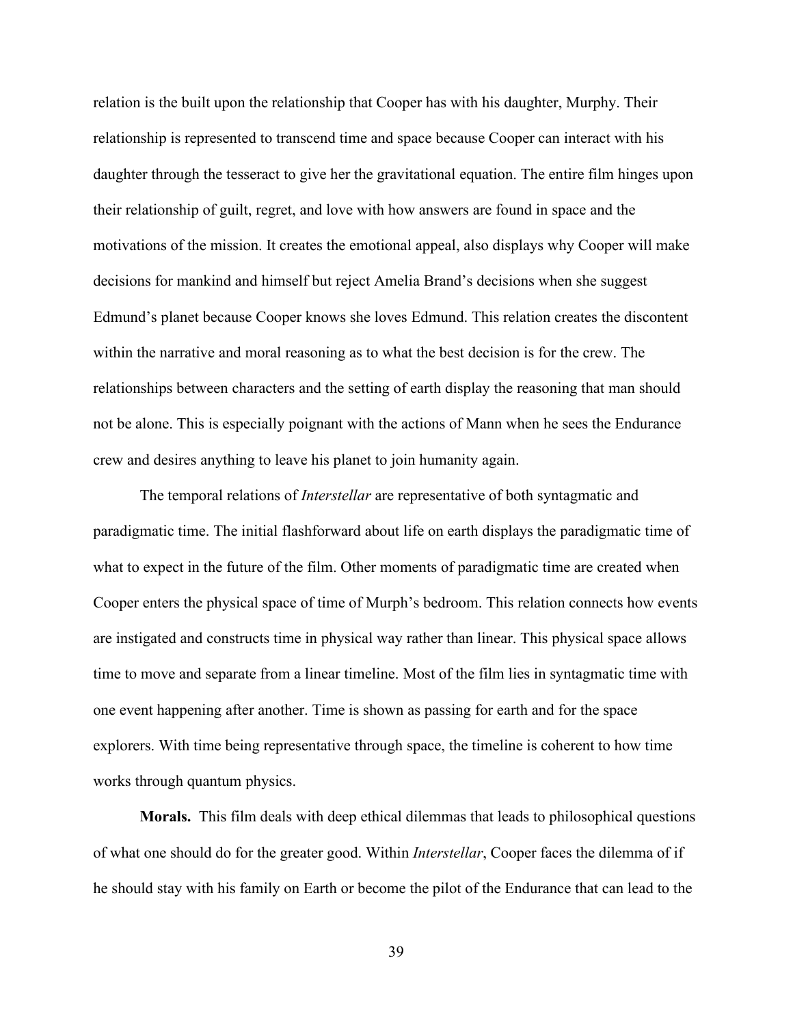relation is the built upon the relationship that Cooper has with his daughter, Murphy. Their relationship is represented to transcend time and space because Cooper can interact with his daughter through the tesseract to give her the gravitational equation. The entire film hinges upon their relationship of guilt, regret, and love with how answers are found in space and the motivations of the mission. It creates the emotional appeal, also displays why Cooper will make decisions for mankind and himself but reject Amelia Brand's decisions when she suggest Edmund's planet because Cooper knows she loves Edmund. This relation creates the discontent within the narrative and moral reasoning as to what the best decision is for the crew. The relationships between characters and the setting of earth display the reasoning that man should not be alone. This is especially poignant with the actions of Mann when he sees the Endurance crew and desires anything to leave his planet to join humanity again.

The temporal relations of *Interstellar* are representative of both syntagmatic and paradigmatic time. The initial flashforward about life on earth displays the paradigmatic time of what to expect in the future of the film. Other moments of paradigmatic time are created when Cooper enters the physical space of time of Murph's bedroom. This relation connects how events are instigated and constructs time in physical way rather than linear. This physical space allows time to move and separate from a linear timeline. Most of the film lies in syntagmatic time with one event happening after another. Time is shown as passing for earth and for the space explorers. With time being representative through space, the timeline is coherent to how time works through quantum physics.

**Morals.** This film deals with deep ethical dilemmas that leads to philosophical questions of what one should do for the greater good. Within *Interstellar*, Cooper faces the dilemma of if he should stay with his family on Earth or become the pilot of the Endurance that can lead to the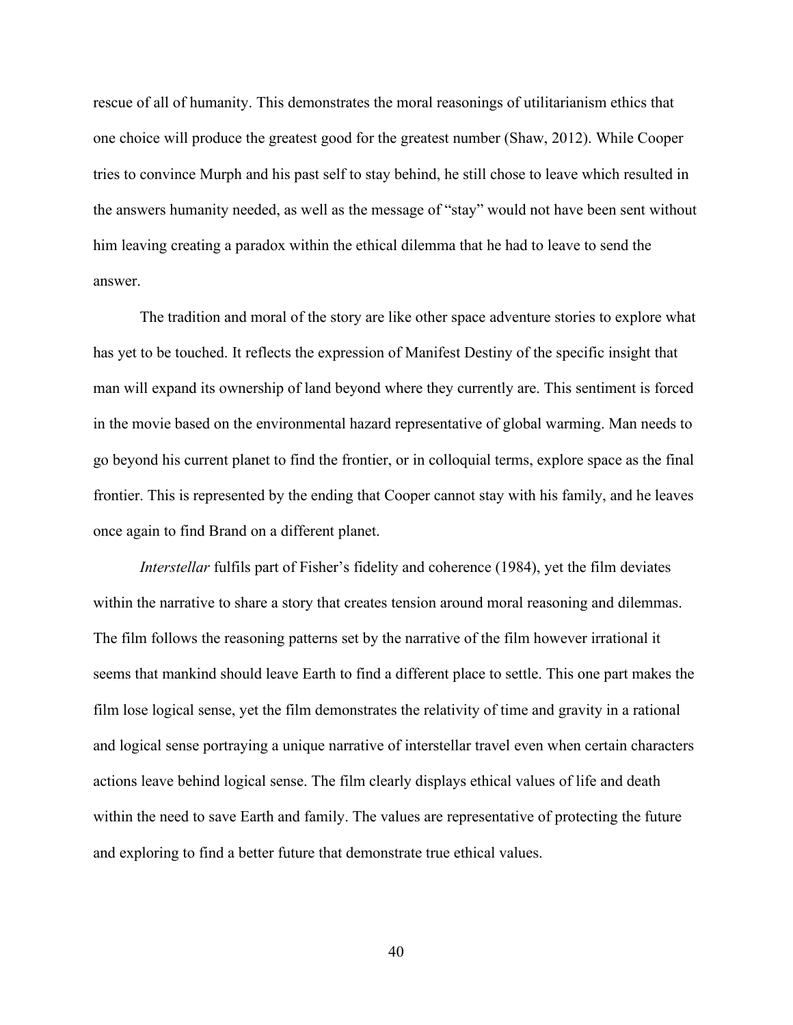rescue of all of humanity. This demonstrates the moral reasonings of utilitarianism ethics that one choice will produce the greatest good for the greatest number (Shaw, 2012). While Cooper tries to convince Murph and his past self to stay behind, he still chose to leave which resulted in the answers humanity needed, as well as the message of "stay" would not have been sent without him leaving creating a paradox within the ethical dilemma that he had to leave to send the answer.

The tradition and moral of the story are like other space adventure stories to explore what has yet to be touched. It reflects the expression of Manifest Destiny of the specific insight that man will expand its ownership of land beyond where they currently are. This sentiment is forced in the movie based on the environmental hazard representative of global warming. Man needs to go beyond his current planet to find the frontier, or in colloquial terms, explore space as the final frontier. This is represented by the ending that Cooper cannot stay with his family, and he leaves once again to find Brand on a different planet.

*Interstellar* fulfils part of Fisher's fidelity and coherence (1984), yet the film deviates within the narrative to share a story that creates tension around moral reasoning and dilemmas. The film follows the reasoning patterns set by the narrative of the film however irrational it seems that mankind should leave Earth to find a different place to settle. This one part makes the film lose logical sense, yet the film demonstrates the relativity of time and gravity in a rational and logical sense portraying a unique narrative of interstellar travel even when certain characters actions leave behind logical sense. The film clearly displays ethical values of life and death within the need to save Earth and family. The values are representative of protecting the future and exploring to find a better future that demonstrate true ethical values.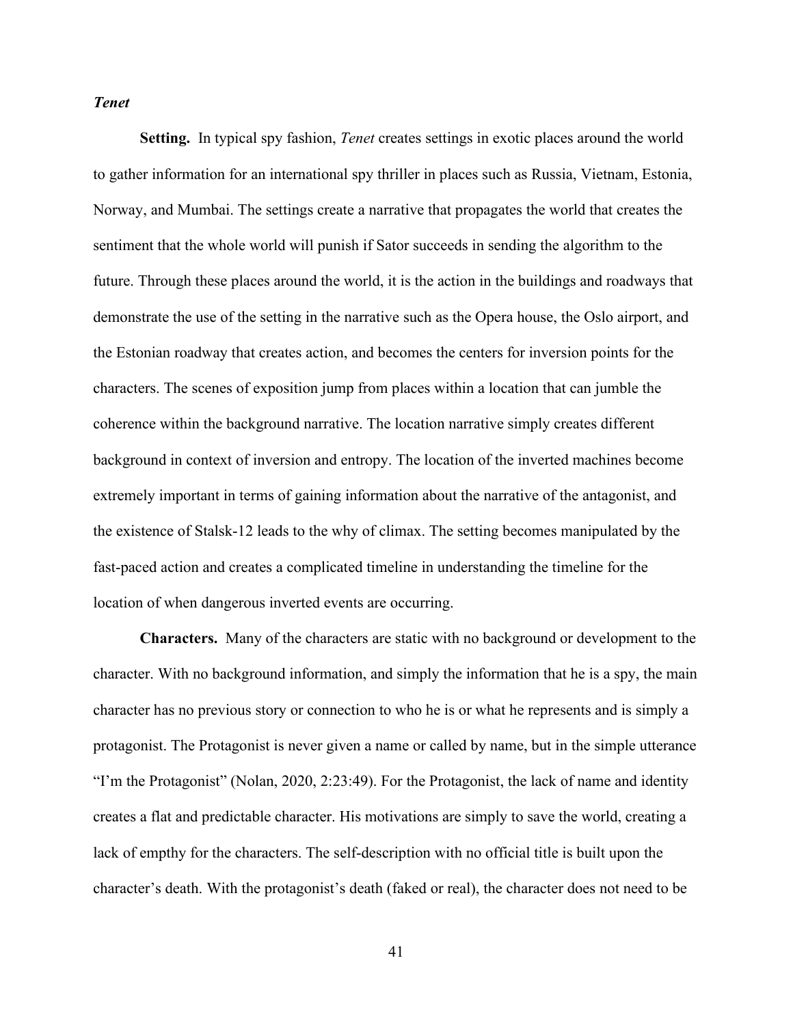### *Tenet*

**Setting.** In typical spy fashion, *Tenet* creates settings in exotic places around the world to gather information for an international spy thriller in places such as Russia, Vietnam, Estonia, Norway, and Mumbai. The settings create a narrative that propagates the world that creates the sentiment that the whole world will punish if Sator succeeds in sending the algorithm to the future. Through these places around the world, it is the action in the buildings and roadways that demonstrate the use of the setting in the narrative such as the Opera house, the Oslo airport, and the Estonian roadway that creates action, and becomes the centers for inversion points for the characters. The scenes of exposition jump from places within a location that can jumble the coherence within the background narrative. The location narrative simply creates different background in context of inversion and entropy. The location of the inverted machines become extremely important in terms of gaining information about the narrative of the antagonist, and the existence of Stalsk-12 leads to the why of climax. The setting becomes manipulated by the fast-paced action and creates a complicated timeline in understanding the timeline for the location of when dangerous inverted events are occurring.

**Characters.** Many of the characters are static with no background or development to the character. With no background information, and simply the information that he is a spy, the main character has no previous story or connection to who he is or what he represents and is simply a protagonist. The Protagonist is never given a name or called by name, but in the simple utterance "I'm the Protagonist" (Nolan, 2020, 2:23:49). For the Protagonist, the lack of name and identity creates a flat and predictable character. His motivations are simply to save the world, creating a lack of empthy for the characters. The self-description with no official title is built upon the character's death. With the protagonist's death (faked or real), the character does not need to be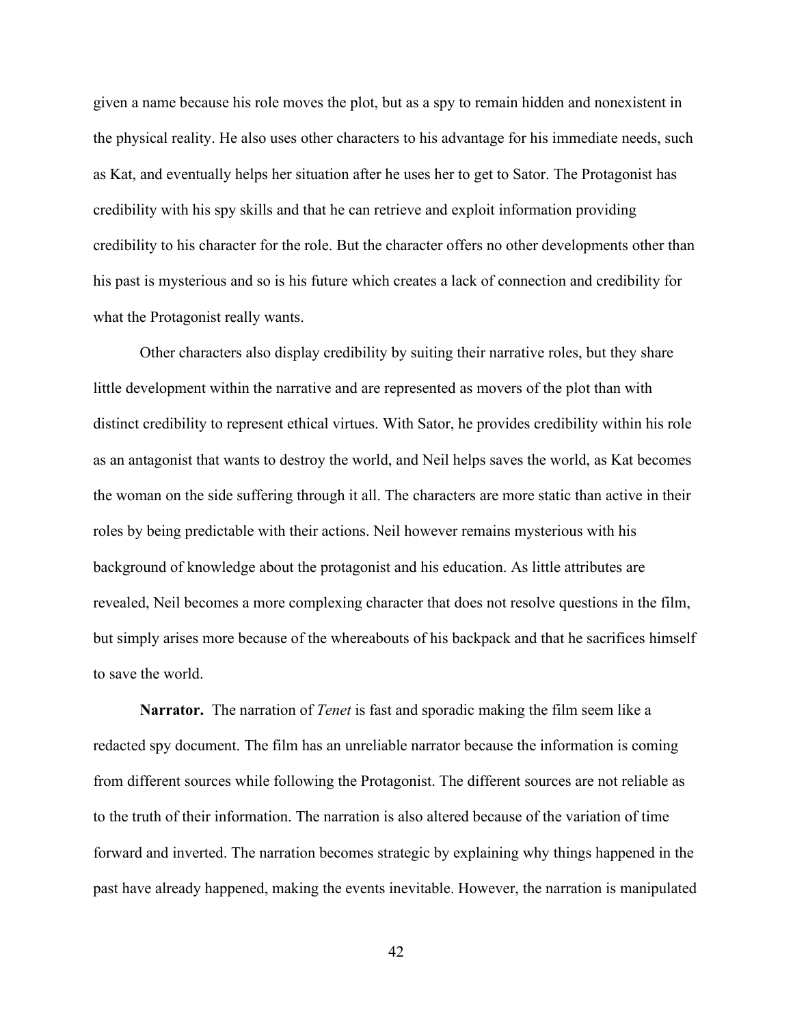given a name because his role moves the plot, but as a spy to remain hidden and nonexistent in the physical reality. He also uses other characters to his advantage for his immediate needs, such as Kat, and eventually helps her situation after he uses her to get to Sator. The Protagonist has credibility with his spy skills and that he can retrieve and exploit information providing credibility to his character for the role. But the character offers no other developments other than his past is mysterious and so is his future which creates a lack of connection and credibility for what the Protagonist really wants.

Other characters also display credibility by suiting their narrative roles, but they share little development within the narrative and are represented as movers of the plot than with distinct credibility to represent ethical virtues. With Sator, he provides credibility within his role as an antagonist that wants to destroy the world, and Neil helps saves the world, as Kat becomes the woman on the side suffering through it all. The characters are more static than active in their roles by being predictable with their actions. Neil however remains mysterious with his background of knowledge about the protagonist and his education. As little attributes are revealed, Neil becomes a more complexing character that does not resolve questions in the film, but simply arises more because of the whereabouts of his backpack and that he sacrifices himself to save the world.

**Narrator.** The narration of *Tenet* is fast and sporadic making the film seem like a redacted spy document. The film has an unreliable narrator because the information is coming from different sources while following the Protagonist. The different sources are not reliable as to the truth of their information. The narration is also altered because of the variation of time forward and inverted. The narration becomes strategic by explaining why things happened in the past have already happened, making the events inevitable. However, the narration is manipulated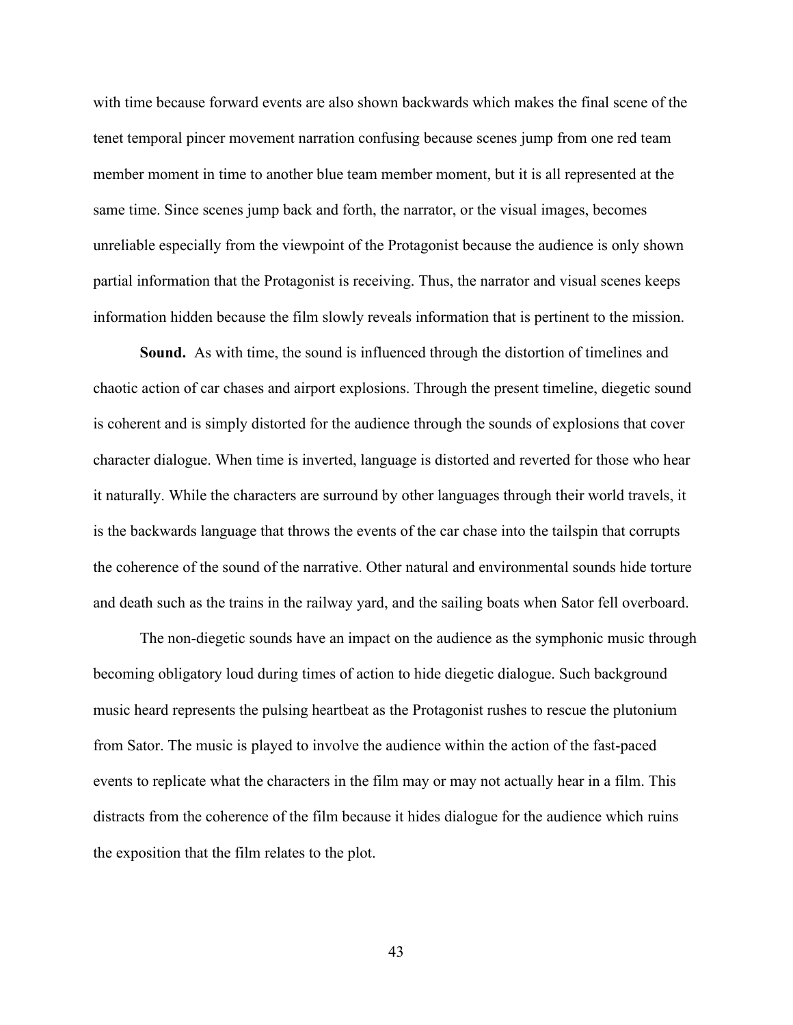with time because forward events are also shown backwards which makes the final scene of the tenet temporal pincer movement narration confusing because scenes jump from one red team member moment in time to another blue team member moment, but it is all represented at the same time. Since scenes jump back and forth, the narrator, or the visual images, becomes unreliable especially from the viewpoint of the Protagonist because the audience is only shown partial information that the Protagonist is receiving. Thus, the narrator and visual scenes keeps information hidden because the film slowly reveals information that is pertinent to the mission.

**Sound.** As with time, the sound is influenced through the distortion of timelines and chaotic action of car chases and airport explosions. Through the present timeline, diegetic sound is coherent and is simply distorted for the audience through the sounds of explosions that cover character dialogue. When time is inverted, language is distorted and reverted for those who hear it naturally. While the characters are surround by other languages through their world travels, it is the backwards language that throws the events of the car chase into the tailspin that corrupts the coherence of the sound of the narrative. Other natural and environmental sounds hide torture and death such as the trains in the railway yard, and the sailing boats when Sator fell overboard.

The non-diegetic sounds have an impact on the audience as the symphonic music through becoming obligatory loud during times of action to hide diegetic dialogue. Such background music heard represents the pulsing heartbeat as the Protagonist rushes to rescue the plutonium from Sator. The music is played to involve the audience within the action of the fast-paced events to replicate what the characters in the film may or may not actually hear in a film. This distracts from the coherence of the film because it hides dialogue for the audience which ruins the exposition that the film relates to the plot.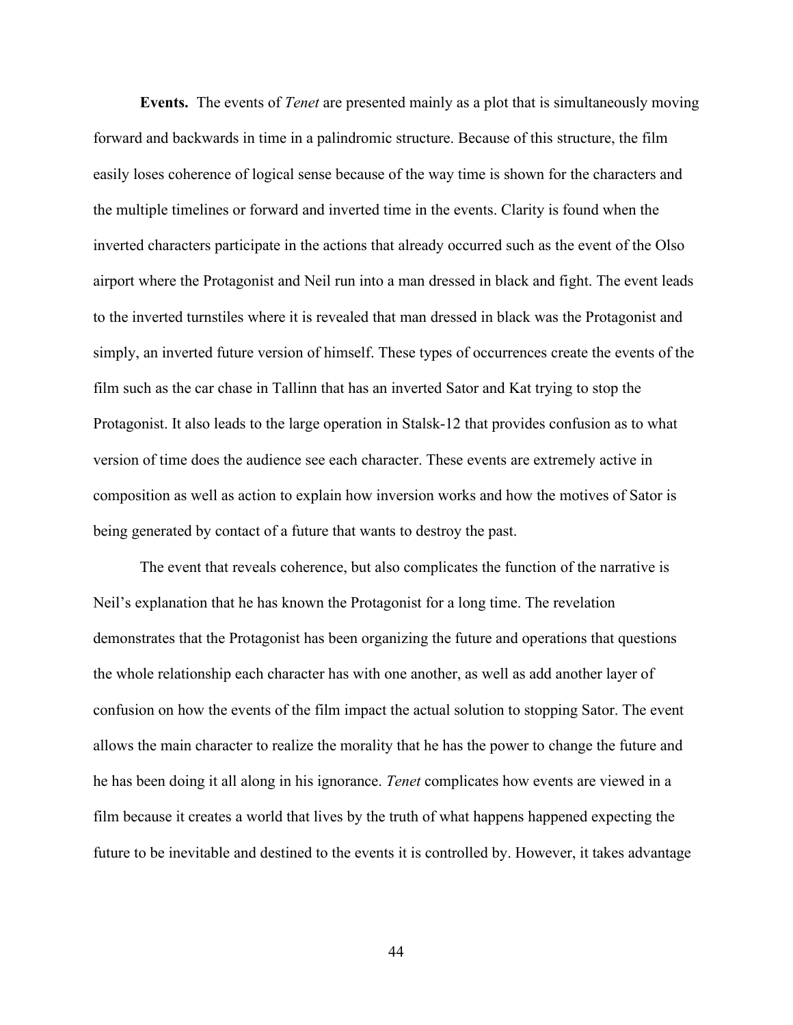**Events.** The events of *Tenet* are presented mainly as a plot that is simultaneously moving forward and backwards in time in a palindromic structure. Because of this structure, the film easily loses coherence of logical sense because of the way time is shown for the characters and the multiple timelines or forward and inverted time in the events. Clarity is found when the inverted characters participate in the actions that already occurred such as the event of the Olso airport where the Protagonist and Neil run into a man dressed in black and fight. The event leads to the inverted turnstiles where it is revealed that man dressed in black was the Protagonist and simply, an inverted future version of himself. These types of occurrences create the events of the film such as the car chase in Tallinn that has an inverted Sator and Kat trying to stop the Protagonist. It also leads to the large operation in Stalsk-12 that provides confusion as to what version of time does the audience see each character. These events are extremely active in composition as well as action to explain how inversion works and how the motives of Sator is being generated by contact of a future that wants to destroy the past.

The event that reveals coherence, but also complicates the function of the narrative is Neil's explanation that he has known the Protagonist for a long time. The revelation demonstrates that the Protagonist has been organizing the future and operations that questions the whole relationship each character has with one another, as well as add another layer of confusion on how the events of the film impact the actual solution to stopping Sator. The event allows the main character to realize the morality that he has the power to change the future and he has been doing it all along in his ignorance. *Tenet* complicates how events are viewed in a film because it creates a world that lives by the truth of what happens happened expecting the future to be inevitable and destined to the events it is controlled by. However, it takes advantage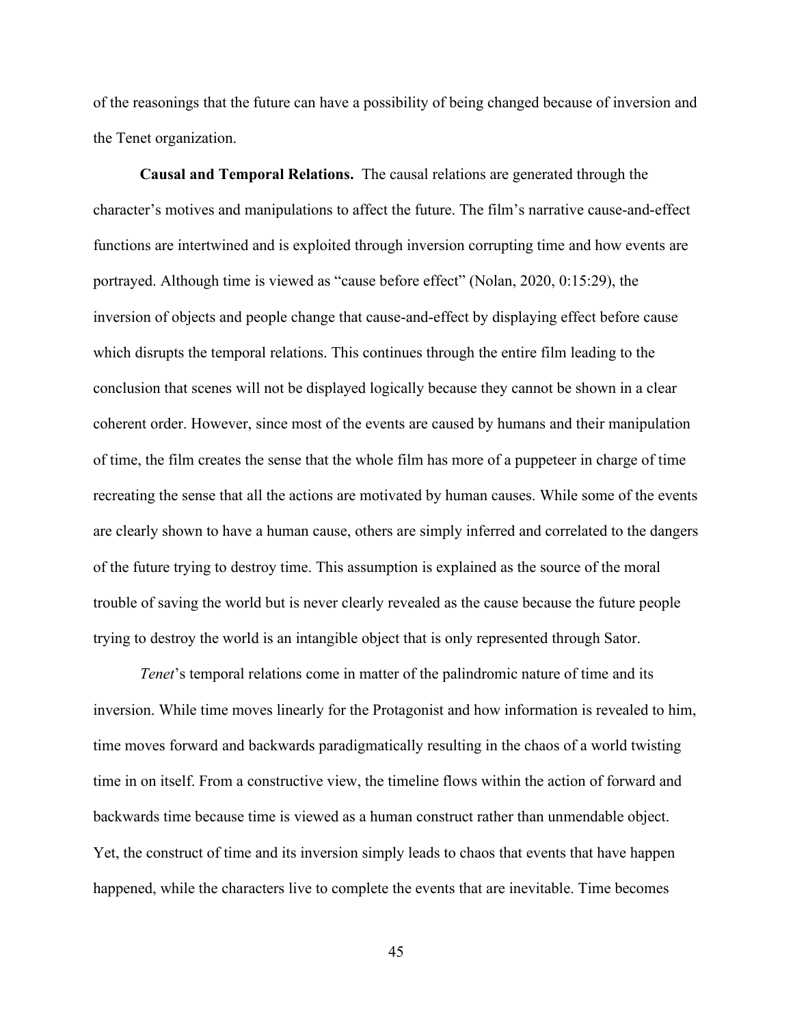of the reasonings that the future can have a possibility of being changed because of inversion and the Tenet organization.

**Causal and Temporal Relations.** The causal relations are generated through the character's motives and manipulations to affect the future. The film's narrative cause-and-effect functions are intertwined and is exploited through inversion corrupting time and how events are portrayed. Although time is viewed as "cause before effect" (Nolan, 2020, 0:15:29), the inversion of objects and people change that cause-and-effect by displaying effect before cause which disrupts the temporal relations. This continues through the entire film leading to the conclusion that scenes will not be displayed logically because they cannot be shown in a clear coherent order. However, since most of the events are caused by humans and their manipulation of time, the film creates the sense that the whole film has more of a puppeteer in charge of time recreating the sense that all the actions are motivated by human causes. While some of the events are clearly shown to have a human cause, others are simply inferred and correlated to the dangers of the future trying to destroy time. This assumption is explained as the source of the moral trouble of saving the world but is never clearly revealed as the cause because the future people trying to destroy the world is an intangible object that is only represented through Sator.

*Tenet*'s temporal relations come in matter of the palindromic nature of time and its inversion. While time moves linearly for the Protagonist and how information is revealed to him, time moves forward and backwards paradigmatically resulting in the chaos of a world twisting time in on itself. From a constructive view, the timeline flows within the action of forward and backwards time because time is viewed as a human construct rather than unmendable object. Yet, the construct of time and its inversion simply leads to chaos that events that have happen happened, while the characters live to complete the events that are inevitable. Time becomes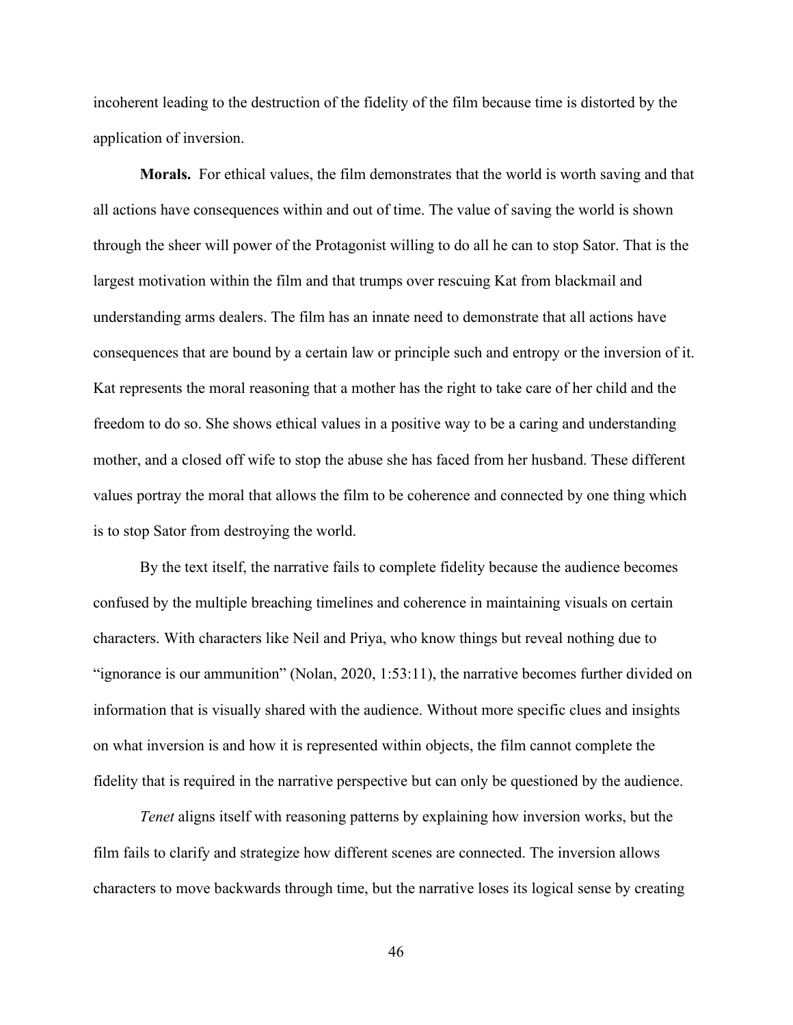incoherent leading to the destruction of the fidelity of the film because time is distorted by the application of inversion.

**Morals.** For ethical values, the film demonstrates that the world is worth saving and that all actions have consequences within and out of time. The value of saving the world is shown through the sheer will power of the Protagonist willing to do all he can to stop Sator. That is the largest motivation within the film and that trumps over rescuing Kat from blackmail and understanding arms dealers. The film has an innate need to demonstrate that all actions have consequences that are bound by a certain law or principle such and entropy or the inversion of it. Kat represents the moral reasoning that a mother has the right to take care of her child and the freedom to do so. She shows ethical values in a positive way to be a caring and understanding mother, and a closed off wife to stop the abuse she has faced from her husband. These different values portray the moral that allows the film to be coherence and connected by one thing which is to stop Sator from destroying the world.

By the text itself, the narrative fails to complete fidelity because the audience becomes confused by the multiple breaching timelines and coherence in maintaining visuals on certain characters. With characters like Neil and Priya, who know things but reveal nothing due to "ignorance is our ammunition" (Nolan, 2020, 1:53:11), the narrative becomes further divided on information that is visually shared with the audience. Without more specific clues and insights on what inversion is and how it is represented within objects, the film cannot complete the fidelity that is required in the narrative perspective but can only be questioned by the audience.

*Tenet* aligns itself with reasoning patterns by explaining how inversion works, but the film fails to clarify and strategize how different scenes are connected. The inversion allows characters to move backwards through time, but the narrative loses its logical sense by creating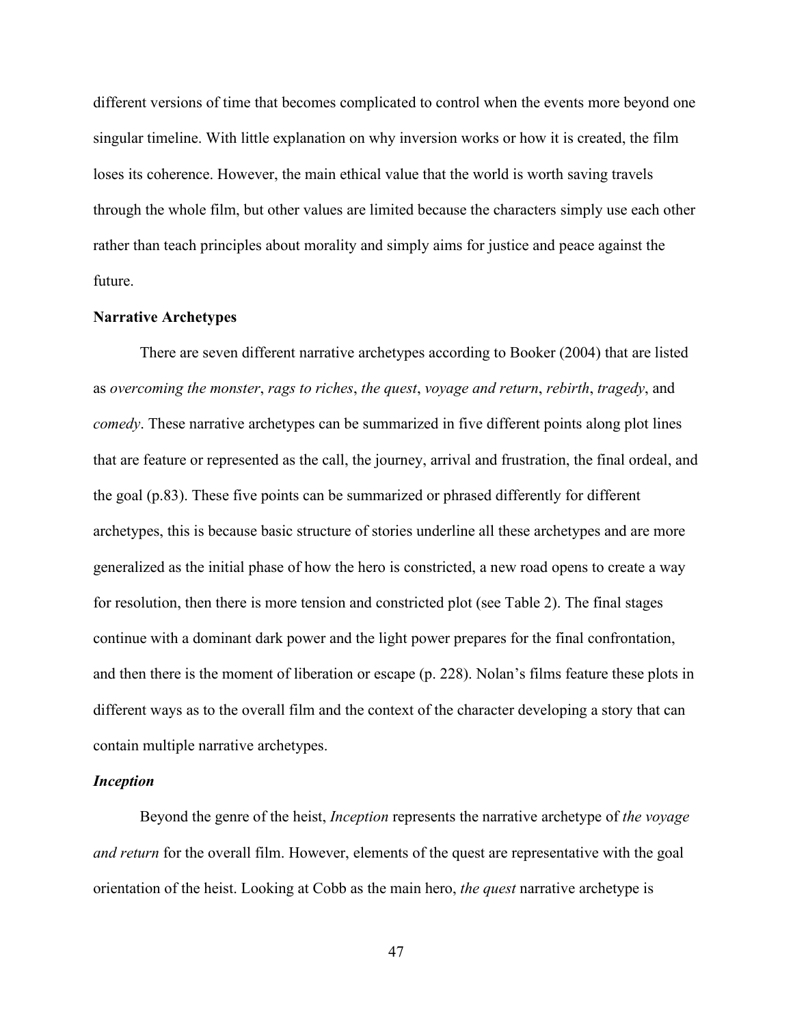different versions of time that becomes complicated to control when the events more beyond one singular timeline. With little explanation on why inversion works or how it is created, the film loses its coherence. However, the main ethical value that the world is worth saving travels through the whole film, but other values are limited because the characters simply use each other rather than teach principles about morality and simply aims for justice and peace against the future.

#### **Narrative Archetypes**

There are seven different narrative archetypes according to Booker (2004) that are listed as *overcoming the monster*, *rags to riches*, *the quest*, *voyage and return*, *rebirth*, *tragedy*, and *comedy*. These narrative archetypes can be summarized in five different points along plot lines that are feature or represented as the call, the journey, arrival and frustration, the final ordeal, and the goal (p.83). These five points can be summarized or phrased differently for different archetypes, this is because basic structure of stories underline all these archetypes and are more generalized as the initial phase of how the hero is constricted, a new road opens to create a way for resolution, then there is more tension and constricted plot (see Table 2). The final stages continue with a dominant dark power and the light power prepares for the final confrontation, and then there is the moment of liberation or escape (p. 228). Nolan's films feature these plots in different ways as to the overall film and the context of the character developing a story that can contain multiple narrative archetypes.

#### *Inception*

Beyond the genre of the heist, *Inception* represents the narrative archetype of *the voyage and return* for the overall film. However, elements of the quest are representative with the goal orientation of the heist. Looking at Cobb as the main hero, *the quest* narrative archetype is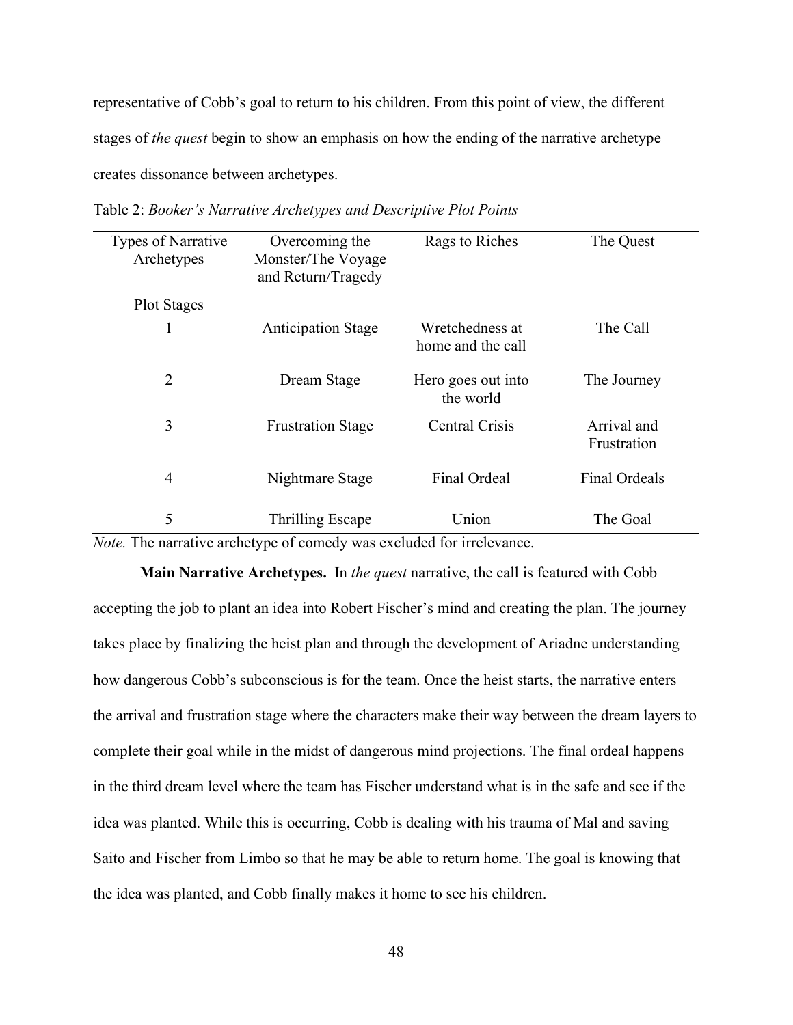representative of Cobb's goal to return to his children. From this point of view, the different stages of *the quest* begin to show an emphasis on how the ending of the narrative archetype creates dissonance between archetypes.

| Types of Narrative<br>Archetypes | Overcoming the<br>Monster/The Voyage<br>and Return/Tragedy                              | Rags to Riches                       | The Quest                  |
|----------------------------------|-----------------------------------------------------------------------------------------|--------------------------------------|----------------------------|
| <b>Plot Stages</b>               |                                                                                         |                                      |                            |
|                                  | <b>Anticipation Stage</b>                                                               | Wretchedness at<br>home and the call | The Call                   |
| 2                                | Dream Stage                                                                             | Hero goes out into<br>the world      | The Journey                |
| 3                                | <b>Frustration Stage</b>                                                                | <b>Central Crisis</b>                | Arrival and<br>Frustration |
| $\overline{4}$                   | Nightmare Stage                                                                         | Final Ordeal                         | <b>Final Ordeals</b>       |
| 5                                | Thrilling Escape<br>Note The negative evaluative of compaty was evaluded for impleyence | Union                                | The Goal                   |

Table 2: *Booker's Narrative Archetypes and Descriptive Plot Points*

*Note.* The narrative archetype of comedy was excluded for irrelevance.

**Main Narrative Archetypes.** In *the quest* narrative, the call is featured with Cobb accepting the job to plant an idea into Robert Fischer's mind and creating the plan. The journey takes place by finalizing the heist plan and through the development of Ariadne understanding how dangerous Cobb's subconscious is for the team. Once the heist starts, the narrative enters the arrival and frustration stage where the characters make their way between the dream layers to complete their goal while in the midst of dangerous mind projections. The final ordeal happens in the third dream level where the team has Fischer understand what is in the safe and see if the idea was planted. While this is occurring, Cobb is dealing with his trauma of Mal and saving Saito and Fischer from Limbo so that he may be able to return home. The goal is knowing that the idea was planted, and Cobb finally makes it home to see his children.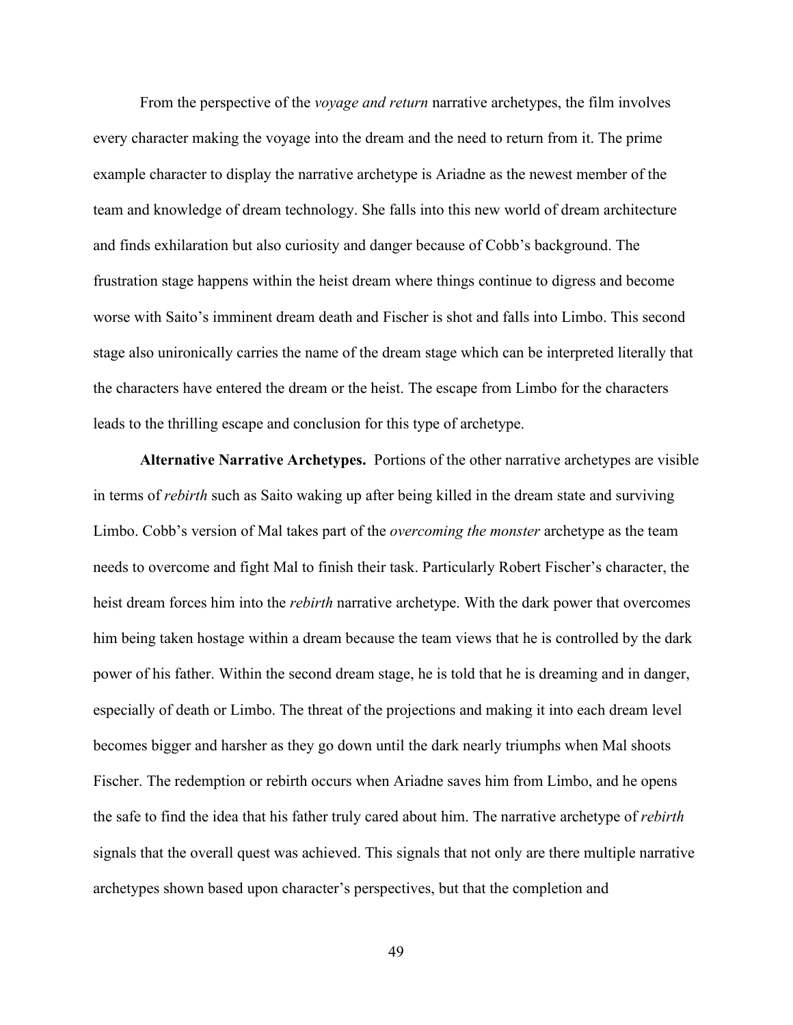From the perspective of the *voyage and return* narrative archetypes, the film involves every character making the voyage into the dream and the need to return from it. The prime example character to display the narrative archetype is Ariadne as the newest member of the team and knowledge of dream technology. She falls into this new world of dream architecture and finds exhilaration but also curiosity and danger because of Cobb's background. The frustration stage happens within the heist dream where things continue to digress and become worse with Saito's imminent dream death and Fischer is shot and falls into Limbo. This second stage also unironically carries the name of the dream stage which can be interpreted literally that the characters have entered the dream or the heist. The escape from Limbo for the characters leads to the thrilling escape and conclusion for this type of archetype.

**Alternative Narrative Archetypes.** Portions of the other narrative archetypes are visible in terms of *rebirth* such as Saito waking up after being killed in the dream state and surviving Limbo. Cobb's version of Mal takes part of the *overcoming the monster* archetype as the team needs to overcome and fight Mal to finish their task. Particularly Robert Fischer's character, the heist dream forces him into the *rebirth* narrative archetype. With the dark power that overcomes him being taken hostage within a dream because the team views that he is controlled by the dark power of his father. Within the second dream stage, he is told that he is dreaming and in danger, especially of death or Limbo. The threat of the projections and making it into each dream level becomes bigger and harsher as they go down until the dark nearly triumphs when Mal shoots Fischer. The redemption or rebirth occurs when Ariadne saves him from Limbo, and he opens the safe to find the idea that his father truly cared about him. The narrative archetype of *rebirth* signals that the overall quest was achieved. This signals that not only are there multiple narrative archetypes shown based upon character's perspectives, but that the completion and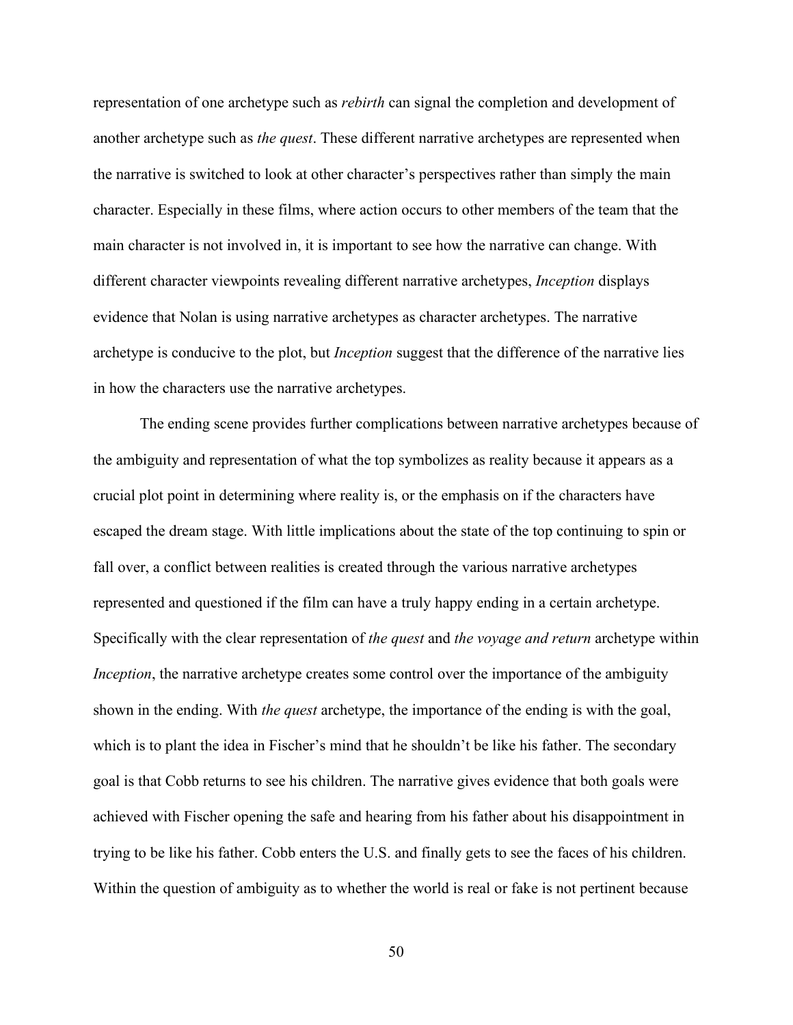representation of one archetype such as *rebirth* can signal the completion and development of another archetype such as *the quest*. These different narrative archetypes are represented when the narrative is switched to look at other character's perspectives rather than simply the main character. Especially in these films, where action occurs to other members of the team that the main character is not involved in, it is important to see how the narrative can change. With different character viewpoints revealing different narrative archetypes, *Inception* displays evidence that Nolan is using narrative archetypes as character archetypes. The narrative archetype is conducive to the plot, but *Inception* suggest that the difference of the narrative lies in how the characters use the narrative archetypes.

The ending scene provides further complications between narrative archetypes because of the ambiguity and representation of what the top symbolizes as reality because it appears as a crucial plot point in determining where reality is, or the emphasis on if the characters have escaped the dream stage. With little implications about the state of the top continuing to spin or fall over, a conflict between realities is created through the various narrative archetypes represented and questioned if the film can have a truly happy ending in a certain archetype. Specifically with the clear representation of *the quest* and *the voyage and return* archetype within *Inception*, the narrative archetype creates some control over the importance of the ambiguity shown in the ending. With *the quest* archetype, the importance of the ending is with the goal, which is to plant the idea in Fischer's mind that he shouldn't be like his father. The secondary goal is that Cobb returns to see his children. The narrative gives evidence that both goals were achieved with Fischer opening the safe and hearing from his father about his disappointment in trying to be like his father. Cobb enters the U.S. and finally gets to see the faces of his children. Within the question of ambiguity as to whether the world is real or fake is not pertinent because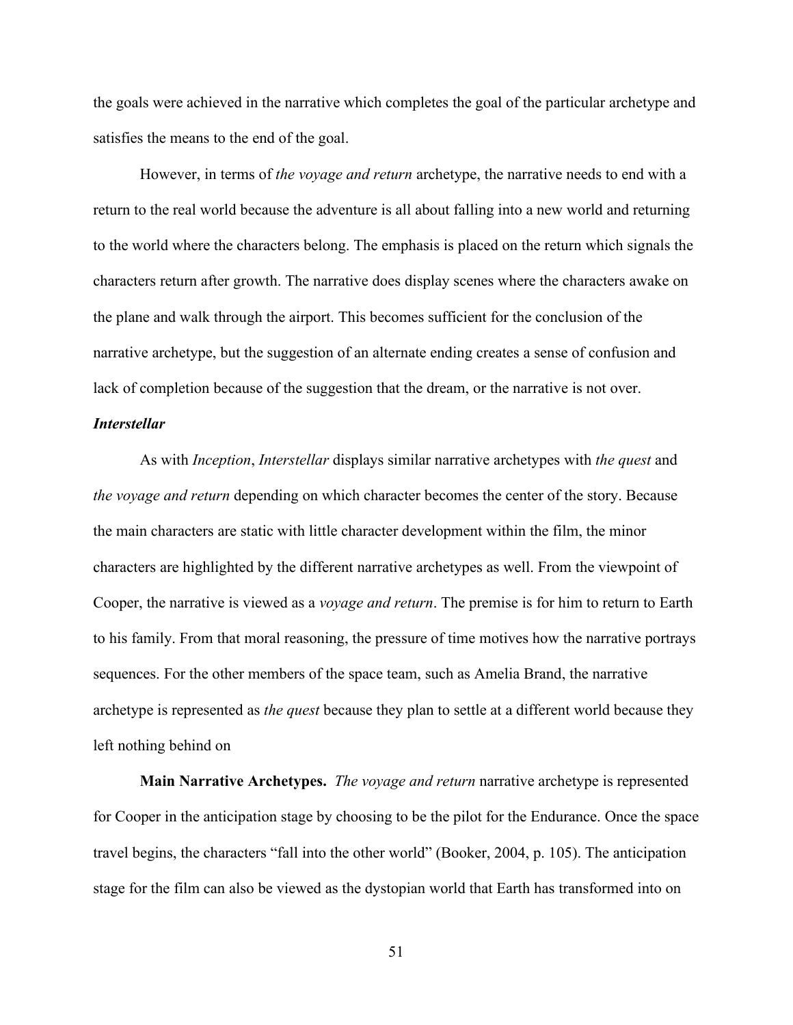the goals were achieved in the narrative which completes the goal of the particular archetype and satisfies the means to the end of the goal.

However, in terms of *the voyage and return* archetype, the narrative needs to end with a return to the real world because the adventure is all about falling into a new world and returning to the world where the characters belong. The emphasis is placed on the return which signals the characters return after growth. The narrative does display scenes where the characters awake on the plane and walk through the airport. This becomes sufficient for the conclusion of the narrative archetype, but the suggestion of an alternate ending creates a sense of confusion and lack of completion because of the suggestion that the dream, or the narrative is not over.

# *Interstellar*

As with *Inception*, *Interstellar* displays similar narrative archetypes with *the quest* and *the voyage and return* depending on which character becomes the center of the story. Because the main characters are static with little character development within the film, the minor characters are highlighted by the different narrative archetypes as well. From the viewpoint of Cooper, the narrative is viewed as a *voyage and return*. The premise is for him to return to Earth to his family. From that moral reasoning, the pressure of time motives how the narrative portrays sequences. For the other members of the space team, such as Amelia Brand, the narrative archetype is represented as *the quest* because they plan to settle at a different world because they left nothing behind on

**Main Narrative Archetypes.** *The voyage and return* narrative archetype is represented for Cooper in the anticipation stage by choosing to be the pilot for the Endurance. Once the space travel begins, the characters "fall into the other world" (Booker, 2004, p. 105). The anticipation stage for the film can also be viewed as the dystopian world that Earth has transformed into on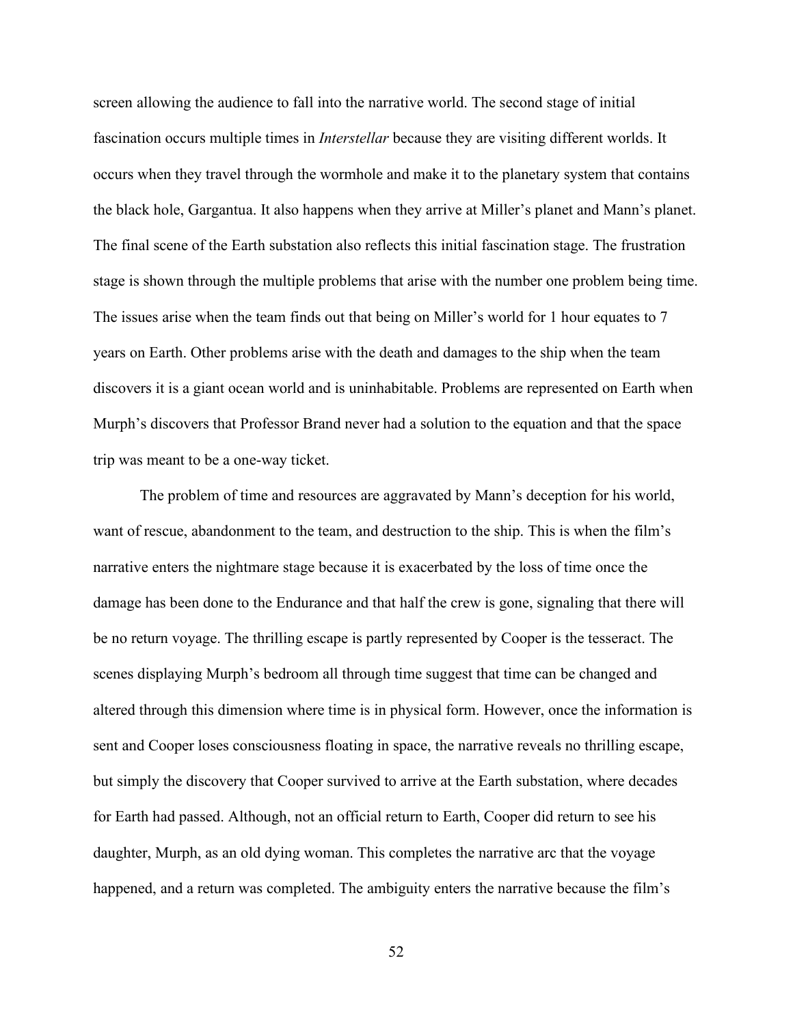screen allowing the audience to fall into the narrative world. The second stage of initial fascination occurs multiple times in *Interstellar* because they are visiting different worlds. It occurs when they travel through the wormhole and make it to the planetary system that contains the black hole, Gargantua. It also happens when they arrive at Miller's planet and Mann's planet. The final scene of the Earth substation also reflects this initial fascination stage. The frustration stage is shown through the multiple problems that arise with the number one problem being time. The issues arise when the team finds out that being on Miller's world for 1 hour equates to 7 years on Earth. Other problems arise with the death and damages to the ship when the team discovers it is a giant ocean world and is uninhabitable. Problems are represented on Earth when Murph's discovers that Professor Brand never had a solution to the equation and that the space trip was meant to be a one-way ticket.

The problem of time and resources are aggravated by Mann's deception for his world, want of rescue, abandonment to the team, and destruction to the ship. This is when the film's narrative enters the nightmare stage because it is exacerbated by the loss of time once the damage has been done to the Endurance and that half the crew is gone, signaling that there will be no return voyage. The thrilling escape is partly represented by Cooper is the tesseract. The scenes displaying Murph's bedroom all through time suggest that time can be changed and altered through this dimension where time is in physical form. However, once the information is sent and Cooper loses consciousness floating in space, the narrative reveals no thrilling escape, but simply the discovery that Cooper survived to arrive at the Earth substation, where decades for Earth had passed. Although, not an official return to Earth, Cooper did return to see his daughter, Murph, as an old dying woman. This completes the narrative arc that the voyage happened, and a return was completed. The ambiguity enters the narrative because the film's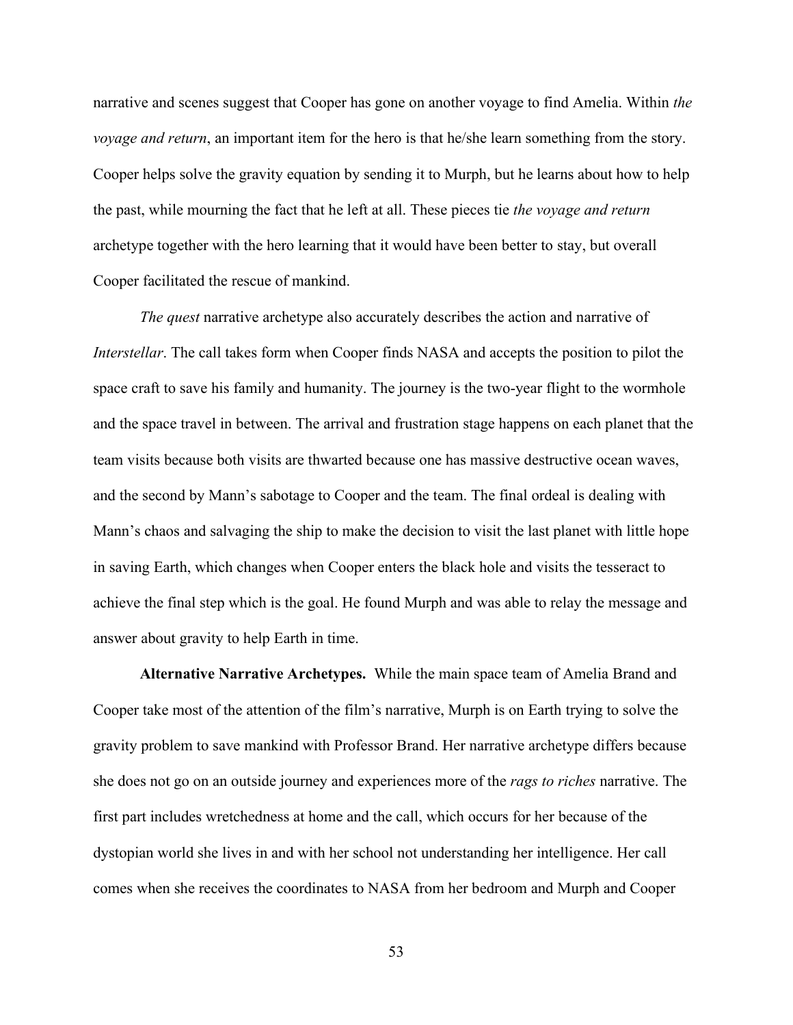narrative and scenes suggest that Cooper has gone on another voyage to find Amelia. Within *the voyage and return*, an important item for the hero is that he/she learn something from the story. Cooper helps solve the gravity equation by sending it to Murph, but he learns about how to help the past, while mourning the fact that he left at all. These pieces tie *the voyage and return* archetype together with the hero learning that it would have been better to stay, but overall Cooper facilitated the rescue of mankind.

*The quest* narrative archetype also accurately describes the action and narrative of *Interstellar*. The call takes form when Cooper finds NASA and accepts the position to pilot the space craft to save his family and humanity. The journey is the two-year flight to the wormhole and the space travel in between. The arrival and frustration stage happens on each planet that the team visits because both visits are thwarted because one has massive destructive ocean waves, and the second by Mann's sabotage to Cooper and the team. The final ordeal is dealing with Mann's chaos and salvaging the ship to make the decision to visit the last planet with little hope in saving Earth, which changes when Cooper enters the black hole and visits the tesseract to achieve the final step which is the goal. He found Murph and was able to relay the message and answer about gravity to help Earth in time.

**Alternative Narrative Archetypes.** While the main space team of Amelia Brand and Cooper take most of the attention of the film's narrative, Murph is on Earth trying to solve the gravity problem to save mankind with Professor Brand. Her narrative archetype differs because she does not go on an outside journey and experiences more of the *rags to riches* narrative. The first part includes wretchedness at home and the call, which occurs for her because of the dystopian world she lives in and with her school not understanding her intelligence. Her call comes when she receives the coordinates to NASA from her bedroom and Murph and Cooper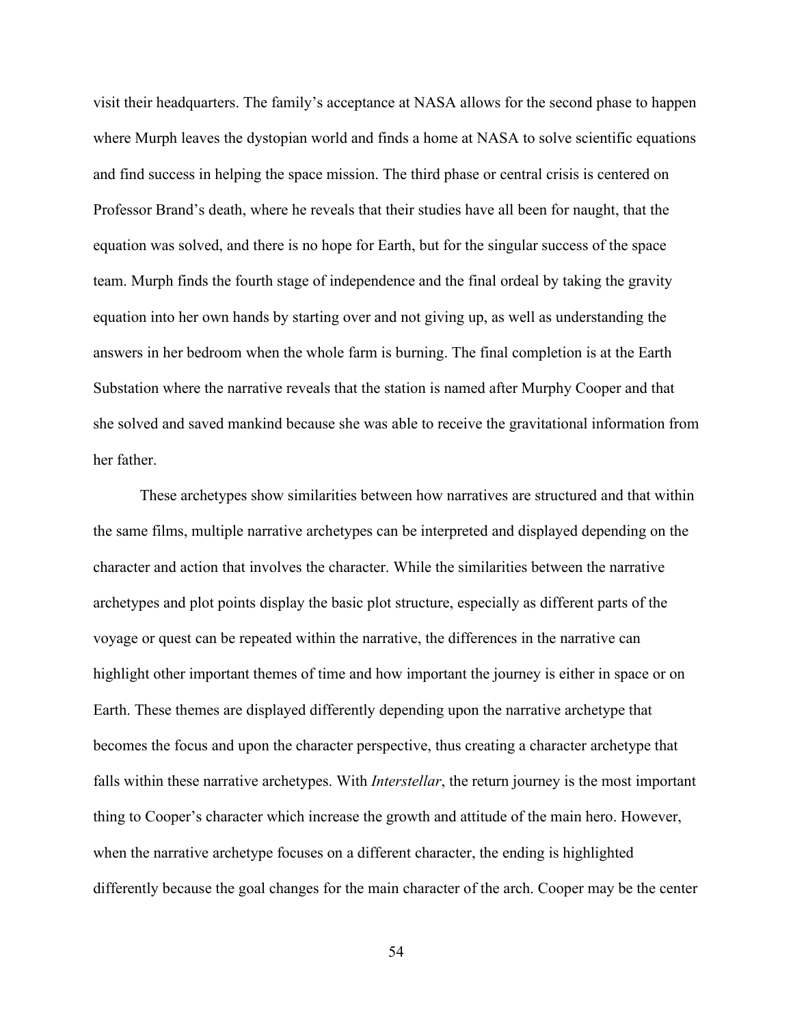visit their headquarters. The family's acceptance at NASA allows for the second phase to happen where Murph leaves the dystopian world and finds a home at NASA to solve scientific equations and find success in helping the space mission. The third phase or central crisis is centered on Professor Brand's death, where he reveals that their studies have all been for naught, that the equation was solved, and there is no hope for Earth, but for the singular success of the space team. Murph finds the fourth stage of independence and the final ordeal by taking the gravity equation into her own hands by starting over and not giving up, as well as understanding the answers in her bedroom when the whole farm is burning. The final completion is at the Earth Substation where the narrative reveals that the station is named after Murphy Cooper and that she solved and saved mankind because she was able to receive the gravitational information from her father.

These archetypes show similarities between how narratives are structured and that within the same films, multiple narrative archetypes can be interpreted and displayed depending on the character and action that involves the character. While the similarities between the narrative archetypes and plot points display the basic plot structure, especially as different parts of the voyage or quest can be repeated within the narrative, the differences in the narrative can highlight other important themes of time and how important the journey is either in space or on Earth. These themes are displayed differently depending upon the narrative archetype that becomes the focus and upon the character perspective, thus creating a character archetype that falls within these narrative archetypes. With *Interstellar*, the return journey is the most important thing to Cooper's character which increase the growth and attitude of the main hero. However, when the narrative archetype focuses on a different character, the ending is highlighted differently because the goal changes for the main character of the arch. Cooper may be the center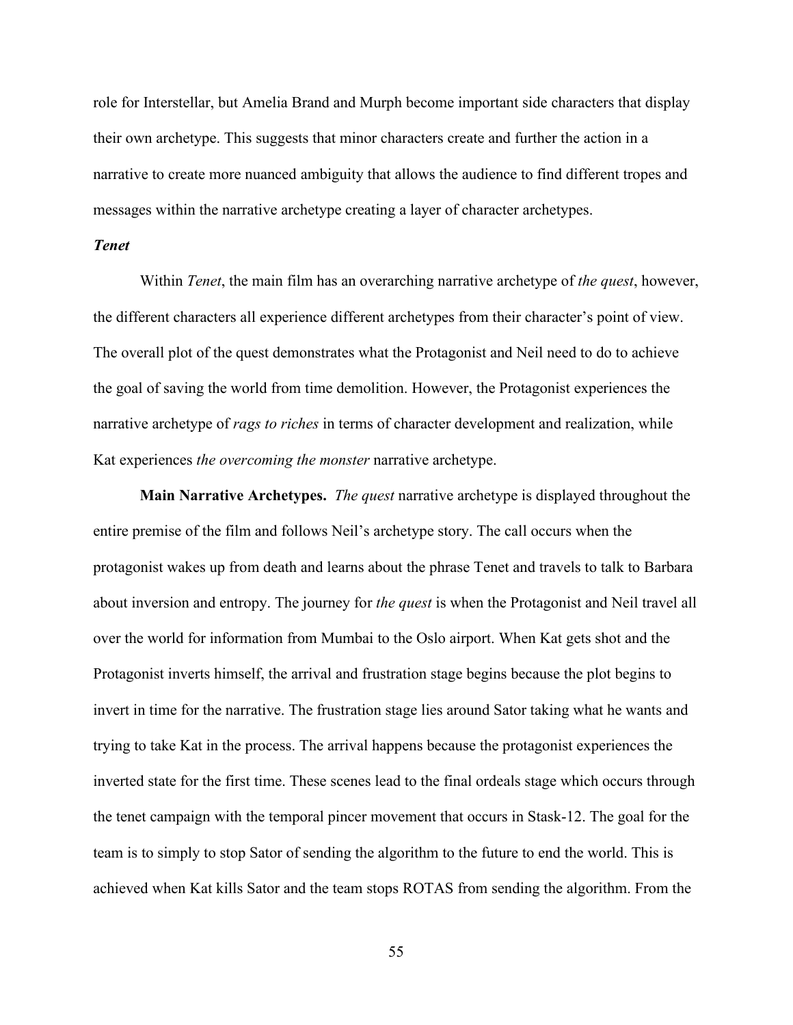role for Interstellar, but Amelia Brand and Murph become important side characters that display their own archetype. This suggests that minor characters create and further the action in a narrative to create more nuanced ambiguity that allows the audience to find different tropes and messages within the narrative archetype creating a layer of character archetypes.

# *Tenet*

Within *Tenet*, the main film has an overarching narrative archetype of *the quest*, however, the different characters all experience different archetypes from their character's point of view. The overall plot of the quest demonstrates what the Protagonist and Neil need to do to achieve the goal of saving the world from time demolition. However, the Protagonist experiences the narrative archetype of *rags to riches* in terms of character development and realization, while Kat experiences *the overcoming the monster* narrative archetype.

**Main Narrative Archetypes.** *The quest* narrative archetype is displayed throughout the entire premise of the film and follows Neil's archetype story. The call occurs when the protagonist wakes up from death and learns about the phrase Tenet and travels to talk to Barbara about inversion and entropy. The journey for *the quest* is when the Protagonist and Neil travel all over the world for information from Mumbai to the Oslo airport. When Kat gets shot and the Protagonist inverts himself, the arrival and frustration stage begins because the plot begins to invert in time for the narrative. The frustration stage lies around Sator taking what he wants and trying to take Kat in the process. The arrival happens because the protagonist experiences the inverted state for the first time. These scenes lead to the final ordeals stage which occurs through the tenet campaign with the temporal pincer movement that occurs in Stask-12. The goal for the team is to simply to stop Sator of sending the algorithm to the future to end the world. This is achieved when Kat kills Sator and the team stops ROTAS from sending the algorithm. From the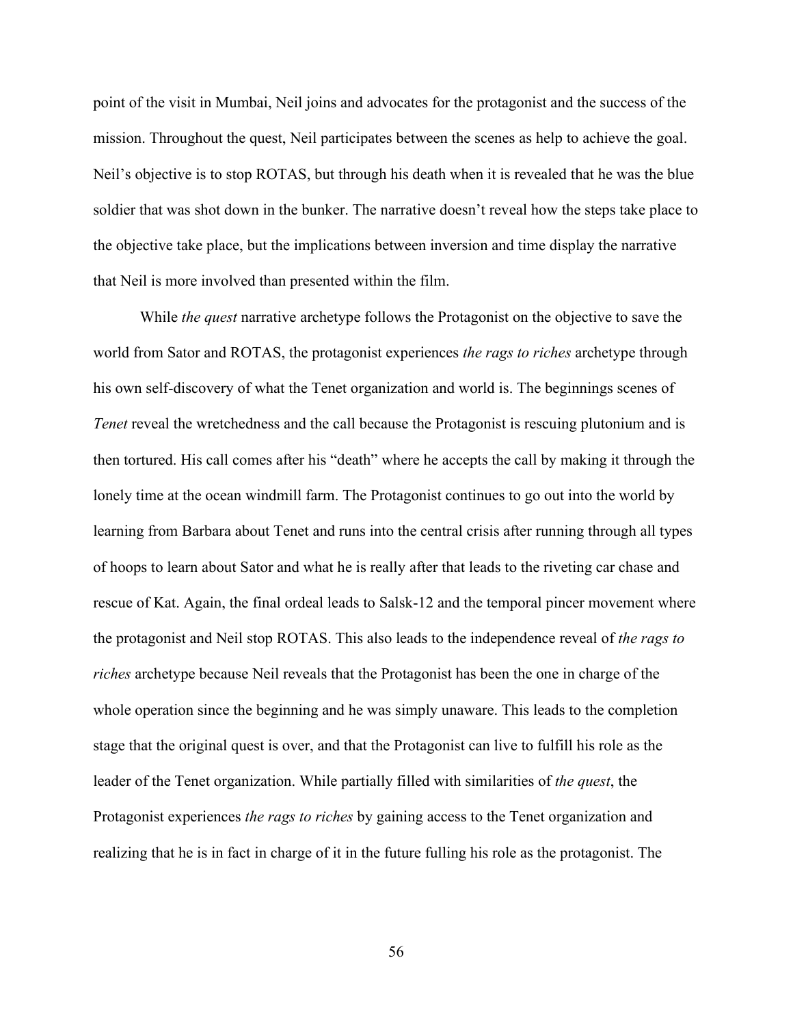point of the visit in Mumbai, Neil joins and advocates for the protagonist and the success of the mission. Throughout the quest, Neil participates between the scenes as help to achieve the goal. Neil's objective is to stop ROTAS, but through his death when it is revealed that he was the blue soldier that was shot down in the bunker. The narrative doesn't reveal how the steps take place to the objective take place, but the implications between inversion and time display the narrative that Neil is more involved than presented within the film.

While *the quest* narrative archetype follows the Protagonist on the objective to save the world from Sator and ROTAS, the protagonist experiences *the rags to riches* archetype through his own self-discovery of what the Tenet organization and world is. The beginnings scenes of *Tenet* reveal the wretchedness and the call because the Protagonist is rescuing plutonium and is then tortured. His call comes after his "death" where he accepts the call by making it through the lonely time at the ocean windmill farm. The Protagonist continues to go out into the world by learning from Barbara about Tenet and runs into the central crisis after running through all types of hoops to learn about Sator and what he is really after that leads to the riveting car chase and rescue of Kat. Again, the final ordeal leads to Salsk-12 and the temporal pincer movement where the protagonist and Neil stop ROTAS. This also leads to the independence reveal of *the rags to riches* archetype because Neil reveals that the Protagonist has been the one in charge of the whole operation since the beginning and he was simply unaware. This leads to the completion stage that the original quest is over, and that the Protagonist can live to fulfill his role as the leader of the Tenet organization. While partially filled with similarities of *the quest*, the Protagonist experiences *the rags to riches* by gaining access to the Tenet organization and realizing that he is in fact in charge of it in the future fulling his role as the protagonist. The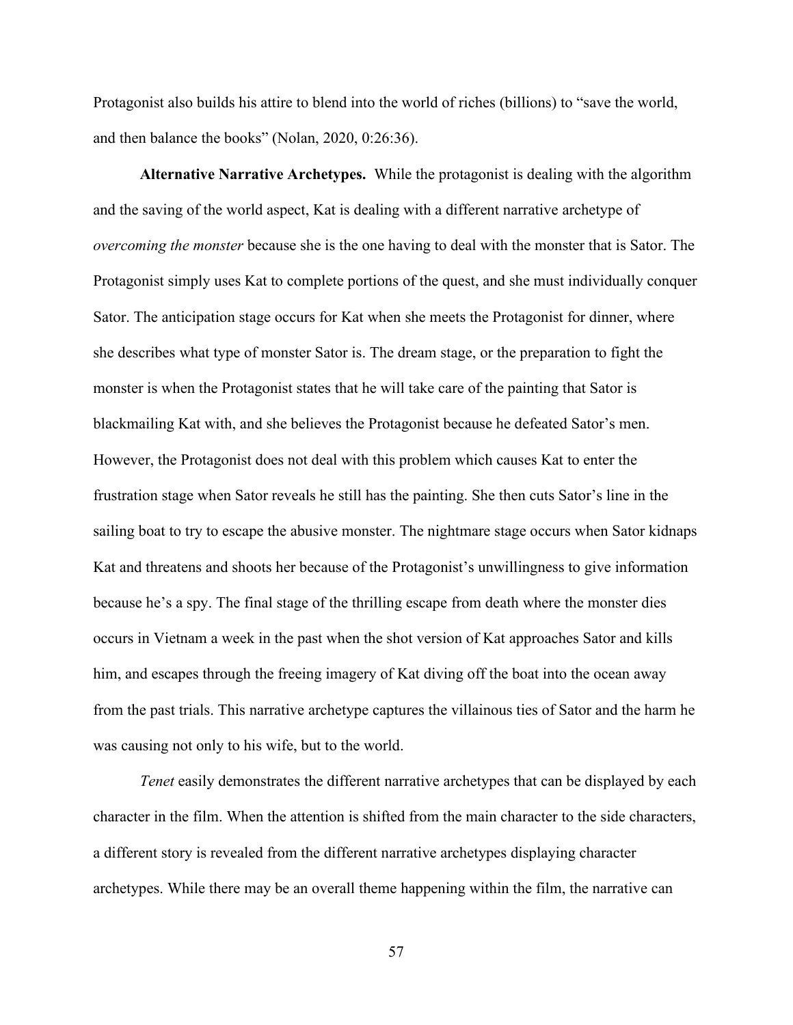Protagonist also builds his attire to blend into the world of riches (billions) to "save the world, and then balance the books" (Nolan, 2020, 0:26:36).

**Alternative Narrative Archetypes.** While the protagonist is dealing with the algorithm and the saving of the world aspect, Kat is dealing with a different narrative archetype of *overcoming the monster* because she is the one having to deal with the monster that is Sator. The Protagonist simply uses Kat to complete portions of the quest, and she must individually conquer Sator. The anticipation stage occurs for Kat when she meets the Protagonist for dinner, where she describes what type of monster Sator is. The dream stage, or the preparation to fight the monster is when the Protagonist states that he will take care of the painting that Sator is blackmailing Kat with, and she believes the Protagonist because he defeated Sator's men. However, the Protagonist does not deal with this problem which causes Kat to enter the frustration stage when Sator reveals he still has the painting. She then cuts Sator's line in the sailing boat to try to escape the abusive monster. The nightmare stage occurs when Sator kidnaps Kat and threatens and shoots her because of the Protagonist's unwillingness to give information because he's a spy. The final stage of the thrilling escape from death where the monster dies occurs in Vietnam a week in the past when the shot version of Kat approaches Sator and kills him, and escapes through the freeing imagery of Kat diving off the boat into the ocean away from the past trials. This narrative archetype captures the villainous ties of Sator and the harm he was causing not only to his wife, but to the world.

*Tenet* easily demonstrates the different narrative archetypes that can be displayed by each character in the film. When the attention is shifted from the main character to the side characters, a different story is revealed from the different narrative archetypes displaying character archetypes. While there may be an overall theme happening within the film, the narrative can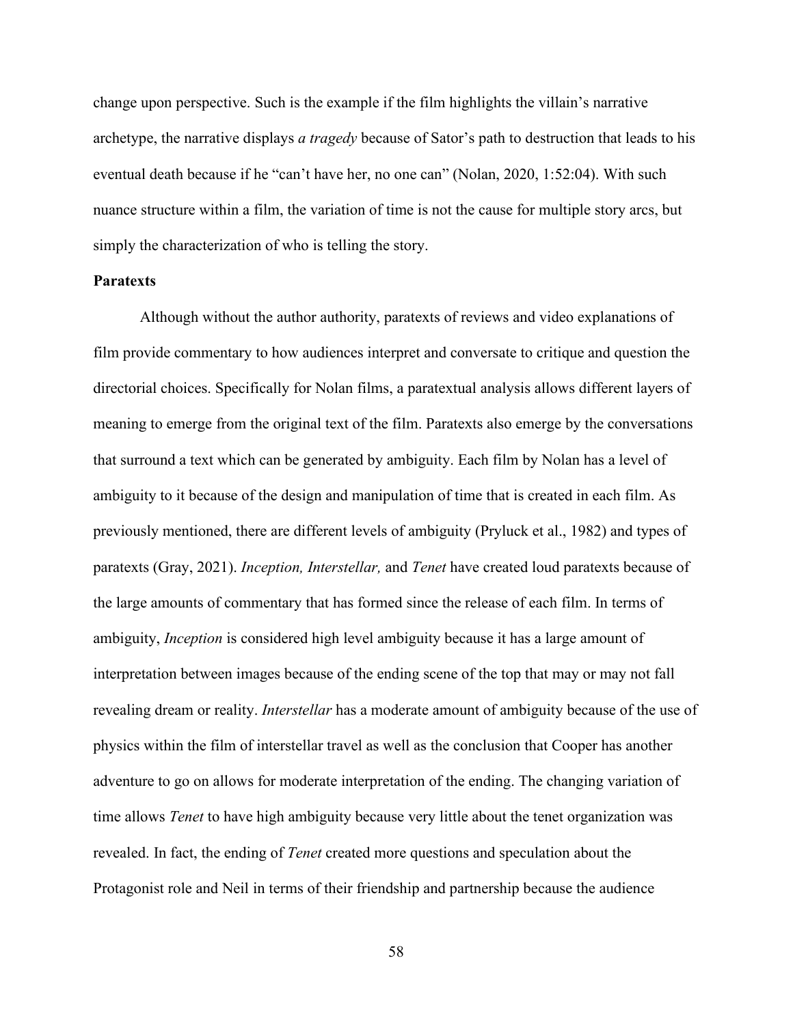change upon perspective. Such is the example if the film highlights the villain's narrative archetype, the narrative displays *a tragedy* because of Sator's path to destruction that leads to his eventual death because if he "can't have her, no one can" (Nolan, 2020, 1:52:04). With such nuance structure within a film, the variation of time is not the cause for multiple story arcs, but simply the characterization of who is telling the story.

### **Paratexts**

Although without the author authority, paratexts of reviews and video explanations of film provide commentary to how audiences interpret and conversate to critique and question the directorial choices. Specifically for Nolan films, a paratextual analysis allows different layers of meaning to emerge from the original text of the film. Paratexts also emerge by the conversations that surround a text which can be generated by ambiguity. Each film by Nolan has a level of ambiguity to it because of the design and manipulation of time that is created in each film. As previously mentioned, there are different levels of ambiguity (Pryluck et al., 1982) and types of paratexts (Gray, 2021). *Inception, Interstellar,* and *Tenet* have created loud paratexts because of the large amounts of commentary that has formed since the release of each film. In terms of ambiguity, *Inception* is considered high level ambiguity because it has a large amount of interpretation between images because of the ending scene of the top that may or may not fall revealing dream or reality. *Interstellar* has a moderate amount of ambiguity because of the use of physics within the film of interstellar travel as well as the conclusion that Cooper has another adventure to go on allows for moderate interpretation of the ending. The changing variation of time allows *Tenet* to have high ambiguity because very little about the tenet organization was revealed. In fact, the ending of *Tenet* created more questions and speculation about the Protagonist role and Neil in terms of their friendship and partnership because the audience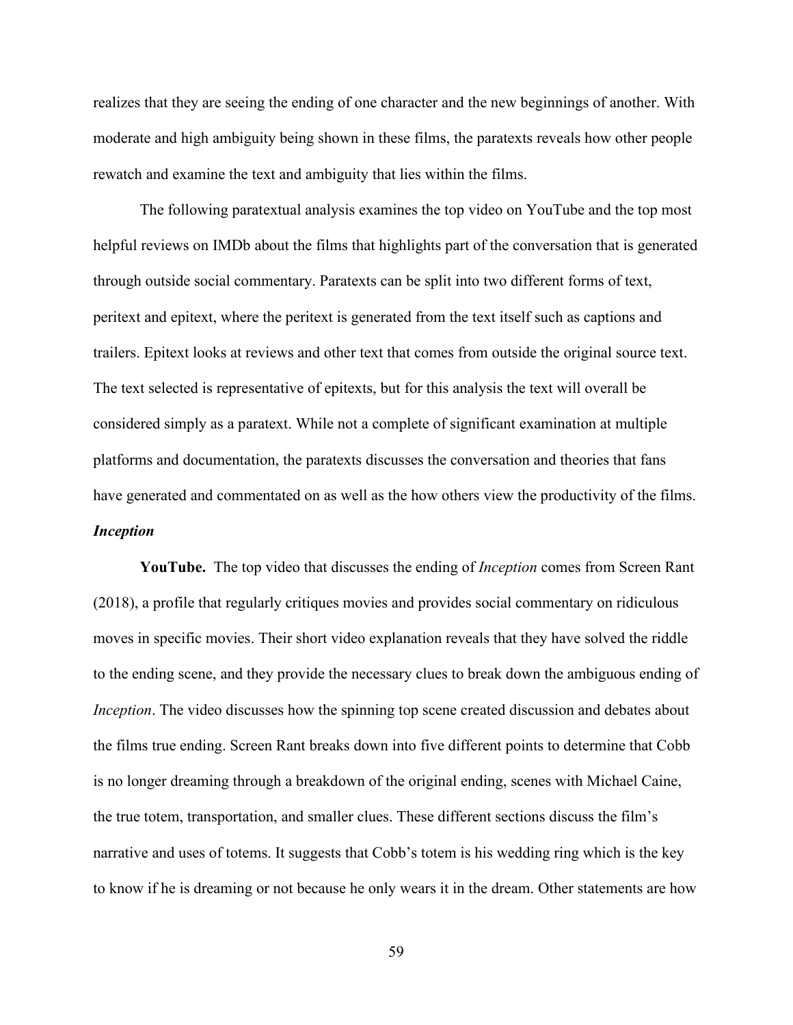realizes that they are seeing the ending of one character and the new beginnings of another. With moderate and high ambiguity being shown in these films, the paratexts reveals how other people rewatch and examine the text and ambiguity that lies within the films.

The following paratextual analysis examines the top video on YouTube and the top most helpful reviews on IMDb about the films that highlights part of the conversation that is generated through outside social commentary. Paratexts can be split into two different forms of text, peritext and epitext, where the peritext is generated from the text itself such as captions and trailers. Epitext looks at reviews and other text that comes from outside the original source text. The text selected is representative of epitexts, but for this analysis the text will overall be considered simply as a paratext. While not a complete of significant examination at multiple platforms and documentation, the paratexts discusses the conversation and theories that fans have generated and commentated on as well as the how others view the productivity of the films. *Inception*

**YouTube.** The top video that discusses the ending of *Inception* comes from Screen Rant (2018), a profile that regularly critiques movies and provides social commentary on ridiculous moves in specific movies. Their short video explanation reveals that they have solved the riddle to the ending scene, and they provide the necessary clues to break down the ambiguous ending of *Inception*. The video discusses how the spinning top scene created discussion and debates about the films true ending. Screen Rant breaks down into five different points to determine that Cobb is no longer dreaming through a breakdown of the original ending, scenes with Michael Caine, the true totem, transportation, and smaller clues. These different sections discuss the film's narrative and uses of totems. It suggests that Cobb's totem is his wedding ring which is the key to know if he is dreaming or not because he only wears it in the dream. Other statements are how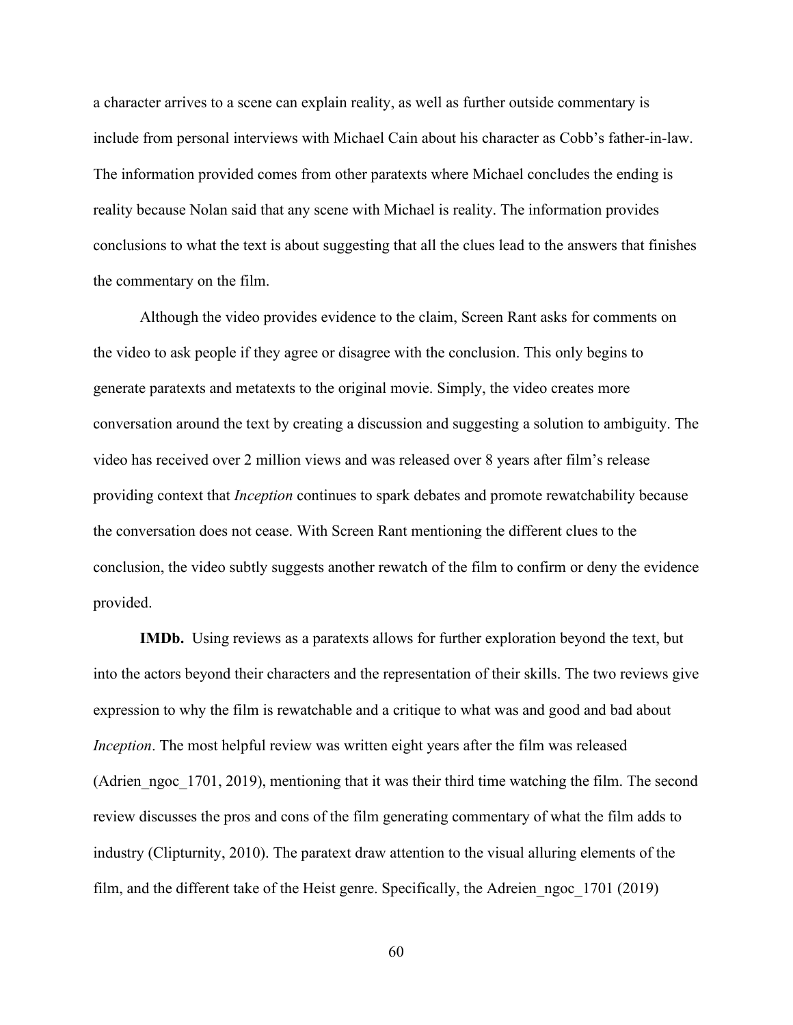a character arrives to a scene can explain reality, as well as further outside commentary is include from personal interviews with Michael Cain about his character as Cobb's father-in-law. The information provided comes from other paratexts where Michael concludes the ending is reality because Nolan said that any scene with Michael is reality. The information provides conclusions to what the text is about suggesting that all the clues lead to the answers that finishes the commentary on the film.

Although the video provides evidence to the claim, Screen Rant asks for comments on the video to ask people if they agree or disagree with the conclusion. This only begins to generate paratexts and metatexts to the original movie. Simply, the video creates more conversation around the text by creating a discussion and suggesting a solution to ambiguity. The video has received over 2 million views and was released over 8 years after film's release providing context that *Inception* continues to spark debates and promote rewatchability because the conversation does not cease. With Screen Rant mentioning the different clues to the conclusion, the video subtly suggests another rewatch of the film to confirm or deny the evidence provided.

**IMDb.** Using reviews as a paratexts allows for further exploration beyond the text, but into the actors beyond their characters and the representation of their skills. The two reviews give expression to why the film is rewatchable and a critique to what was and good and bad about *Inception*. The most helpful review was written eight years after the film was released (Adrien ngoc 1701, 2019), mentioning that it was their third time watching the film. The second review discusses the pros and cons of the film generating commentary of what the film adds to industry (Clipturnity, 2010). The paratext draw attention to the visual alluring elements of the film, and the different take of the Heist genre. Specifically, the Adreien\_ngoc\_1701 (2019)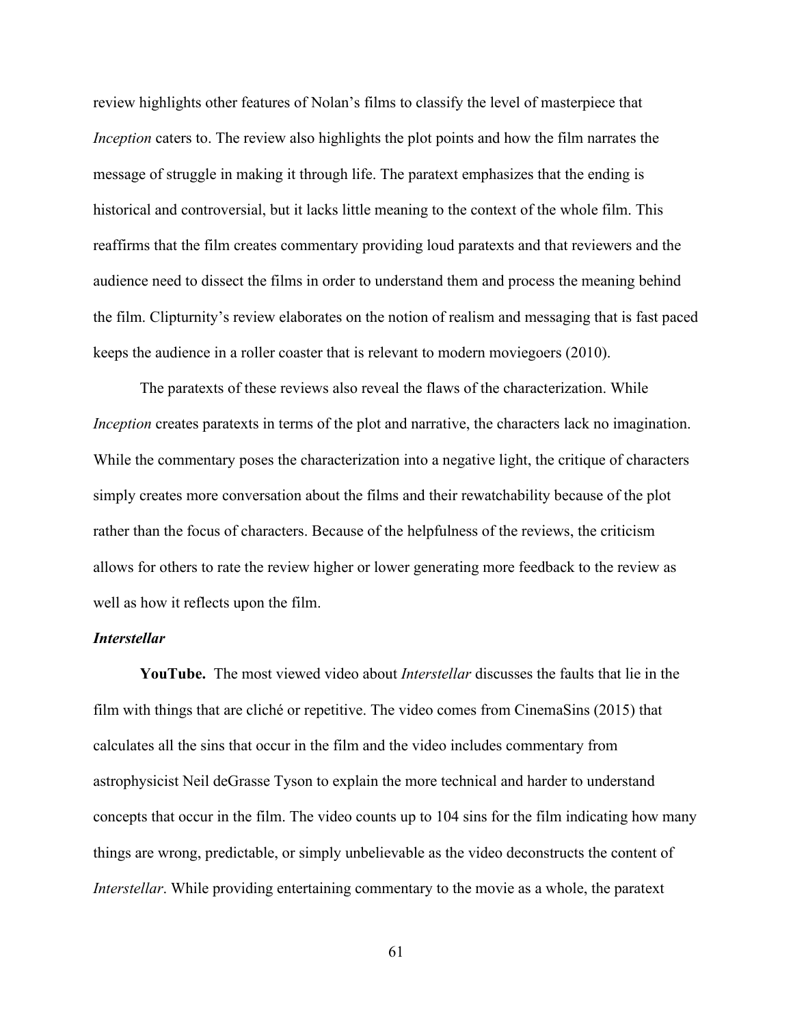review highlights other features of Nolan's films to classify the level of masterpiece that *Inception* caters to. The review also highlights the plot points and how the film narrates the message of struggle in making it through life. The paratext emphasizes that the ending is historical and controversial, but it lacks little meaning to the context of the whole film. This reaffirms that the film creates commentary providing loud paratexts and that reviewers and the audience need to dissect the films in order to understand them and process the meaning behind the film. Clipturnity's review elaborates on the notion of realism and messaging that is fast paced keeps the audience in a roller coaster that is relevant to modern moviegoers (2010).

The paratexts of these reviews also reveal the flaws of the characterization. While *Inception* creates paratexts in terms of the plot and narrative, the characters lack no imagination. While the commentary poses the characterization into a negative light, the critique of characters simply creates more conversation about the films and their rewatchability because of the plot rather than the focus of characters. Because of the helpfulness of the reviews, the criticism allows for others to rate the review higher or lower generating more feedback to the review as well as how it reflects upon the film.

# *Interstellar*

**YouTube.** The most viewed video about *Interstellar* discusses the faults that lie in the film with things that are cliché or repetitive. The video comes from CinemaSins (2015) that calculates all the sins that occur in the film and the video includes commentary from astrophysicist Neil deGrasse Tyson to explain the more technical and harder to understand concepts that occur in the film. The video counts up to 104 sins for the film indicating how many things are wrong, predictable, or simply unbelievable as the video deconstructs the content of *Interstellar*. While providing entertaining commentary to the movie as a whole, the paratext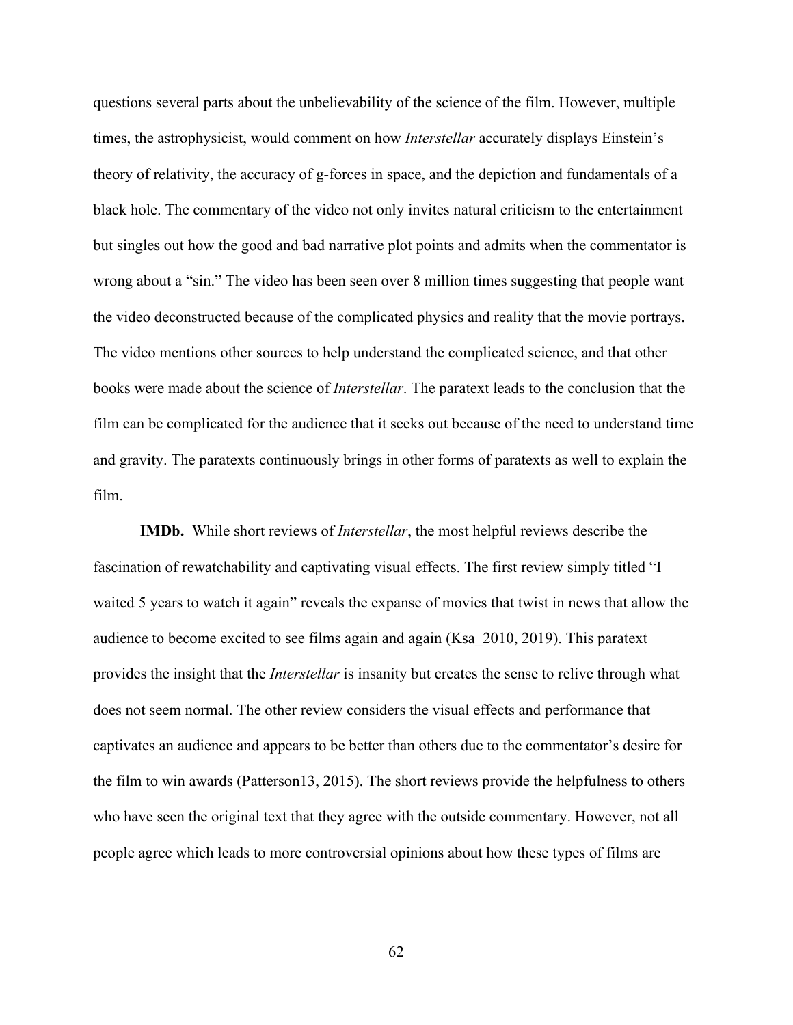questions several parts about the unbelievability of the science of the film. However, multiple times, the astrophysicist, would comment on how *Interstellar* accurately displays Einstein's theory of relativity, the accuracy of g-forces in space, and the depiction and fundamentals of a black hole. The commentary of the video not only invites natural criticism to the entertainment but singles out how the good and bad narrative plot points and admits when the commentator is wrong about a "sin." The video has been seen over 8 million times suggesting that people want the video deconstructed because of the complicated physics and reality that the movie portrays. The video mentions other sources to help understand the complicated science, and that other books were made about the science of *Interstellar*. The paratext leads to the conclusion that the film can be complicated for the audience that it seeks out because of the need to understand time and gravity. The paratexts continuously brings in other forms of paratexts as well to explain the film.

**IMDb.** While short reviews of *Interstellar*, the most helpful reviews describe the fascination of rewatchability and captivating visual effects. The first review simply titled "I waited 5 years to watch it again" reveals the expanse of movies that twist in news that allow the audience to become excited to see films again and again (Ksa\_2010, 2019). This paratext provides the insight that the *Interstellar* is insanity but creates the sense to relive through what does not seem normal. The other review considers the visual effects and performance that captivates an audience and appears to be better than others due to the commentator's desire for the film to win awards (Patterson13, 2015). The short reviews provide the helpfulness to others who have seen the original text that they agree with the outside commentary. However, not all people agree which leads to more controversial opinions about how these types of films are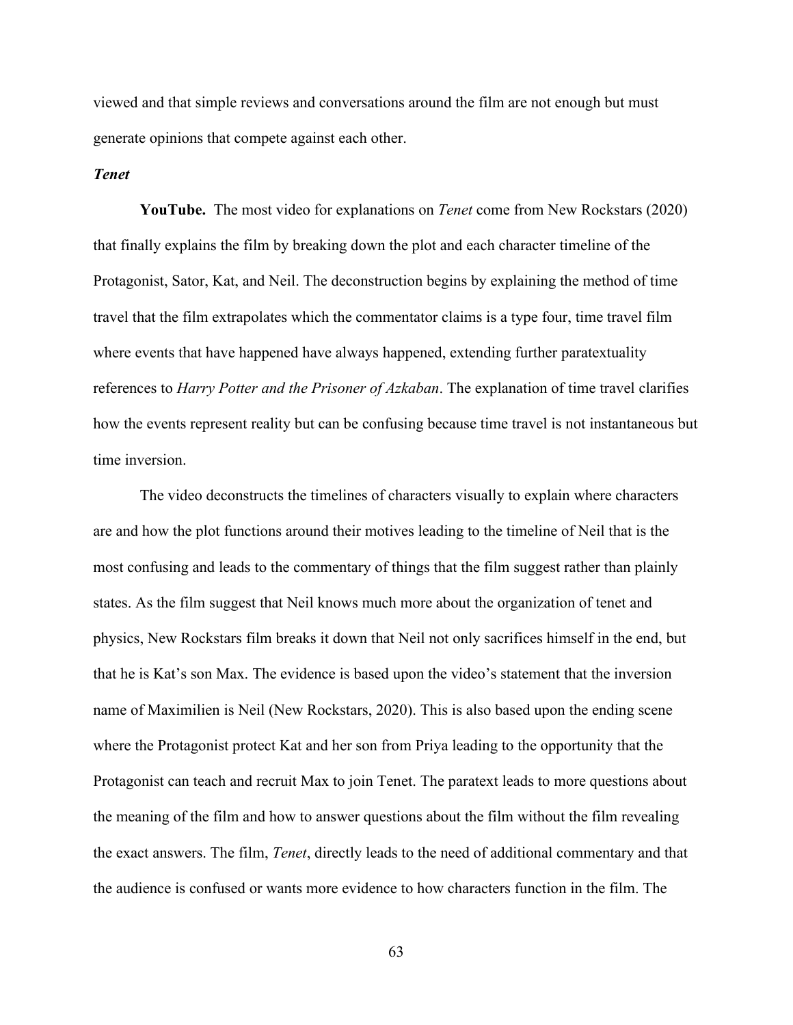viewed and that simple reviews and conversations around the film are not enough but must generate opinions that compete against each other.

### *Tenet*

**YouTube.** The most video for explanations on *Tenet* come from New Rockstars (2020) that finally explains the film by breaking down the plot and each character timeline of the Protagonist, Sator, Kat, and Neil. The deconstruction begins by explaining the method of time travel that the film extrapolates which the commentator claims is a type four, time travel film where events that have happened have always happened, extending further paratextuality references to *Harry Potter and the Prisoner of Azkaban*. The explanation of time travel clarifies how the events represent reality but can be confusing because time travel is not instantaneous but time inversion.

The video deconstructs the timelines of characters visually to explain where characters are and how the plot functions around their motives leading to the timeline of Neil that is the most confusing and leads to the commentary of things that the film suggest rather than plainly states. As the film suggest that Neil knows much more about the organization of tenet and physics, New Rockstars film breaks it down that Neil not only sacrifices himself in the end, but that he is Kat's son Max. The evidence is based upon the video's statement that the inversion name of Maximilien is Neil (New Rockstars, 2020). This is also based upon the ending scene where the Protagonist protect Kat and her son from Priya leading to the opportunity that the Protagonist can teach and recruit Max to join Tenet. The paratext leads to more questions about the meaning of the film and how to answer questions about the film without the film revealing the exact answers. The film, *Tenet*, directly leads to the need of additional commentary and that the audience is confused or wants more evidence to how characters function in the film. The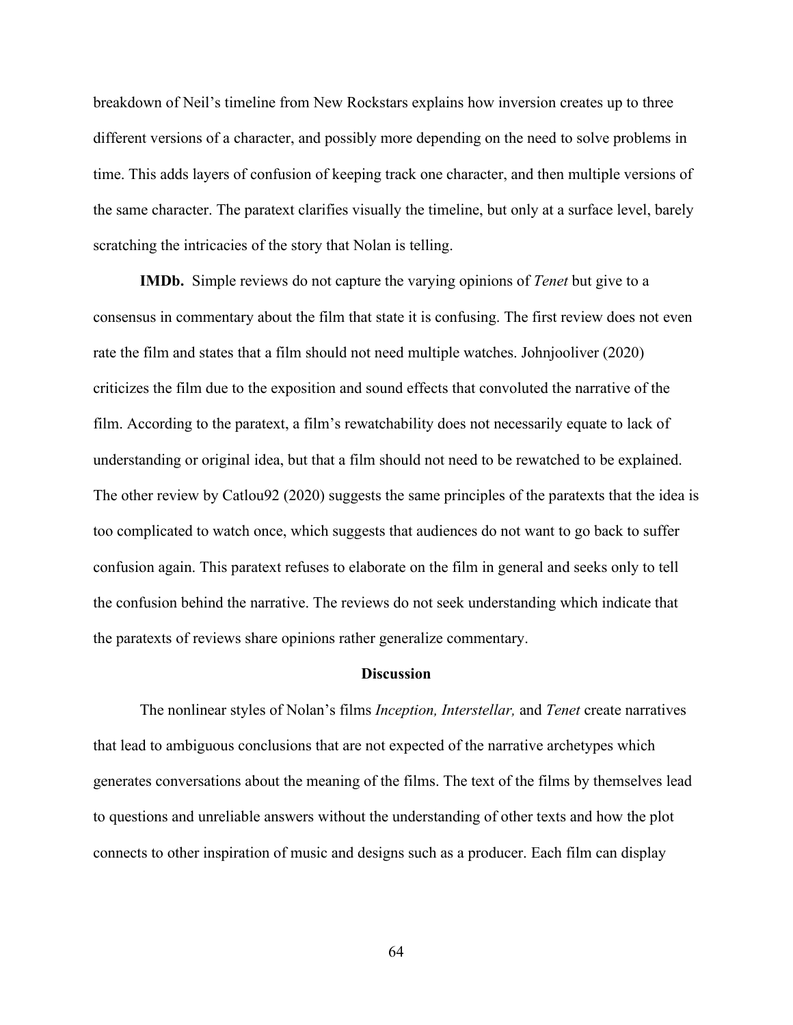breakdown of Neil's timeline from New Rockstars explains how inversion creates up to three different versions of a character, and possibly more depending on the need to solve problems in time. This adds layers of confusion of keeping track one character, and then multiple versions of the same character. The paratext clarifies visually the timeline, but only at a surface level, barely scratching the intricacies of the story that Nolan is telling.

**IMDb.** Simple reviews do not capture the varying opinions of *Tenet* but give to a consensus in commentary about the film that state it is confusing. The first review does not even rate the film and states that a film should not need multiple watches. Johnjooliver (2020) criticizes the film due to the exposition and sound effects that convoluted the narrative of the film. According to the paratext, a film's rewatchability does not necessarily equate to lack of understanding or original idea, but that a film should not need to be rewatched to be explained. The other review by Catlou92 (2020) suggests the same principles of the paratexts that the idea is too complicated to watch once, which suggests that audiences do not want to go back to suffer confusion again. This paratext refuses to elaborate on the film in general and seeks only to tell the confusion behind the narrative. The reviews do not seek understanding which indicate that the paratexts of reviews share opinions rather generalize commentary.

#### **Discussion**

The nonlinear styles of Nolan's films *Inception, Interstellar,* and *Tenet* create narratives that lead to ambiguous conclusions that are not expected of the narrative archetypes which generates conversations about the meaning of the films. The text of the films by themselves lead to questions and unreliable answers without the understanding of other texts and how the plot connects to other inspiration of music and designs such as a producer. Each film can display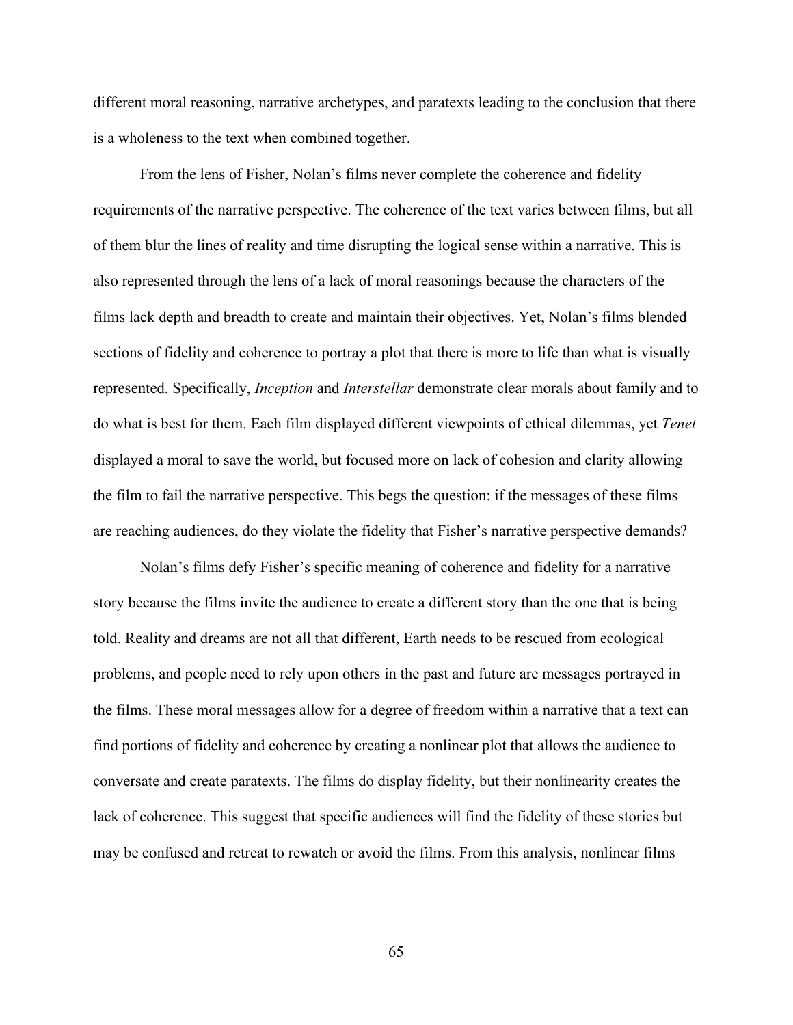different moral reasoning, narrative archetypes, and paratexts leading to the conclusion that there is a wholeness to the text when combined together.

From the lens of Fisher, Nolan's films never complete the coherence and fidelity requirements of the narrative perspective. The coherence of the text varies between films, but all of them blur the lines of reality and time disrupting the logical sense within a narrative. This is also represented through the lens of a lack of moral reasonings because the characters of the films lack depth and breadth to create and maintain their objectives. Yet, Nolan's films blended sections of fidelity and coherence to portray a plot that there is more to life than what is visually represented. Specifically, *Inception* and *Interstellar* demonstrate clear morals about family and to do what is best for them. Each film displayed different viewpoints of ethical dilemmas, yet *Tenet* displayed a moral to save the world, but focused more on lack of cohesion and clarity allowing the film to fail the narrative perspective. This begs the question: if the messages of these films are reaching audiences, do they violate the fidelity that Fisher's narrative perspective demands?

Nolan's films defy Fisher's specific meaning of coherence and fidelity for a narrative story because the films invite the audience to create a different story than the one that is being told. Reality and dreams are not all that different, Earth needs to be rescued from ecological problems, and people need to rely upon others in the past and future are messages portrayed in the films. These moral messages allow for a degree of freedom within a narrative that a text can find portions of fidelity and coherence by creating a nonlinear plot that allows the audience to conversate and create paratexts. The films do display fidelity, but their nonlinearity creates the lack of coherence. This suggest that specific audiences will find the fidelity of these stories but may be confused and retreat to rewatch or avoid the films. From this analysis, nonlinear films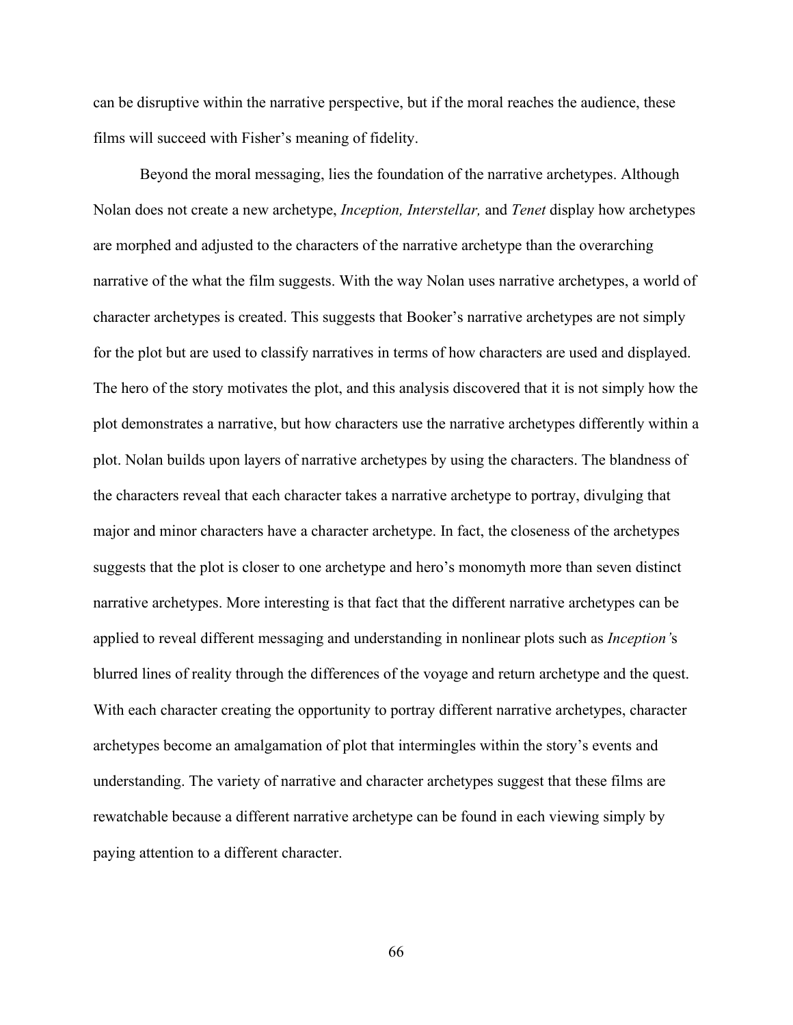can be disruptive within the narrative perspective, but if the moral reaches the audience, these films will succeed with Fisher's meaning of fidelity.

Beyond the moral messaging, lies the foundation of the narrative archetypes. Although Nolan does not create a new archetype, *Inception, Interstellar,* and *Tenet* display how archetypes are morphed and adjusted to the characters of the narrative archetype than the overarching narrative of the what the film suggests. With the way Nolan uses narrative archetypes, a world of character archetypes is created. This suggests that Booker's narrative archetypes are not simply for the plot but are used to classify narratives in terms of how characters are used and displayed. The hero of the story motivates the plot, and this analysis discovered that it is not simply how the plot demonstrates a narrative, but how characters use the narrative archetypes differently within a plot. Nolan builds upon layers of narrative archetypes by using the characters. The blandness of the characters reveal that each character takes a narrative archetype to portray, divulging that major and minor characters have a character archetype. In fact, the closeness of the archetypes suggests that the plot is closer to one archetype and hero's monomyth more than seven distinct narrative archetypes. More interesting is that fact that the different narrative archetypes can be applied to reveal different messaging and understanding in nonlinear plots such as *Inception'*s blurred lines of reality through the differences of the voyage and return archetype and the quest. With each character creating the opportunity to portray different narrative archetypes, character archetypes become an amalgamation of plot that intermingles within the story's events and understanding. The variety of narrative and character archetypes suggest that these films are rewatchable because a different narrative archetype can be found in each viewing simply by paying attention to a different character.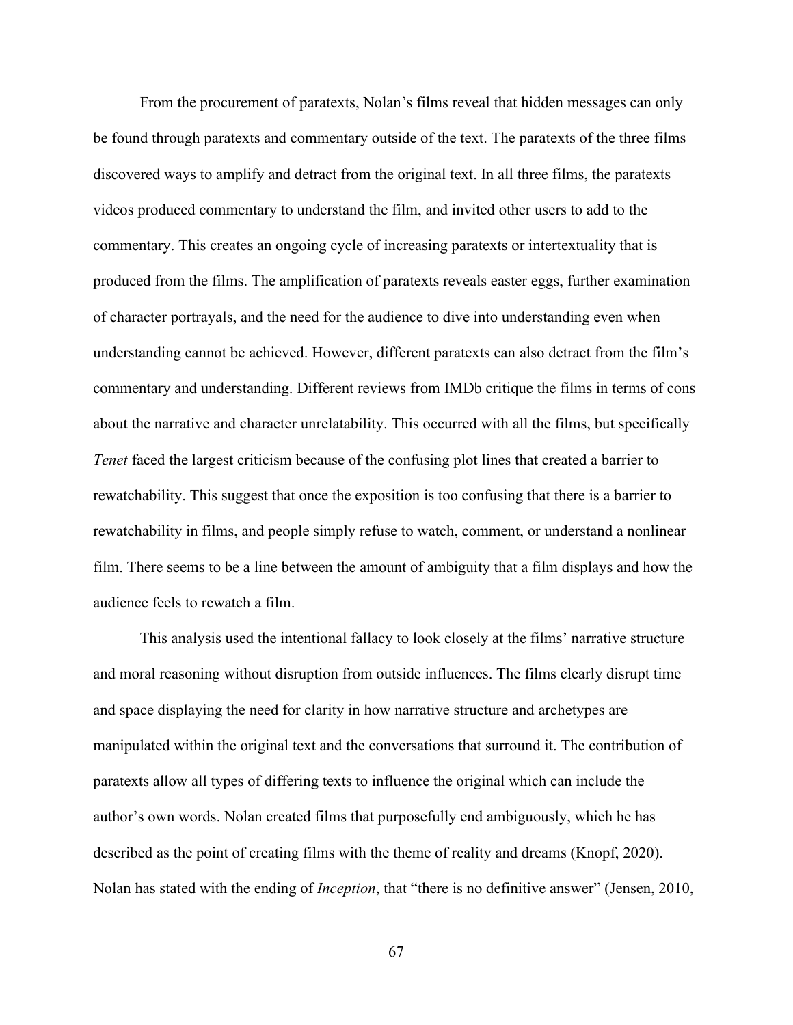From the procurement of paratexts, Nolan's films reveal that hidden messages can only be found through paratexts and commentary outside of the text. The paratexts of the three films discovered ways to amplify and detract from the original text. In all three films, the paratexts videos produced commentary to understand the film, and invited other users to add to the commentary. This creates an ongoing cycle of increasing paratexts or intertextuality that is produced from the films. The amplification of paratexts reveals easter eggs, further examination of character portrayals, and the need for the audience to dive into understanding even when understanding cannot be achieved. However, different paratexts can also detract from the film's commentary and understanding. Different reviews from IMDb critique the films in terms of cons about the narrative and character unrelatability. This occurred with all the films, but specifically *Tenet* faced the largest criticism because of the confusing plot lines that created a barrier to rewatchability. This suggest that once the exposition is too confusing that there is a barrier to rewatchability in films, and people simply refuse to watch, comment, or understand a nonlinear film. There seems to be a line between the amount of ambiguity that a film displays and how the audience feels to rewatch a film.

This analysis used the intentional fallacy to look closely at the films' narrative structure and moral reasoning without disruption from outside influences. The films clearly disrupt time and space displaying the need for clarity in how narrative structure and archetypes are manipulated within the original text and the conversations that surround it. The contribution of paratexts allow all types of differing texts to influence the original which can include the author's own words. Nolan created films that purposefully end ambiguously, which he has described as the point of creating films with the theme of reality and dreams (Knopf, 2020). Nolan has stated with the ending of *Inception*, that "there is no definitive answer" (Jensen, 2010,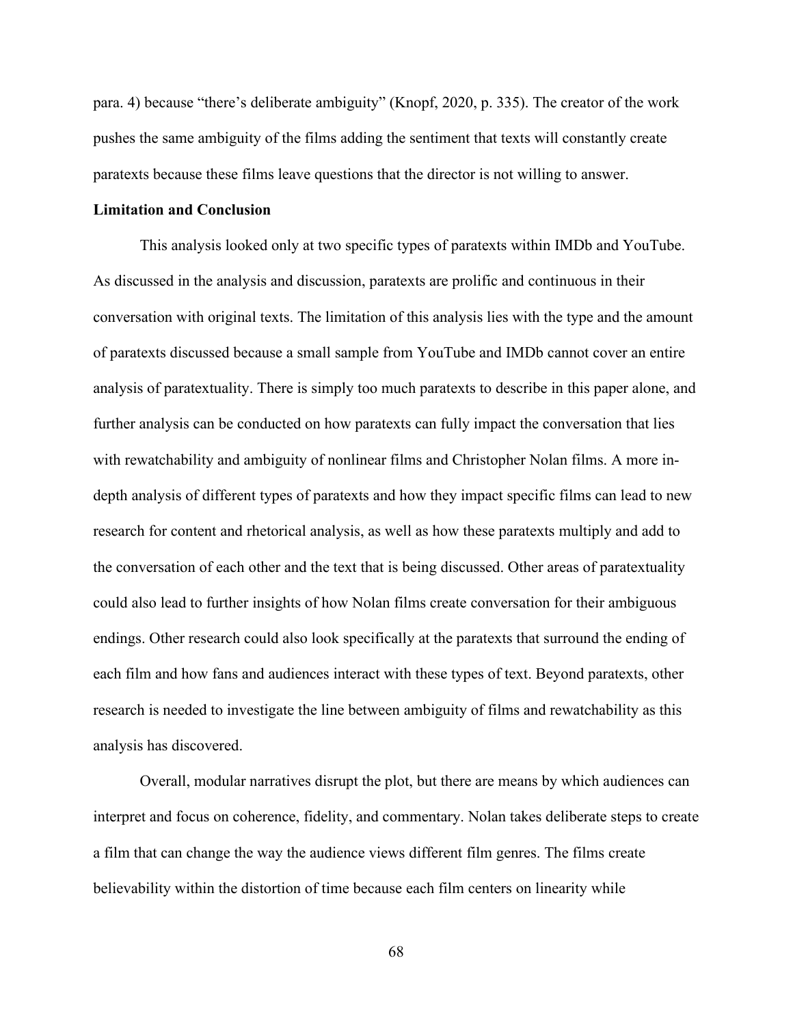para. 4) because "there's deliberate ambiguity" (Knopf, 2020, p. 335). The creator of the work pushes the same ambiguity of the films adding the sentiment that texts will constantly create paratexts because these films leave questions that the director is not willing to answer.

## **Limitation and Conclusion**

This analysis looked only at two specific types of paratexts within IMDb and YouTube. As discussed in the analysis and discussion, paratexts are prolific and continuous in their conversation with original texts. The limitation of this analysis lies with the type and the amount of paratexts discussed because a small sample from YouTube and IMDb cannot cover an entire analysis of paratextuality. There is simply too much paratexts to describe in this paper alone, and further analysis can be conducted on how paratexts can fully impact the conversation that lies with rewatchability and ambiguity of nonlinear films and Christopher Nolan films. A more indepth analysis of different types of paratexts and how they impact specific films can lead to new research for content and rhetorical analysis, as well as how these paratexts multiply and add to the conversation of each other and the text that is being discussed. Other areas of paratextuality could also lead to further insights of how Nolan films create conversation for their ambiguous endings. Other research could also look specifically at the paratexts that surround the ending of each film and how fans and audiences interact with these types of text. Beyond paratexts, other research is needed to investigate the line between ambiguity of films and rewatchability as this analysis has discovered.

Overall, modular narratives disrupt the plot, but there are means by which audiences can interpret and focus on coherence, fidelity, and commentary. Nolan takes deliberate steps to create a film that can change the way the audience views different film genres. The films create believability within the distortion of time because each film centers on linearity while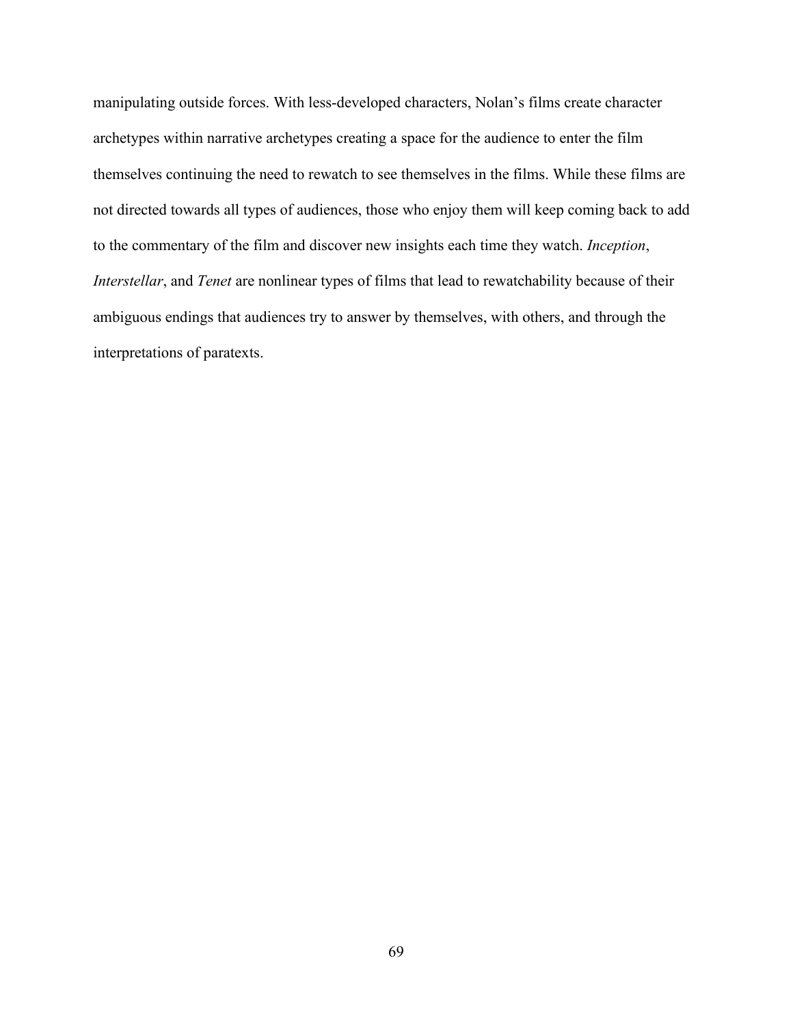manipulating outside forces. With less-developed characters, Nolan's films create character archetypes within narrative archetypes creating a space for the audience to enter the film themselves continuing the need to rewatch to see themselves in the films. While these films are not directed towards all types of audiences, those who enjoy them will keep coming back to add to the commentary of the film and discover new insights each time they watch. *Inception*, *Interstellar*, and *Tenet* are nonlinear types of films that lead to rewatchability because of their ambiguous endings that audiences try to answer by themselves, with others, and through the interpretations of paratexts.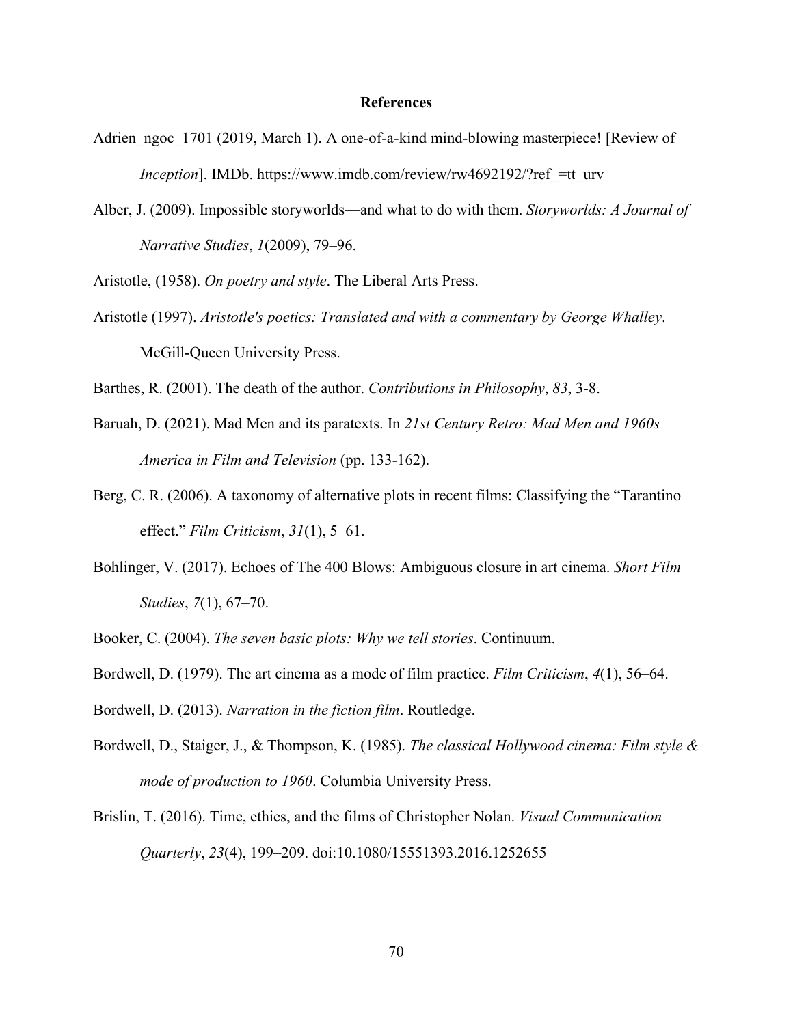## **References**

- Adrien\_ngoc\_1701 (2019, March 1). A one-of-a-kind mind-blowing masterpiece! [Review of *Inception*]. IMDb. https://www.imdb.com/review/rw4692192/?ref =tt\_urv
- Alber, J. (2009). Impossible storyworlds—and what to do with them. *Storyworlds: A Journal of Narrative Studies*, *1*(2009), 79–96.

Aristotle, (1958). *On poetry and style*. The Liberal Arts Press.

Aristotle (1997). *Aristotle's poetics: Translated and with a commentary by George Whalley*. McGill-Queen University Press.

Barthes, R. (2001). The death of the author. *Contributions in Philosophy*, *83*, 3-8.

- Baruah, D. (2021). Mad Men and its paratexts. In *21st Century Retro: Mad Men and 1960s America in Film and Television* (pp. 133-162).
- Berg, C. R. (2006). A taxonomy of alternative plots in recent films: Classifying the "Tarantino effect." *Film Criticism*, *31*(1), 5–61.
- Bohlinger, V. (2017). Echoes of The 400 Blows: Ambiguous closure in art cinema. *Short Film Studies*, *7*(1), 67–70.
- Booker, C. (2004). *The seven basic plots: Why we tell stories*. Continuum.
- Bordwell, D. (1979). The art cinema as a mode of film practice. *Film Criticism*, *4*(1), 56–64.
- Bordwell, D. (2013). *Narration in the fiction film*. Routledge.
- Bordwell, D., Staiger, J., & Thompson, K. (1985). *The classical Hollywood cinema: Film style & mode of production to 1960*. Columbia University Press.
- Brislin, T. (2016). Time, ethics, and the films of Christopher Nolan. *Visual Communication Quarterly*, *23*(4), 199–209. doi:10.1080/15551393.2016.1252655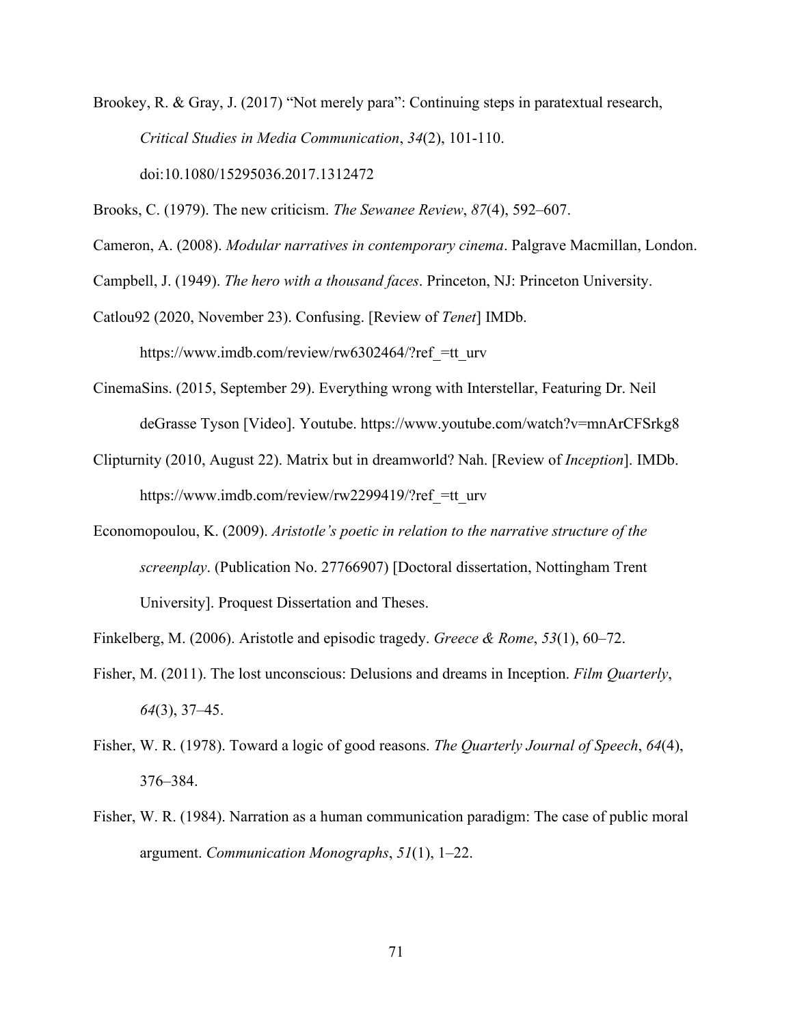Brookey, R. & Gray, J. (2017) "Not merely para": Continuing steps in paratextual research, *Critical Studies in Media Communication*, *34*(2), 101-110. doi:10.1080/15295036.2017.1312472

Brooks, C. (1979). The new criticism. *The Sewanee Review*, *87*(4), 592–607.

Cameron, A. (2008). *Modular narratives in contemporary cinema*. Palgrave Macmillan, London.

Campbell, J. (1949). *The hero with a thousand faces*. Princeton, NJ: Princeton University.

Catlou92 (2020, November 23). Confusing. [Review of *Tenet*] IMDb. https://www.imdb.com/review/rw6302464/?ref =tt\_urv

- CinemaSins. (2015, September 29). Everything wrong with Interstellar, Featuring Dr. Neil deGrasse Tyson [Video]. Youtube. https://www.youtube.com/watch?v=mnArCFSrkg8
- Clipturnity (2010, August 22). Matrix but in dreamworld? Nah. [Review of *Inception*]. IMDb. https://www.imdb.com/review/rw2299419/?ref =tt\_urv
- Economopoulou, K. (2009). *Aristotle's poetic in relation to the narrative structure of the screenplay*. (Publication No. 27766907) [Doctoral dissertation, Nottingham Trent University]. Proquest Dissertation and Theses.
- Finkelberg, M. (2006). Aristotle and episodic tragedy. *Greece & Rome*, *53*(1), 60–72.
- Fisher, M. (2011). The lost unconscious: Delusions and dreams in Inception. *Film Quarterly*, *64*(3), 37–45.
- Fisher, W. R. (1978). Toward a logic of good reasons. *The Quarterly Journal of Speech*, *64*(4), 376–384.
- Fisher, W. R. (1984). Narration as a human communication paradigm: The case of public moral argument. *Communication Monographs*, *51*(1), 1–22.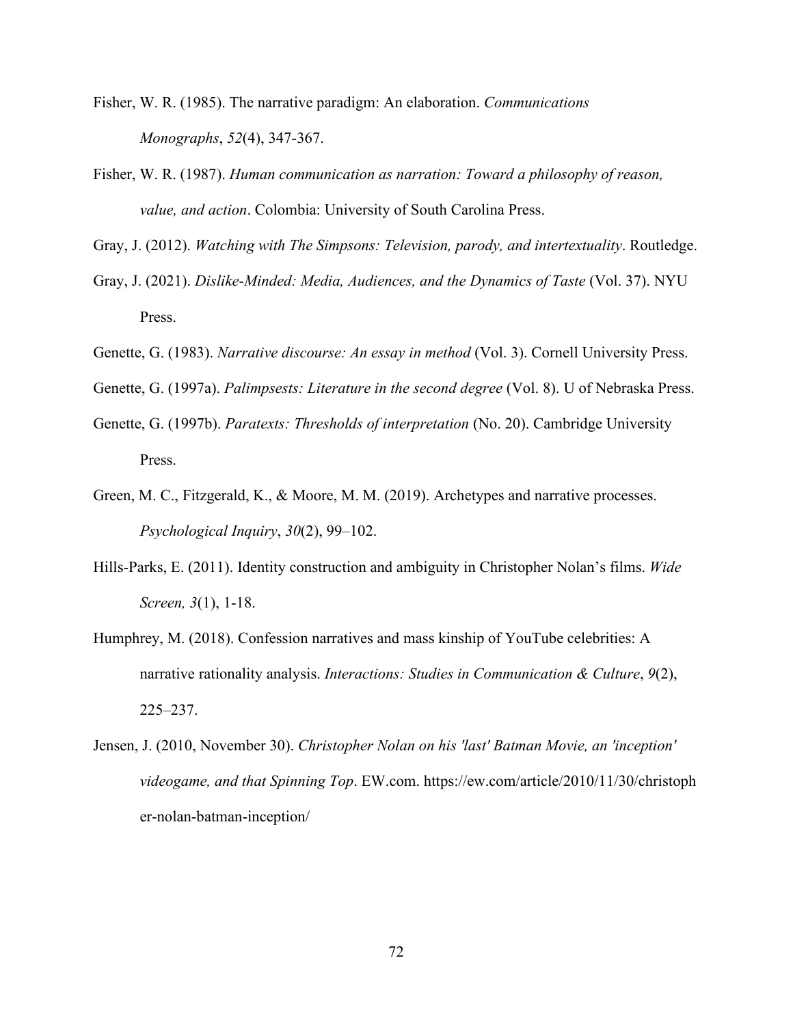- Fisher, W. R. (1985). The narrative paradigm: An elaboration. *Communications Monographs*, *52*(4), 347-367.
- Fisher, W. R. (1987). *Human communication as narration: Toward a philosophy of reason, value, and action*. Colombia: University of South Carolina Press.

Gray, J. (2012). *Watching with The Simpsons: Television, parody, and intertextuality*. Routledge.

- Gray, J. (2021). *Dislike-Minded: Media, Audiences, and the Dynamics of Taste* (Vol. 37). NYU Press.
- Genette, G. (1983). *Narrative discourse: An essay in method* (Vol. 3). Cornell University Press.
- Genette, G. (1997a). *Palimpsests: Literature in the second degree* (Vol. 8). U of Nebraska Press.
- Genette, G. (1997b). *Paratexts: Thresholds of interpretation* (No. 20). Cambridge University Press.
- Green, M. C., Fitzgerald, K., & Moore, M. M. (2019). Archetypes and narrative processes. *Psychological Inquiry*, *30*(2), 99–102.
- Hills-Parks, E. (2011). Identity construction and ambiguity in Christopher Nolan's films. *Wide Screen, 3*(1), 1-18.
- Humphrey, M. (2018). Confession narratives and mass kinship of YouTube celebrities: A narrative rationality analysis. *Interactions: Studies in Communication & Culture*, *9*(2), 225–237.
- Jensen, J. (2010, November 30). *Christopher Nolan on his 'last' Batman Movie, an 'inception' videogame, and that Spinning Top*. EW.com. https://ew.com/article/2010/11/30/christoph er-nolan-batman-inception/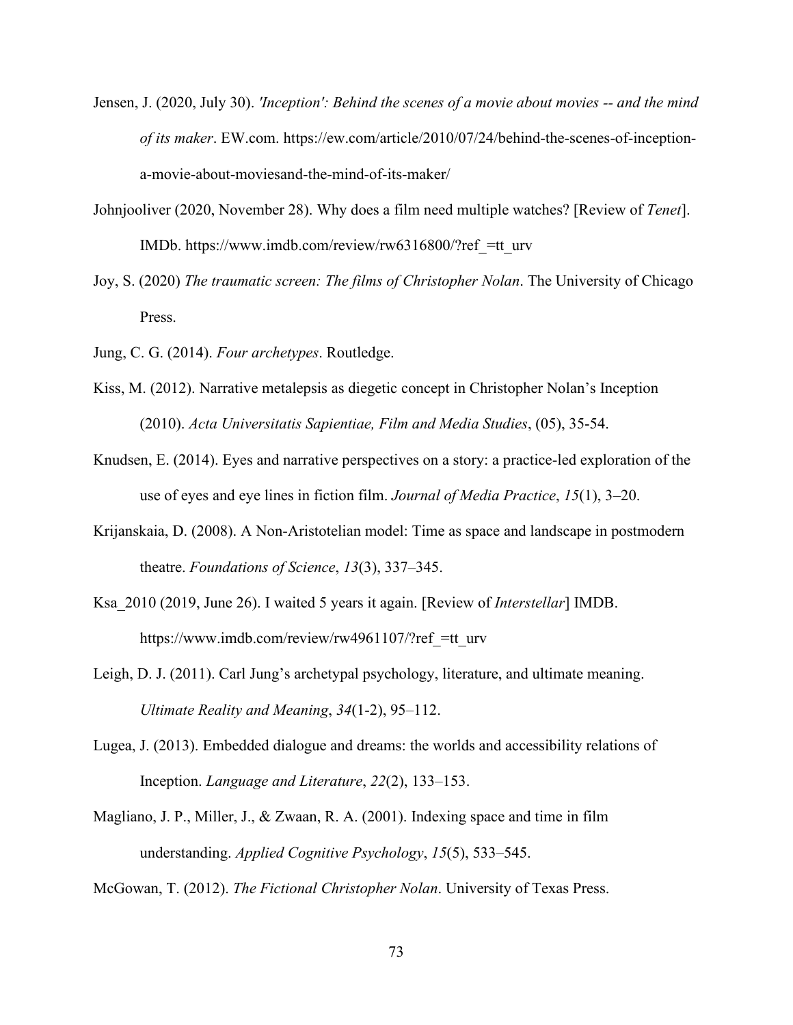- Jensen, J. (2020, July 30). *'Inception': Behind the scenes of a movie about movies -- and the mind of its maker*. EW.com. https://ew.com/article/2010/07/24/behind-the-scenes-of-inceptiona-movie-about-moviesand-the-mind-of-its-maker/
- Johnjooliver (2020, November 28). Why does a film need multiple watches? [Review of *Tenet*]. IMDb. https://www.imdb.com/review/rw6316800/?ref\_=tt\_urv
- Joy, S. (2020) *The traumatic screen: The films of Christopher Nolan*. The University of Chicago Press.
- Jung, C. G. (2014). *Four archetypes*. Routledge.
- Kiss, M. (2012). Narrative metalepsis as diegetic concept in Christopher Nolan's Inception (2010). *Acta Universitatis Sapientiae, Film and Media Studies*, (05), 35-54.
- Knudsen, E. (2014). Eyes and narrative perspectives on a story: a practice-led exploration of the use of eyes and eye lines in fiction film. *Journal of Media Practice*, *15*(1), 3–20.
- Krijanskaia, D. (2008). A Non-Aristotelian model: Time as space and landscape in postmodern theatre. *Foundations of Science*, *13*(3), 337–345.
- Ksa\_2010 (2019, June 26). I waited 5 years it again. [Review of *Interstellar*] IMDB. https://www.imdb.com/review/rw4961107/?ref =tt\_urv
- Leigh, D. J. (2011). Carl Jung's archetypal psychology, literature, and ultimate meaning. *Ultimate Reality and Meaning*, *34*(1-2), 95–112.
- Lugea, J. (2013). Embedded dialogue and dreams: the worlds and accessibility relations of Inception. *Language and Literature*, *22*(2), 133–153.
- Magliano, J. P., Miller, J., & Zwaan, R. A. (2001). Indexing space and time in film understanding. *Applied Cognitive Psychology*, *15*(5), 533–545.

McGowan, T. (2012). *The Fictional Christopher Nolan*. University of Texas Press.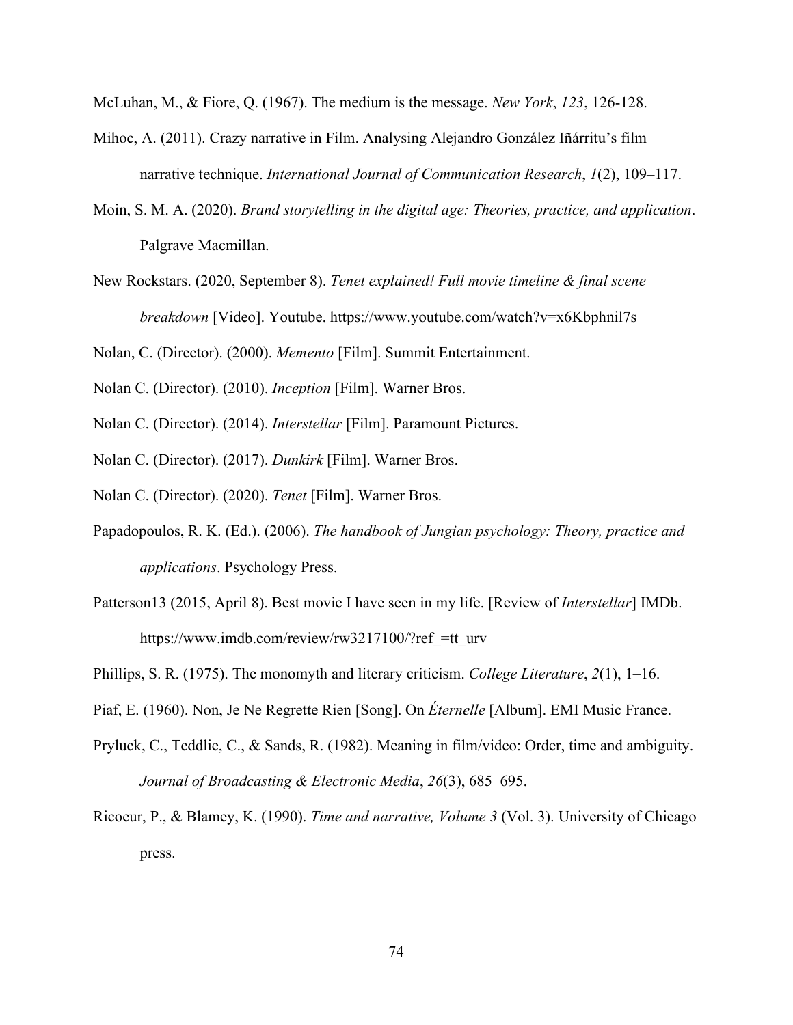McLuhan, M., & Fiore, Q. (1967). The medium is the message. *New York*, *123*, 126-128.

- Mihoc, A. (2011). Crazy narrative in Film. Analysing Alejandro González Iñárritu's film narrative technique. *International Journal of Communication Research*, *1*(2), 109–117.
- Moin, S. M. A. (2020). *Brand storytelling in the digital age: Theories, practice, and application*. Palgrave Macmillan.
- New Rockstars. (2020, September 8). *Tenet explained! Full movie timeline & final scene breakdown* [Video]. Youtube. https://www.youtube.com/watch?v=x6Kbphnil7s

Nolan, C. (Director). (2000). *Memento* [Film]. Summit Entertainment.

- Nolan C. (Director). (2010). *Inception* [Film]. Warner Bros.
- Nolan C. (Director). (2014). *Interstellar* [Film]. Paramount Pictures.
- Nolan C. (Director). (2017). *Dunkirk* [Film]. Warner Bros.
- Nolan C. (Director). (2020). *Tenet* [Film]. Warner Bros.
- Papadopoulos, R. K. (Ed.). (2006). *The handbook of Jungian psychology: Theory, practice and applications*. Psychology Press.
- Patterson13 (2015, April 8). Best movie I have seen in my life. [Review of *Interstellar*] IMDb. https://www.imdb.com/review/rw3217100/?ref =tt\_urv
- Phillips, S. R. (1975). The monomyth and literary criticism. *College Literature*, *2*(1), 1–16.
- Piaf, E. (1960). Non, Je Ne Regrette Rien [Song]. On *Éternelle* [Album]. EMI Music France.
- Pryluck, C., Teddlie, C., & Sands, R. (1982). Meaning in film/video: Order, time and ambiguity. *Journal of Broadcasting & Electronic Media*, *26*(3), 685–695.
- Ricoeur, P., & Blamey, K. (1990). *Time and narrative, Volume 3* (Vol. 3). University of Chicago press.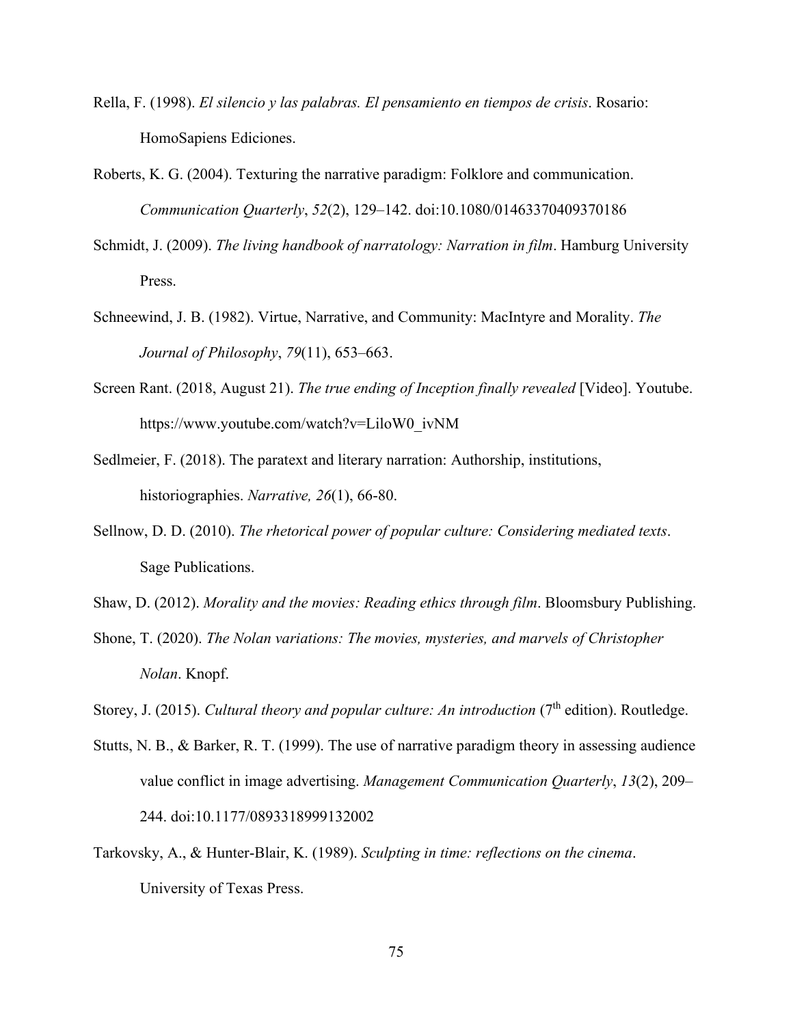- Rella, F. (1998). *El silencio y las palabras. El pensamiento en tiempos de crisis*. Rosario: HomoSapiens Ediciones.
- Roberts, K. G. (2004). Texturing the narrative paradigm: Folklore and communication. *Communication Quarterly*, *52*(2), 129–142. doi:10.1080/01463370409370186
- Schmidt, J. (2009). *The living handbook of narratology: Narration in film*. Hamburg University Press.
- Schneewind, J. B. (1982). Virtue, Narrative, and Community: MacIntyre and Morality. *The Journal of Philosophy*, *79*(11), 653–663.
- Screen Rant. (2018, August 21). *The true ending of Inception finally revealed* [Video]. Youtube. https://www.youtube.com/watch?v=LiloW0\_ivNM
- Sedlmeier, F. (2018). The paratext and literary narration: Authorship, institutions, historiographies. *Narrative, 26*(1), 66-80.
- Sellnow, D. D. (2010). *The rhetorical power of popular culture: Considering mediated texts*. Sage Publications.
- Shaw, D. (2012). *Morality and the movies: Reading ethics through film*. Bloomsbury Publishing.
- Shone, T. (2020). *The Nolan variations: The movies, mysteries, and marvels of Christopher Nolan*. Knopf.
- Storey, J. (2015). *Cultural theory and popular culture: An introduction* (7<sup>th</sup> edition). Routledge.
- Stutts, N. B., & Barker, R. T. (1999). The use of narrative paradigm theory in assessing audience value conflict in image advertising. *Management Communication Quarterly*, *13*(2), 209– 244. doi:10.1177/0893318999132002
- Tarkovsky, A., & Hunter-Blair, K. (1989). *Sculpting in time: reflections on the cinema*. University of Texas Press.